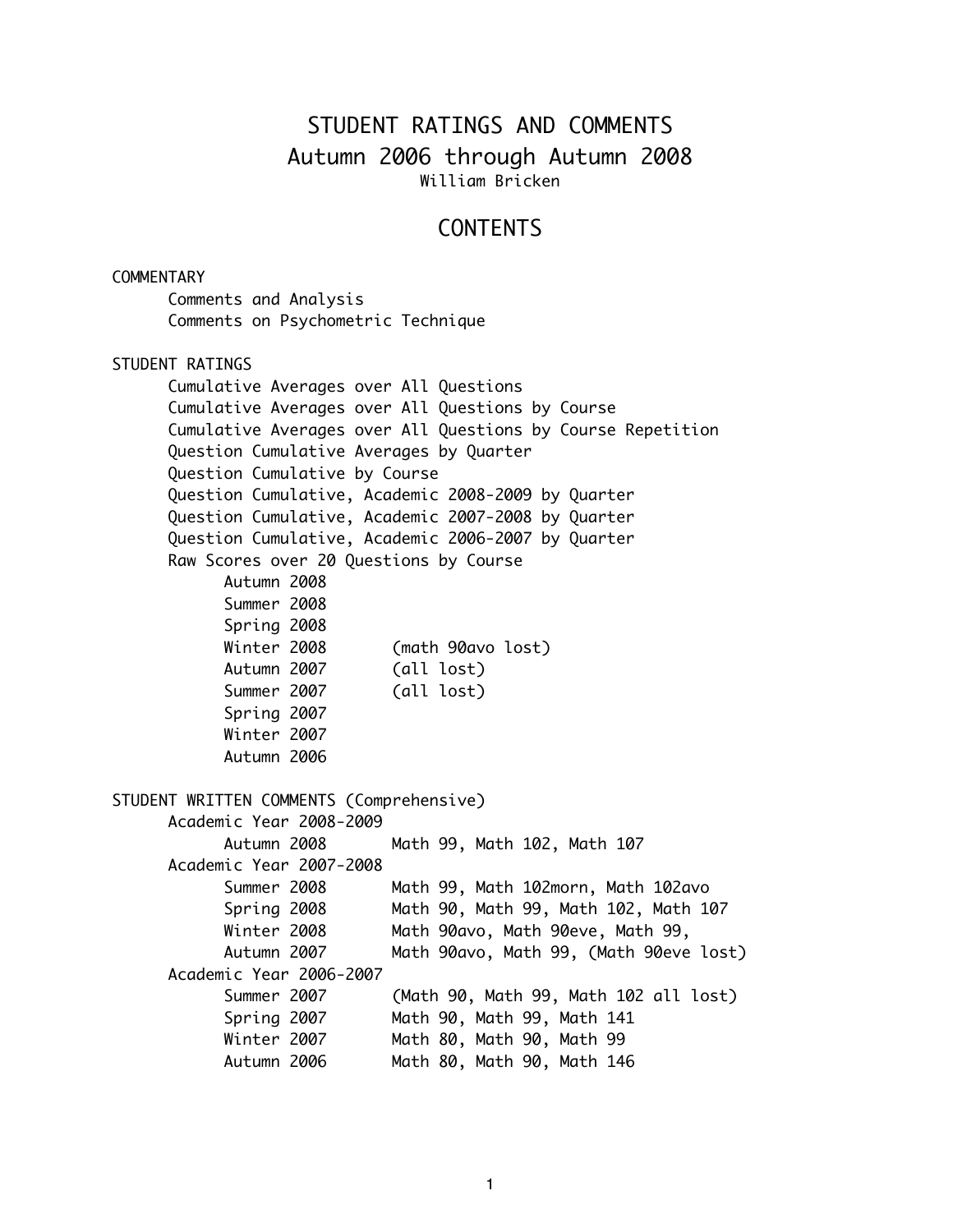# STUDENT RATINGS AND COMMENTS Autumn 2006 through Autumn 2008 William Bricken

## **CONTENTS**

#### COMMENTARY

Comments and Analysis Comments on Psychometric Technique

#### STUDENT RATINGS

Cumulative Averages over All Questions Cumulative Averages over All Questions by Course Cumulative Averages over All Questions by Course Repetition Question Cumulative Averages by Quarter Question Cumulative by Course Question Cumulative, Academic 2008-2009 by Quarter Question Cumulative, Academic 2007-2008 by Quarter Question Cumulative, Academic 2006-2007 by Quarter Raw Scores over 20 Questions by Course Autumn 2008 Summer 2008 Spring 2008 Winter 2008 (math 90avo lost) Autumn 2007 (all lost) Summer 2007 (all lost) Spring 2007 Winter 2007 Autumn 2006 STUDENT WRITTEN COMMENTS (Comprehensive) Academic Year 2008-2009 Autumn 2008 Math 99, Math 102, Math 107 Academic Year 2007-2008 Summer 2008 Math 99, Math 102morn, Math 102avo Spring 2008 Math 90, Math 99, Math 102, Math 107 Winter 2008 Math 90avo, Math 90eve, Math 99, Autumn 2007 Math 90avo, Math 99, (Math 90eve lost) Academic Year 2006-2007 Summer 2007 (Math 90, Math 99, Math 102 all lost) Spring 2007 Math 90, Math 99, Math 141 Winter 2007 Math 80, Math 90, Math 99 Autumn 2006 Math 80, Math 90, Math 146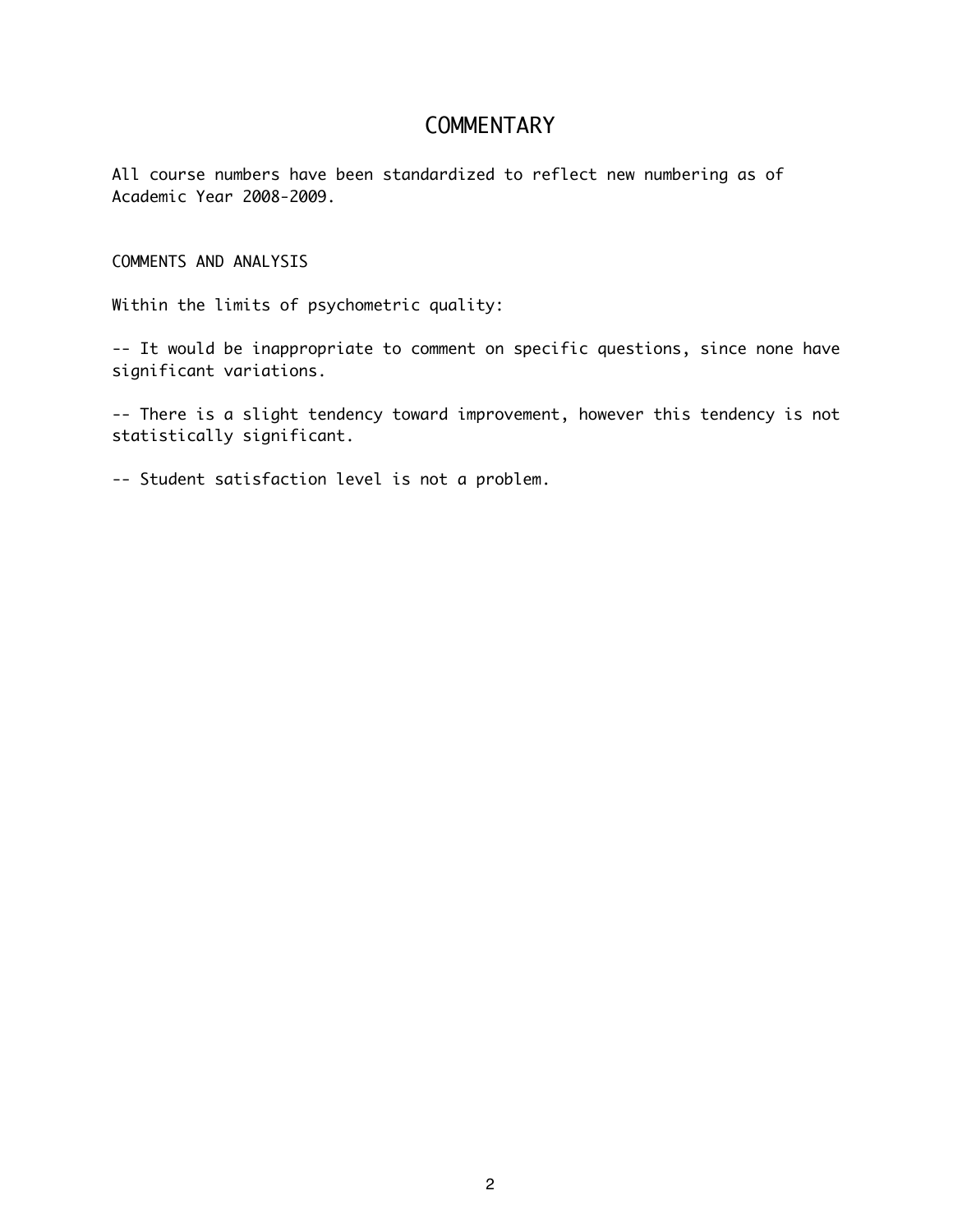## **COMMENTARY**

All course numbers have been standardized to reflect new numbering as of Academic Year 2008-2009.

COMMENTS AND ANALYSIS

Within the limits of psychometric quality:

-- It would be inappropriate to comment on specific questions, since none have significant variations.

-- There is a slight tendency toward improvement, however this tendency is not statistically significant.

-- Student satisfaction level is not a problem.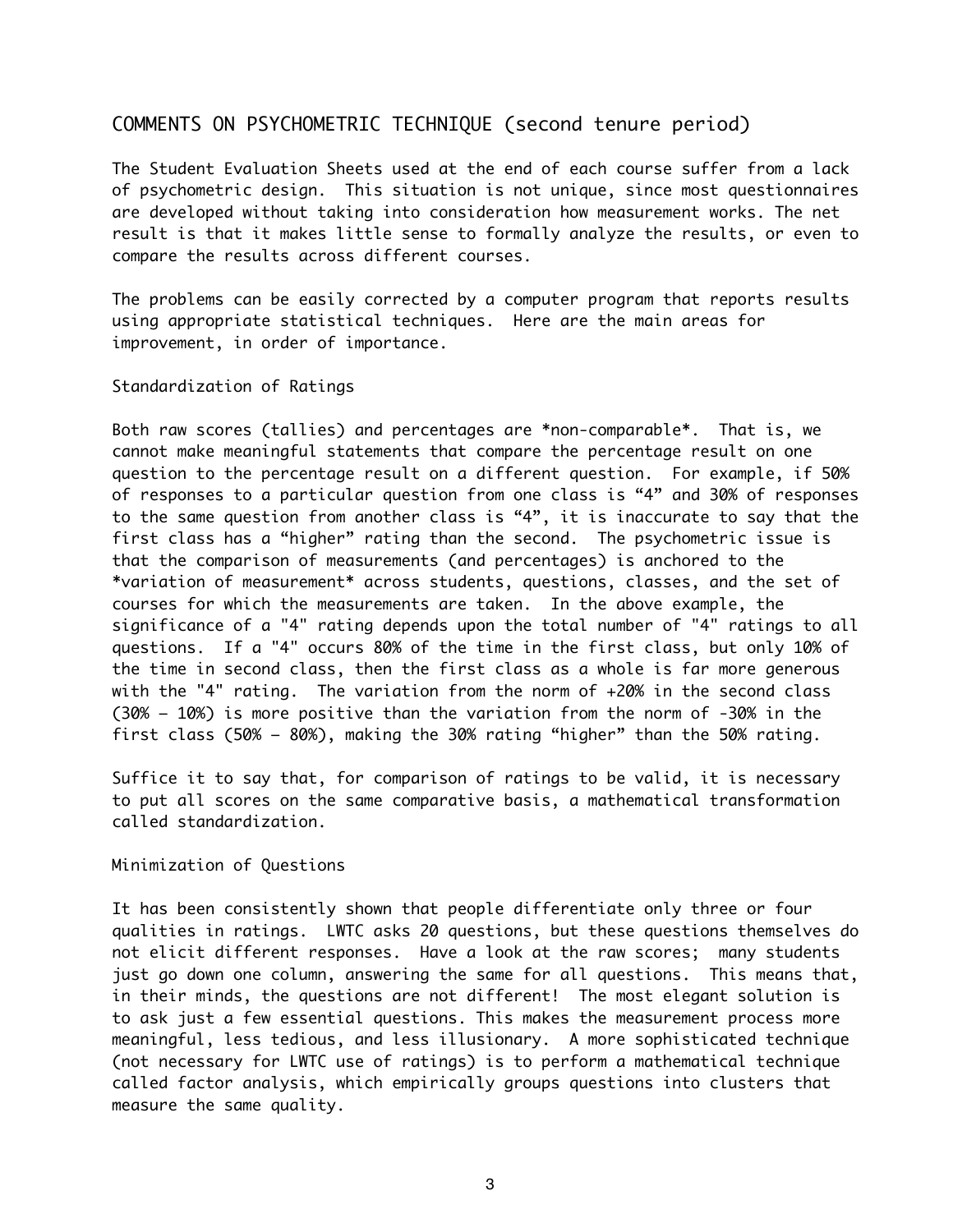### COMMENTS ON PSYCHOMETRIC TECHNIQUE (second tenure period)

The Student Evaluation Sheets used at the end of each course suffer from a lack of psychometric design. This situation is not unique, since most questionnaires are developed without taking into consideration how measurement works. The net result is that it makes little sense to formally analyze the results, or even to compare the results across different courses.

The problems can be easily corrected by a computer program that reports results using appropriate statistical techniques. Here are the main areas for improvement, in order of importance.

Standardization of Ratings

Both raw scores (tallies) and percentages are \*non-comparable\*. That is, we cannot make meaningful statements that compare the percentage result on one question to the percentage result on a different question. For example, if 50% of responses to a particular question from one class is "4" and 30% of responses to the same question from another class is "4", it is inaccurate to say that the first class has a "higher" rating than the second. The psychometric issue is that the comparison of measurements (and percentages) is anchored to the \*variation of measurement\* across students, questions, classes, and the set of courses for which the measurements are taken. In the above example, the significance of a "4" rating depends upon the total number of "4" ratings to all questions. If a "4" occurs 80% of the time in the first class, but only 10% of the time in second class, then the first class as a whole is far more generous with the "4" rating. The variation from the norm of +20% in the second class (30% – 10%) is more positive than the variation from the norm of -30% in the first class (50% – 80%), making the 30% rating "higher" than the 50% rating.

Suffice it to say that, for comparison of ratings to be valid, it is necessary to put all scores on the same comparative basis, a mathematical transformation called standardization.

#### Minimization of Questions

It has been consistently shown that people differentiate only three or four qualities in ratings. LWTC asks 20 questions, but these questions themselves do not elicit different responses. Have a look at the raw scores; many students just go down one column, answering the same for all questions. This means that, in their minds, the questions are not different! The most elegant solution is to ask just a few essential questions. This makes the measurement process more meaningful, less tedious, and less illusionary. A more sophisticated technique (not necessary for LWTC use of ratings) is to perform a mathematical technique called factor analysis, which empirically groups questions into clusters that measure the same quality.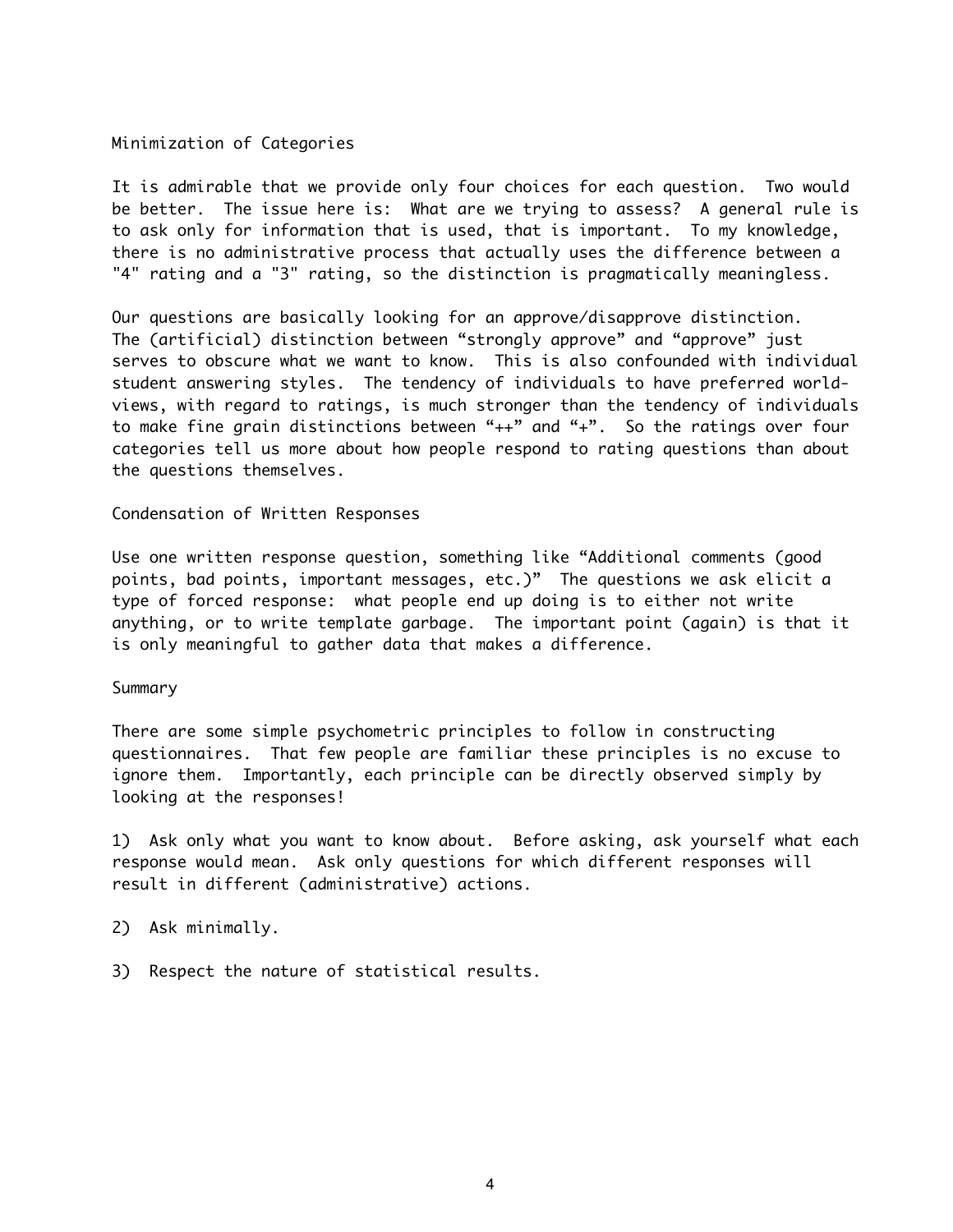#### Minimization of Categories

It is admirable that we provide only four choices for each question. Two would be better. The issue here is: What are we trying to assess? A general rule is to ask only for information that is used, that is important. To my knowledge, there is no administrative process that actually uses the difference between a "4" rating and a "3" rating, so the distinction is pragmatically meaningless.

Our questions are basically looking for an approve/disapprove distinction. The (artificial) distinction between "strongly approve" and "approve" just serves to obscure what we want to know. This is also confounded with individual student answering styles. The tendency of individuals to have preferred worldviews, with regard to ratings, is much stronger than the tendency of individuals to make fine grain distinctions between "++" and "+". So the ratings over four categories tell us more about how people respond to rating questions than about the questions themselves.

#### Condensation of Written Responses

Use one written response question, something like "Additional comments (good points, bad points, important messages, etc.)" The questions we ask elicit a type of forced response: what people end up doing is to either not write anything, or to write template garbage. The important point (again) is that it is only meaningful to gather data that makes a difference.

#### Summary

There are some simple psychometric principles to follow in constructing questionnaires. That few people are familiar these principles is no excuse to ignore them. Importantly, each principle can be directly observed simply by looking at the responses!

1) Ask only what you want to know about. Before asking, ask yourself what each response would mean. Ask only questions for which different responses will result in different (administrative) actions.

- 2) Ask minimally.
- 3) Respect the nature of statistical results.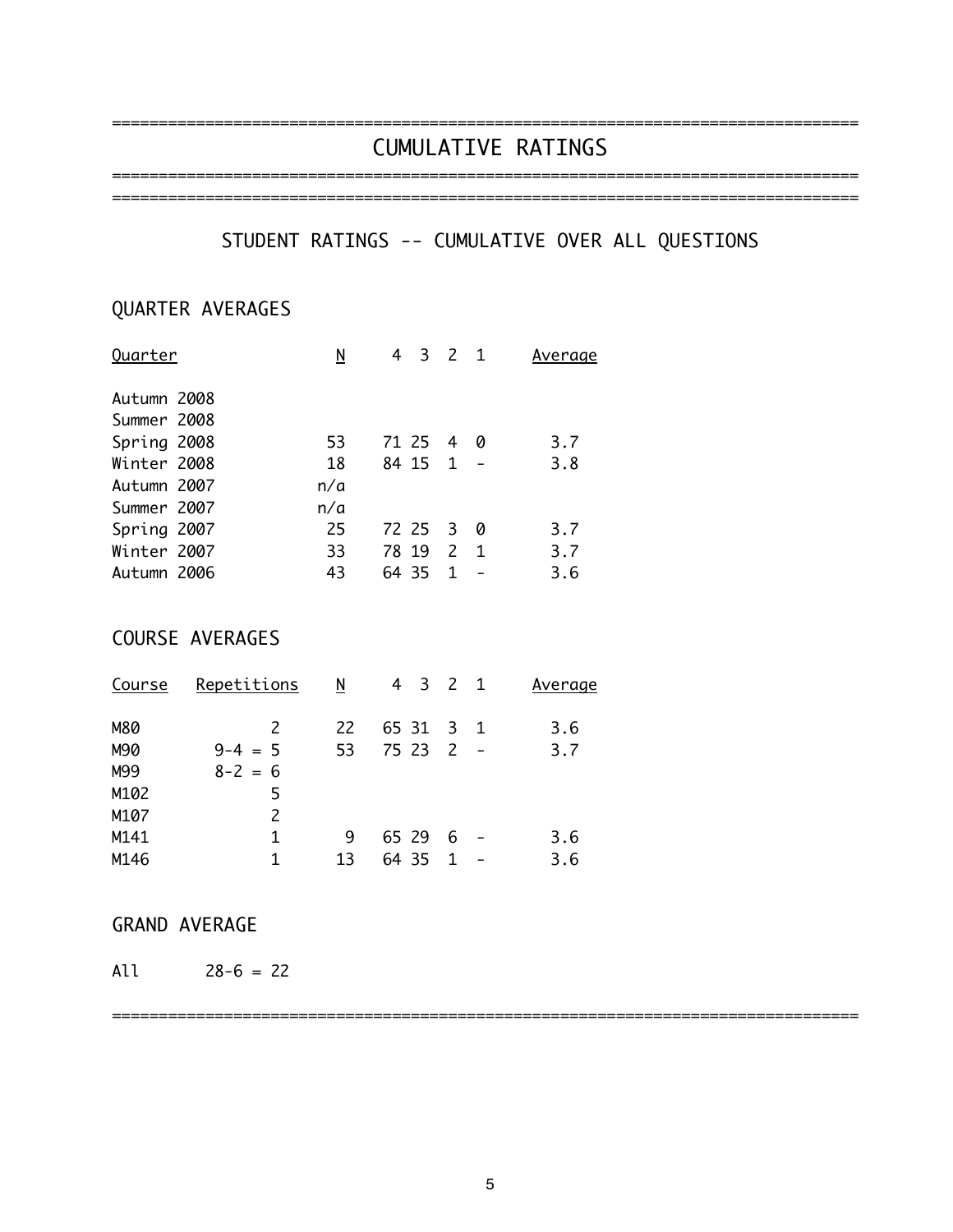# CUMULATIVE RATINGS

================================================================================

========================

# STUDENT RATINGS -- CUMULATIVE OVER ALL QUESTIONS

================================================================================

# QUARTER AVERAGES

| Quarter     | N   | -3        | 2 1           |             | Average |
|-------------|-----|-----------|---------------|-------------|---------|
| Autumn 2008 |     |           |               |             |         |
| Summer 2008 |     |           |               |             |         |
| Spring 2008 | 53  | 71 25 4   |               | 0           | 3.7     |
| Winter 2008 | 18  | 84 15 1 - |               |             | 3.8     |
| Autumn 2007 | n/a |           |               |             |         |
| Summer 2007 | n/a |           |               |             |         |
| Spring 2007 | 25  | 72 25 3   |               | - 0         | 3.7     |
| Winter 2007 | 33  | 78 19     | $\mathcal{P}$ | $\mathbf 1$ | 3.7     |
| Autumn 2006 | 43  | 64 35     | 1             |             | 3.6     |
|             |     |           |               |             |         |

## COURSE AVERAGES

| Course | Repetitions | N  | 4 3 2 1   |   | Average |
|--------|-------------|----|-----------|---|---------|
| M80    | 2           | 22 | 65 31 3 1 |   | 3.6     |
| M90    | $9-4 = 5$   | 53 | 75 23 2 - |   | 3.7     |
| M99    | $8 - 2 = 6$ |    |           |   |         |
| M102   | 5           |    |           |   |         |
| M107   | 2           |    |           |   |         |
| M141   | 1           | 9  | 65 29     | 6 | 3.6     |
| M146   |             | 13 | 64 35     |   | 3.6     |

### GRAND AVERAGE

All 28-6 = 22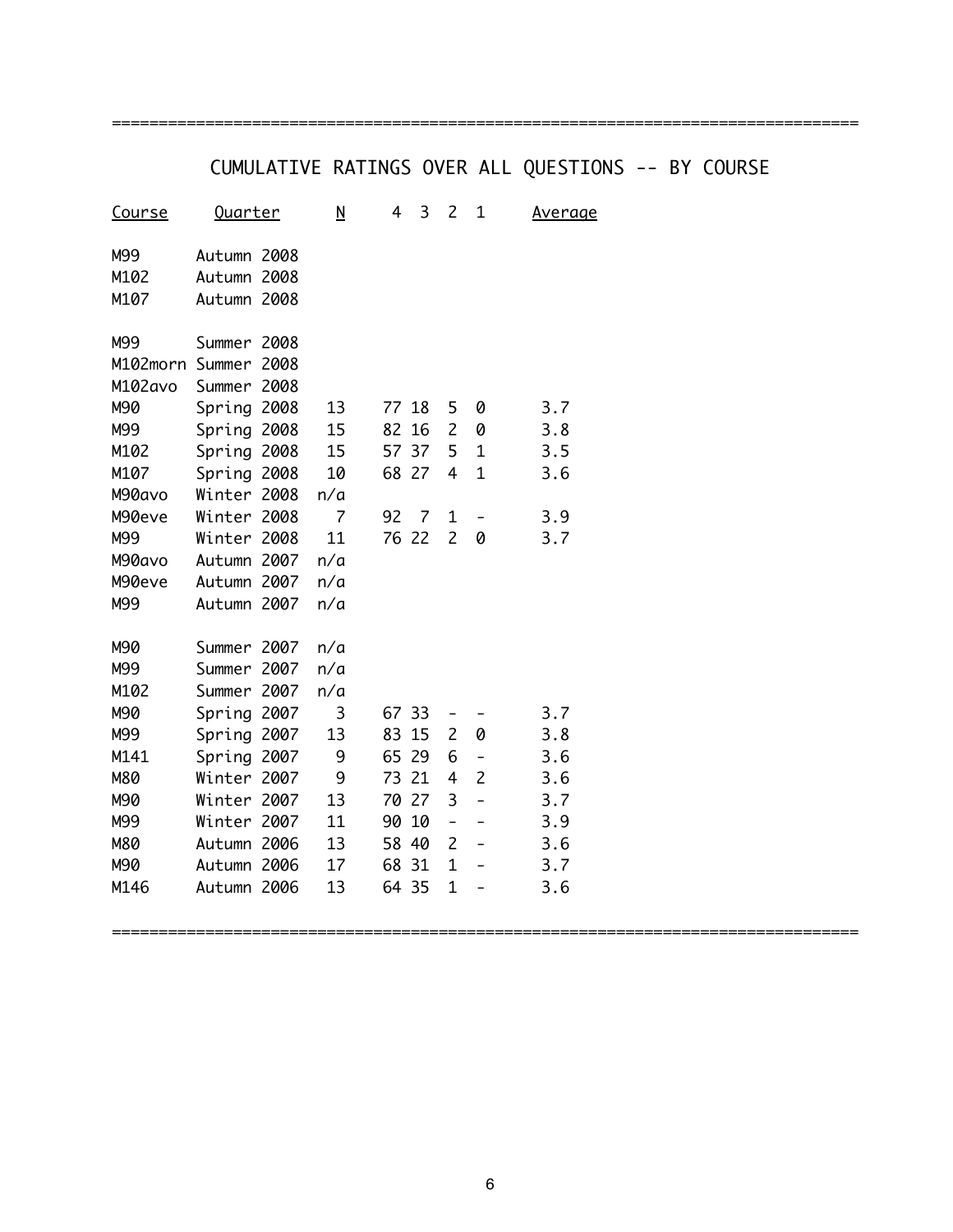# CUMULATIVE RATINGS OVER ALL QUESTIONS -- BY COURSE

================================================================================

| <u>Course</u> | <u>Quarter</u> |      | <u>N</u>       | 4  | 3     | 2                        | $\mathbf{1}$             | <u>Average</u> |
|---------------|----------------|------|----------------|----|-------|--------------------------|--------------------------|----------------|
| M99           | Autumn 2008    |      |                |    |       |                          |                          |                |
| M102          | Autumn 2008    |      |                |    |       |                          |                          |                |
| M107          | Autumn         | 2008 |                |    |       |                          |                          |                |
| M99           | Summer         | 2008 |                |    |       |                          |                          |                |
| M102morn      | Summer         | 2008 |                |    |       |                          |                          |                |
| M102avo       | Summer         | 2008 |                |    |       |                          |                          |                |
| M90           | Spring 2008    |      | 13             |    | 77 18 | 5                        | 0                        | 3.7            |
| M99           | Spring 2008    |      | 15             | 82 | 16    | $\overline{c}$           | 0                        | 3.8            |
| M102          | Spring         | 2008 | 15             | 57 | 37    | 5                        | $\mathbf{1}$             | 3.5            |
| M107          | Spring         | 2008 | 10             |    | 68 27 | 4                        | $\mathbf{1}$             | 3.6            |
| M90avo        | Winter 2008    |      | n/a            |    |       |                          |                          |                |
| M90eve        | Winter         | 2008 | $\overline{7}$ | 92 | 7     | $\overline{1}$           |                          | 3.9            |
| M99           | Winter         | 2008 | 11             |    | 76 22 | $\overline{2}$           | 0                        | 3.7            |
| M90avo        | Autumn 2007    |      | n/a            |    |       |                          |                          |                |
| M90eve        | Autumn         | 2007 | n/a            |    |       |                          |                          |                |
| M99           | Autumn         | 2007 | n/a            |    |       |                          |                          |                |
| M90           | Summer         | 2007 | n/a            |    |       |                          |                          |                |
| M99           | Summer         | 2007 | n/a            |    |       |                          |                          |                |
| M102          | Summer         | 2007 | n/a            |    |       |                          |                          |                |
| M90           | Spring 2007    |      | 3              |    | 67 33 |                          |                          | 3.7            |
| M99           | Spring         | 2007 | 13             | 83 | 15    | $\overline{c}$           | 0                        | 3.8            |
| M141          | Spring         | 2007 | 9              | 65 | 29    | 6                        | -                        | 3.6            |
| M80           | Winter         | 2007 | 9              | 73 | 21    | 4                        | $\overline{2}$           | 3.6            |
| M90           | Winter         | 2007 | 13             | 70 | 27    | 3                        | $\overline{a}$           | 3.7            |
| M99           | Winter         | 2007 | 11             | 90 | 10    | $\overline{\phantom{0}}$ | $\overline{a}$           | 3.9            |
| M80           | Autumn 2006    |      | 13             | 58 | 40    | $\overline{c}$           | $\overline{\phantom{0}}$ | 3.6            |
| M90           | Autumn         | 2006 | 17             | 68 | 31    | $\mathbf{1}$             |                          | 3.7            |
| M146          | Autumn         | 2006 | 13             |    | 64 35 | $\overline{1}$           |                          | 3.6            |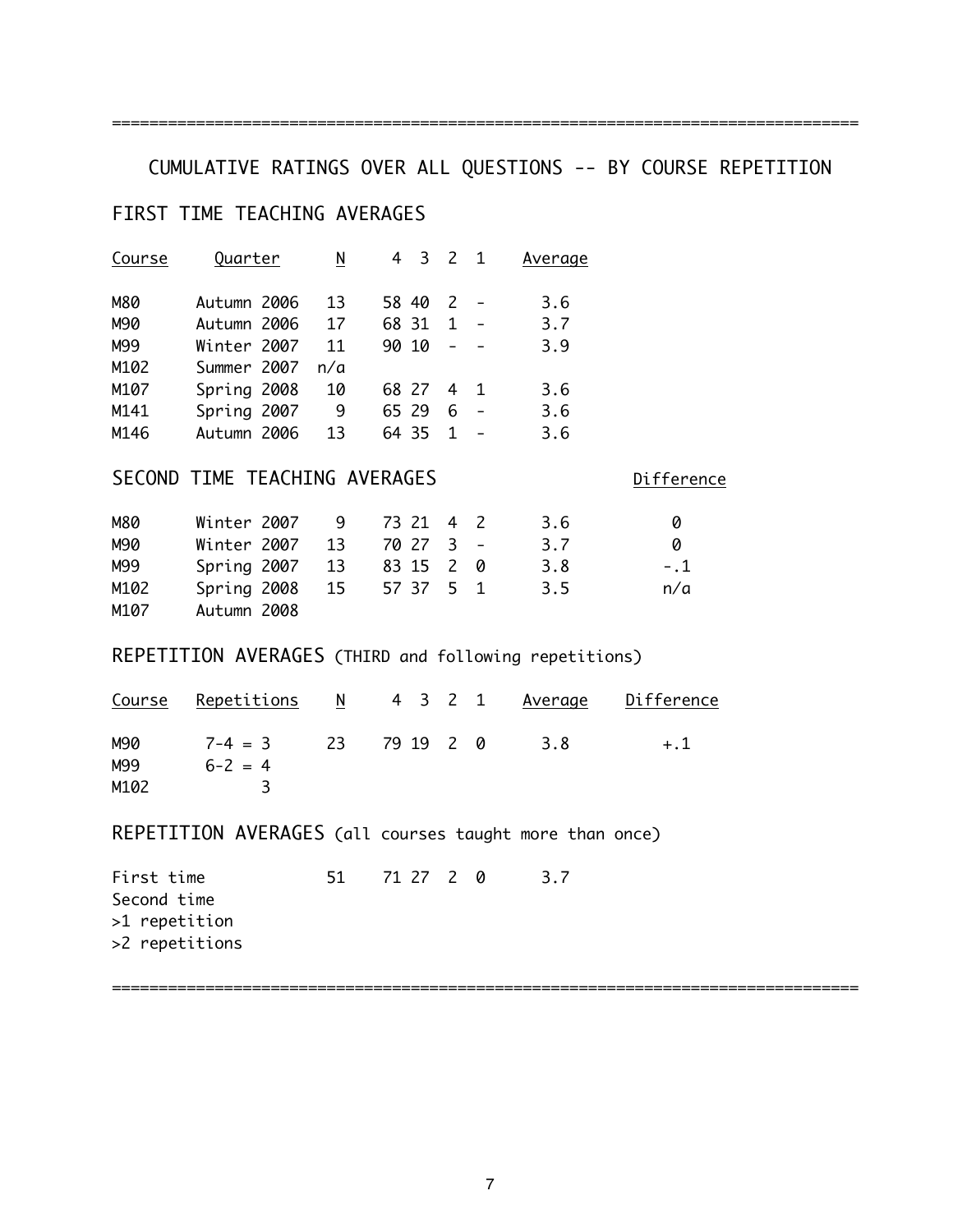================================================================================

# CUMULATIVE RATINGS OVER ALL QUESTIONS -- BY COURSE REPETITION

### FIRST TIME TEACHING AVERAGES

| Course | Quarter     | N   | 4     | 3     | $\overline{c}$ | $\overline{1}$ | Average |
|--------|-------------|-----|-------|-------|----------------|----------------|---------|
| M80    | Autumn 2006 | 13  | 58 40 |       | 2              |                | 3.6     |
| M90    | Autumn 2006 | 17  | 68 31 |       | 1              |                | 3.7     |
| M99    | Winter 2007 | 11  | 90 10 |       |                |                | 3.9     |
| M102   | Summer 2007 | n/a |       |       |                |                |         |
| M107   | Spring 2008 | 10  |       | 68 27 | 4              | $\blacksquare$ | 3.6     |
| M141   | Spring 2007 | 9   | 65 29 |       | 6              |                | 3.6     |
| M146   | Autumn 2006 | 13  |       | 64 35 | 1              |                | 3.6     |

### SECOND TIME TEACHING AVERAGES Difference

M80 Winter 2007 9 73 21 4 2 3.6 0 M90 Winter 2007 13 70 27 3 - 3.7 0 M99 Spring 2007 13 83 15 2 0 3.8 -.1 M102 Spring 2008 15 57 37 5 1 3.5 n/a M107 Autumn 2008

### REPETITION AVERAGES (THIRD and following repetitions)

|      | <u>Course Repetitions N</u> 4 3 2 1 Average Difference |              |  |     |       |
|------|--------------------------------------------------------|--------------|--|-----|-------|
| M90  | $7 - 4 = 3$                                            | 23 79 19 2 0 |  | 3.8 | $+.1$ |
| M99  | $6 - 2 = 4$                                            |              |  |     |       |
| M102 |                                                        |              |  |     |       |

REPETITION AVERAGES (all courses taught more than once)

First time 51 71 27 2 0 3.7 Second time >1 repetition >2 repetitions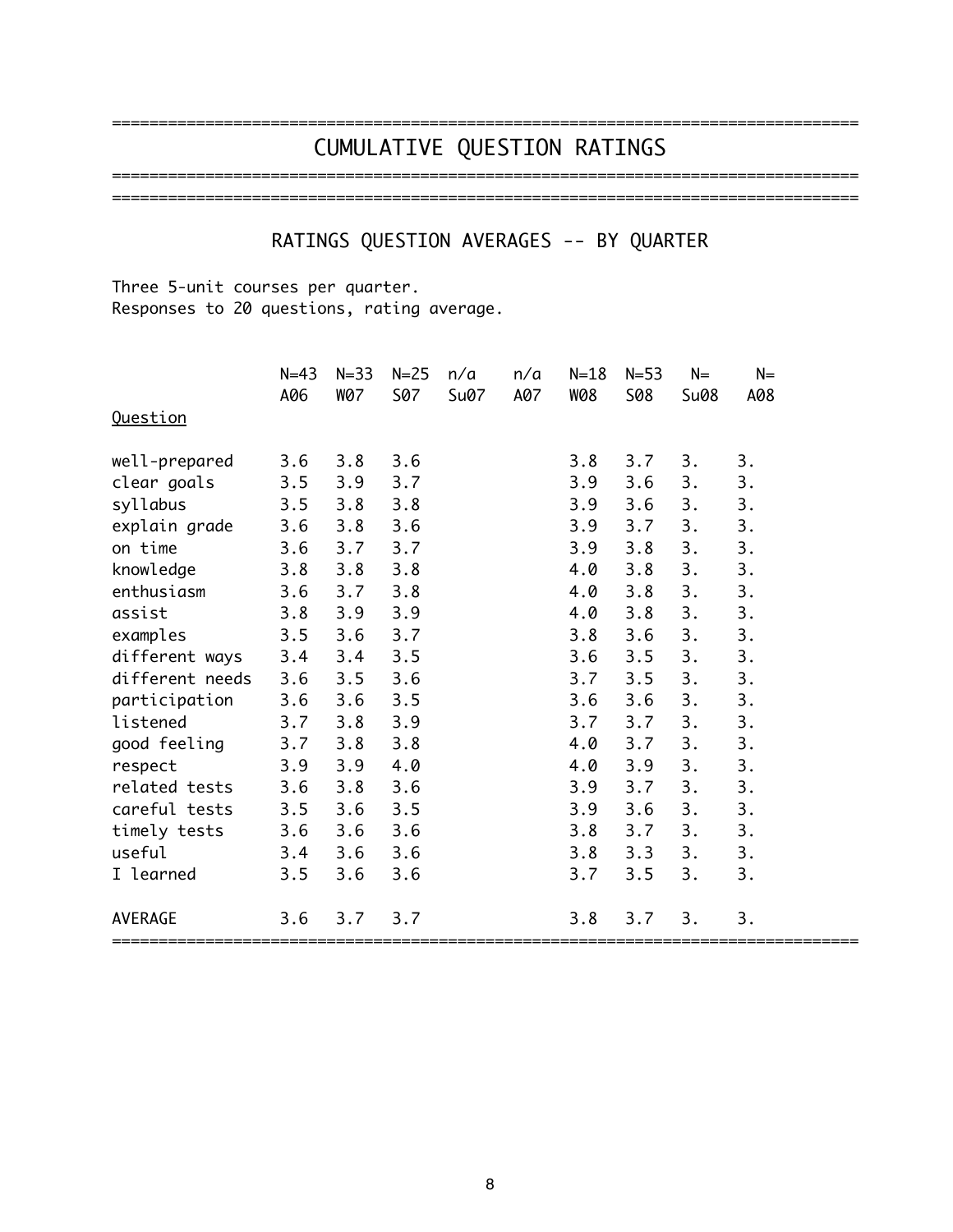### ================================================================================ CUMULATIVE QUESTION RATINGS ================================================================================

================================================================================

# RATINGS QUESTION AVERAGES -- BY QUARTER

Three 5-unit courses per quarter. Responses to 20 questions, rating average.

|                 | $N = 43$ | $N = 33$   | $N = 25$   | n/a  | n/a | $N = 18$   | $N = 53$   | $N=$ | $N =$ |
|-----------------|----------|------------|------------|------|-----|------------|------------|------|-------|
| Question        | A06      | <b>W07</b> | <b>S07</b> | Su07 | A07 | <b>W08</b> | <b>S08</b> | Su08 | A08   |
| well-prepared   | 3.6      | 3.8        | 3.6        |      |     | 3.8        | 3.7        | 3.   | 3.    |
| clear goals     | 3.5      | 3.9        | 3.7        |      |     | 3.9        | 3.6        | 3.   | 3.    |
| syllabus        | 3.5      | 3.8        | 3.8        |      |     | 3.9        | 3.6        | 3.   | 3.    |
| explain grade   | 3.6      | 3.8        | 3.6        |      |     | 3.9        | 3.7        | 3.   | 3.    |
| on time         | 3.6      | 3.7        | 3.7        |      |     | 3.9        | 3.8        | 3.   | 3.    |
| knowledge       | 3.8      | 3.8        | 3.8        |      |     | 4.0        | 3.8        | 3.   | 3.    |
| enthusiasm      | 3.6      | 3.7        | 3.8        |      |     | 4.0        | 3.8        | 3.   | 3.    |
| assist          | 3.8      | 3.9        | 3.9        |      |     | 4.0        | 3.8        | 3.   | 3.    |
| examples        | 3.5      | 3.6        | 3.7        |      |     | 3.8        | 3.6        | 3.   | 3.    |
| different ways  | 3.4      | 3.4        | 3.5        |      |     | 3.6        | 3.5        | 3.   | 3.    |
| different needs | 3.6      | 3.5        | 3.6        |      |     | 3.7        | 3.5        | 3.   | 3.    |
| participation   | 3.6      | 3.6        | 3.5        |      |     | 3.6        | 3.6        | 3.   | 3.    |
| listened        | 3.7      | 3.8        | 3.9        |      |     | 3.7        | 3.7        | 3.   | 3.    |
| good feeling    | 3.7      | 3.8        | 3.8        |      |     | 4.0        | 3.7        | 3.   | 3.    |
| respect         | 3.9      | 3.9        | 4.0        |      |     | 4.0        | 3.9        | 3.   | 3.    |
| related tests   | 3.6      | 3.8        | 3.6        |      |     | 3.9        | 3.7        | 3.   | 3.    |
| careful tests   | 3.5      | 3.6        | 3.5        |      |     | 3.9        | 3.6        | 3.   | 3.    |
| timely tests    | 3.6      | 3.6        | 3.6        |      |     | 3.8        | 3.7        | 3.   | 3.    |
| useful          | 3.4      | 3.6        | 3.6        |      |     | 3.8        | 3.3        | 3.   | 3.    |
| I learned       | 3.5      | 3.6        | 3.6        |      |     | 3.7        | 3.5        | 3.   | 3.    |
| <b>AVERAGE</b>  | 3.6      | 3.7        | 3.7        |      |     | 3.8        | 3.7        | 3.   | 3.    |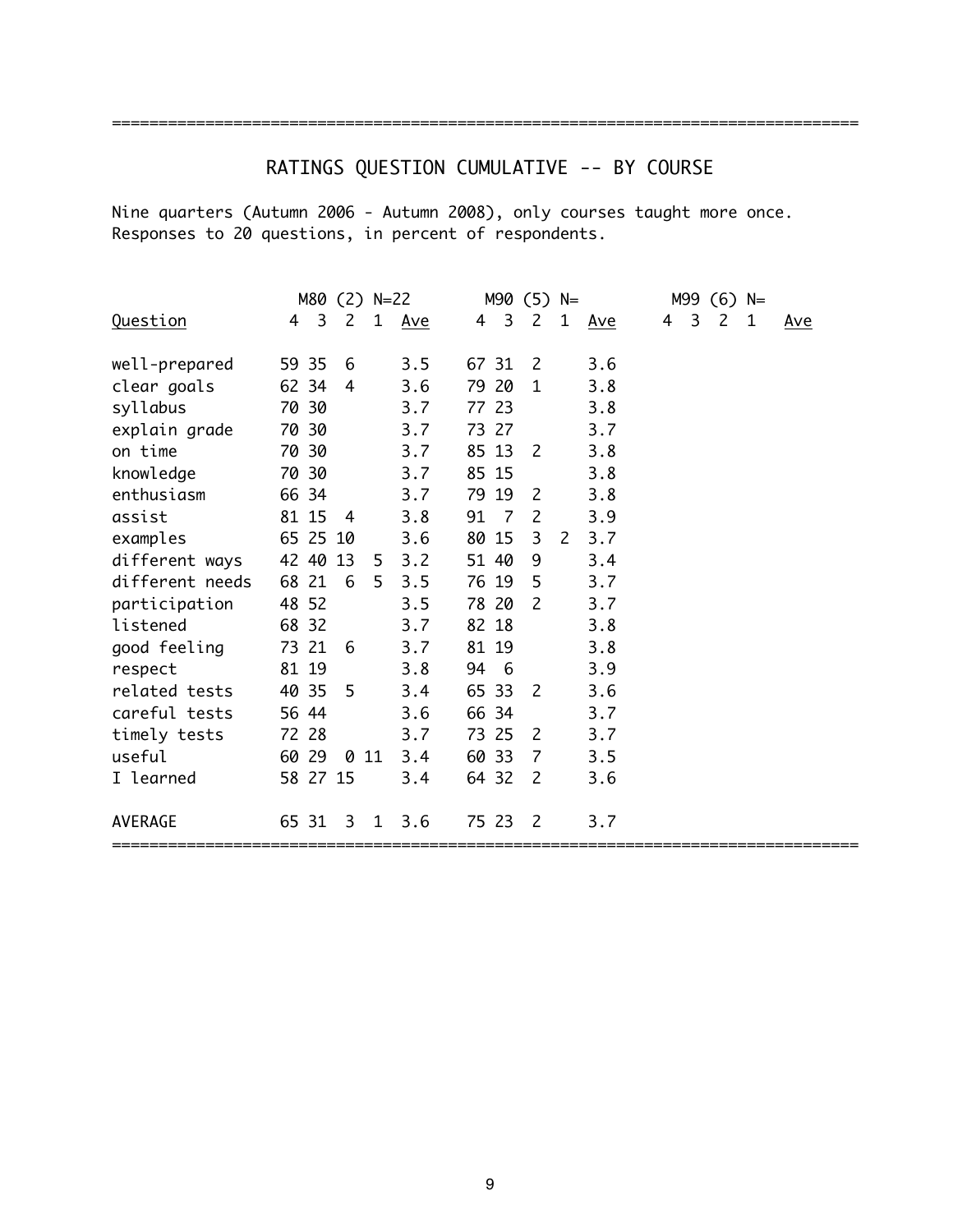# RATINGS QUESTION CUMULATIVE -- BY COURSE

Nine quarters (Autumn 2006 - Autumn 2008), only courses taught more once. Responses to 20 questions, in percent of respondents.

|                 |       |                         | M80 (2) N=22   |              |     |       |                | $M90(5)$ N=    |              |            |   |                | $M99$ (6) N=   |   |            |
|-----------------|-------|-------------------------|----------------|--------------|-----|-------|----------------|----------------|--------------|------------|---|----------------|----------------|---|------------|
| Question        | 4     | $\overline{\mathbf{3}}$ | 2              | $\mathbf{1}$ | Ave | 4     | 3              | $\mathsf{2}$   | $\mathbf{1}$ | <u>Ave</u> | 4 | $\overline{3}$ | $\overline{c}$ | 1 | <u>Ave</u> |
|                 |       |                         |                |              |     |       |                |                |              |            |   |                |                |   |            |
| well-prepared   | 59 35 |                         | 6              |              | 3.5 | 67 31 |                | 2              |              | 3.6        |   |                |                |   |            |
| clear goals     | 62 34 |                         | $\overline{4}$ |              | 3.6 | 79 20 |                | $\mathbf{1}$   |              | 3.8        |   |                |                |   |            |
| syllabus        | 70 30 |                         |                |              | 3.7 | 77 23 |                |                |              | 3.8        |   |                |                |   |            |
| explain grade   | 70 30 |                         |                |              | 3.7 | 73 27 |                |                |              | 3.7        |   |                |                |   |            |
| on time         |       | 70 30                   |                |              | 3.7 | 85 13 |                | 2              |              | 3.8        |   |                |                |   |            |
| knowledge       |       | 70 30                   |                |              | 3.7 | 85 15 |                |                |              | 3.8        |   |                |                |   |            |
| enthusiasm      | 66 34 |                         |                |              | 3.7 | 79 19 |                | 2              |              | 3.8        |   |                |                |   |            |
| assist          |       | 81 15                   | $-4$           |              | 3.8 | 91    | $\overline{7}$ | $\mathsf{2}$   |              | 3.9        |   |                |                |   |            |
| examples        |       | 65 25 10                |                |              | 3.6 | 80 15 |                | 3              | 2            | 3.7        |   |                |                |   |            |
| different ways  |       | 42 40 13                |                | 5            | 3.2 | 51 40 |                | 9              |              | 3.4        |   |                |                |   |            |
| different needs | 68 21 |                         | 6              | 5            | 3.5 | 76 19 |                | 5              |              | 3.7        |   |                |                |   |            |
| participation   | 48 52 |                         |                |              | 3.5 | 78 20 |                | $\overline{c}$ |              | 3.7        |   |                |                |   |            |
| listened        | 68 32 |                         |                |              | 3.7 | 82 18 |                |                |              | 3.8        |   |                |                |   |            |
| good feeling    | 73 21 |                         | 6              |              | 3.7 | 81 19 |                |                |              | 3.8        |   |                |                |   |            |
| respect         | 81 19 |                         |                |              | 3.8 | 94    | - 6            |                |              | 3.9        |   |                |                |   |            |
| related tests   | 40 35 |                         | -5             |              | 3.4 | 65 33 |                | 2              |              | 3.6        |   |                |                |   |            |
| careful tests   | 56 44 |                         |                |              | 3.6 | 66 34 |                |                |              | 3.7        |   |                |                |   |            |
| timely tests    | 72 28 |                         |                |              | 3.7 | 73 25 |                | 2              |              | 3.7        |   |                |                |   |            |
| useful          | 60 29 |                         | 0              | 11           | 3.4 | 60 33 |                | 7              |              | 3.5        |   |                |                |   |            |
| I learned       |       | 58 27 15                |                |              | 3.4 | 64 32 |                | 2              |              | 3.6        |   |                |                |   |            |
| <b>AVERAGE</b>  | 65 31 |                         | 3              | 1            | 3.6 | 75 23 |                | $\overline{2}$ |              | 3.7        |   |                |                |   |            |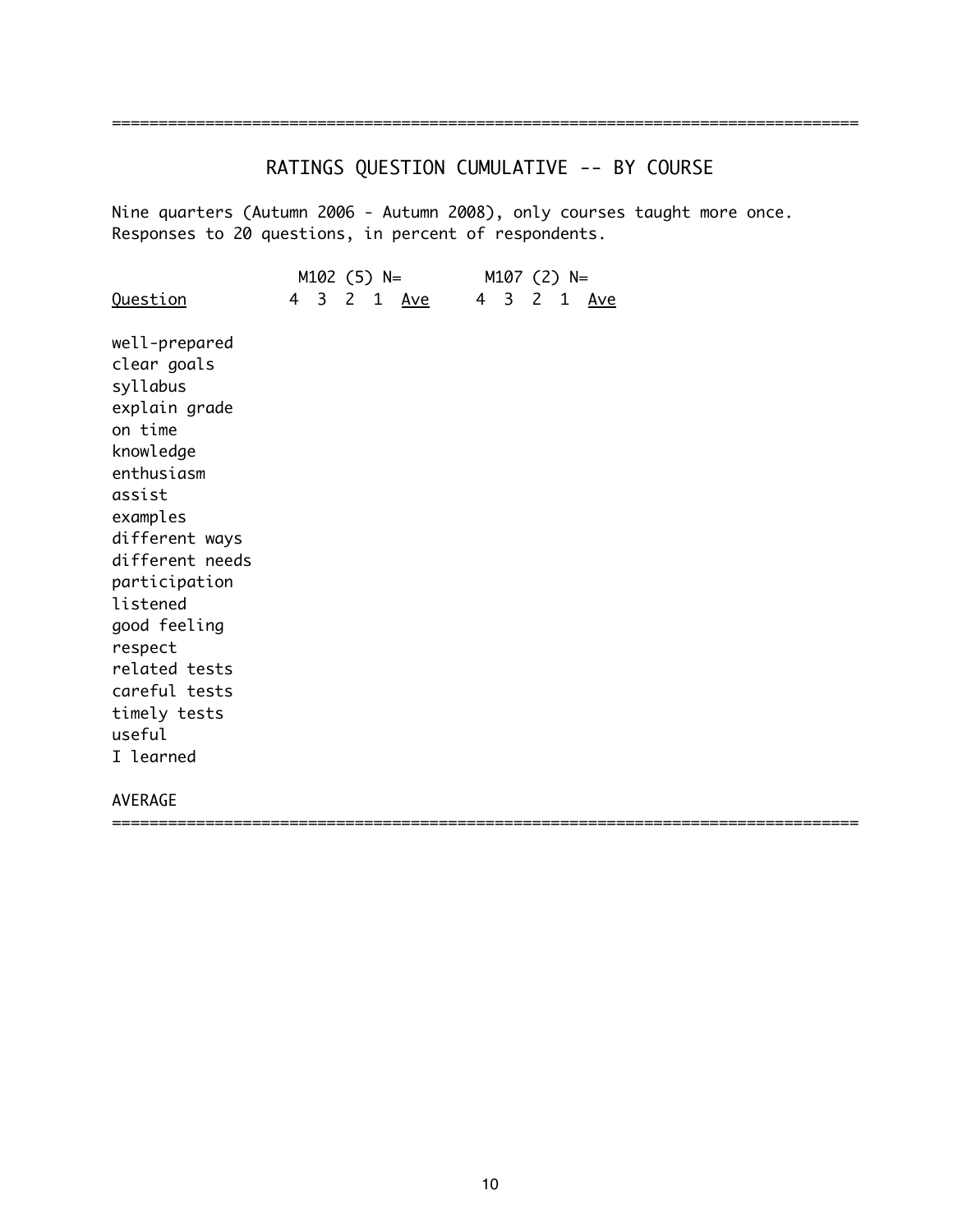# RATINGS QUESTION CUMULATIVE -- BY COURSE

Nine quarters (Autumn 2006 - Autumn 2008), only courses taught more once. Responses to 20 questions, in percent of respondents.

|                        |  |  | M102 (5) N=        |  | $M107$ (2) N= |  |             |  |  |  |  |
|------------------------|--|--|--------------------|--|---------------|--|-------------|--|--|--|--|
| <u>Question</u>        |  |  | 4 3 2 1 <u>Ave</u> |  |               |  | 4 3 2 1 Ave |  |  |  |  |
| well-prepared          |  |  |                    |  |               |  |             |  |  |  |  |
| clear goals            |  |  |                    |  |               |  |             |  |  |  |  |
| syllabus               |  |  |                    |  |               |  |             |  |  |  |  |
| explain grade          |  |  |                    |  |               |  |             |  |  |  |  |
| on time                |  |  |                    |  |               |  |             |  |  |  |  |
| knowledge              |  |  |                    |  |               |  |             |  |  |  |  |
| enthusiasm             |  |  |                    |  |               |  |             |  |  |  |  |
| assist                 |  |  |                    |  |               |  |             |  |  |  |  |
| examples               |  |  |                    |  |               |  |             |  |  |  |  |
| different ways         |  |  |                    |  |               |  |             |  |  |  |  |
| different needs        |  |  |                    |  |               |  |             |  |  |  |  |
| participation          |  |  |                    |  |               |  |             |  |  |  |  |
| listened               |  |  |                    |  |               |  |             |  |  |  |  |
| good feeling           |  |  |                    |  |               |  |             |  |  |  |  |
| respect                |  |  |                    |  |               |  |             |  |  |  |  |
| related tests          |  |  |                    |  |               |  |             |  |  |  |  |
| careful tests          |  |  |                    |  |               |  |             |  |  |  |  |
| timely tests<br>useful |  |  |                    |  |               |  |             |  |  |  |  |
| I learned              |  |  |                    |  |               |  |             |  |  |  |  |
|                        |  |  |                    |  |               |  |             |  |  |  |  |
| <b>AVERAGE</b>         |  |  |                    |  |               |  |             |  |  |  |  |
|                        |  |  |                    |  |               |  |             |  |  |  |  |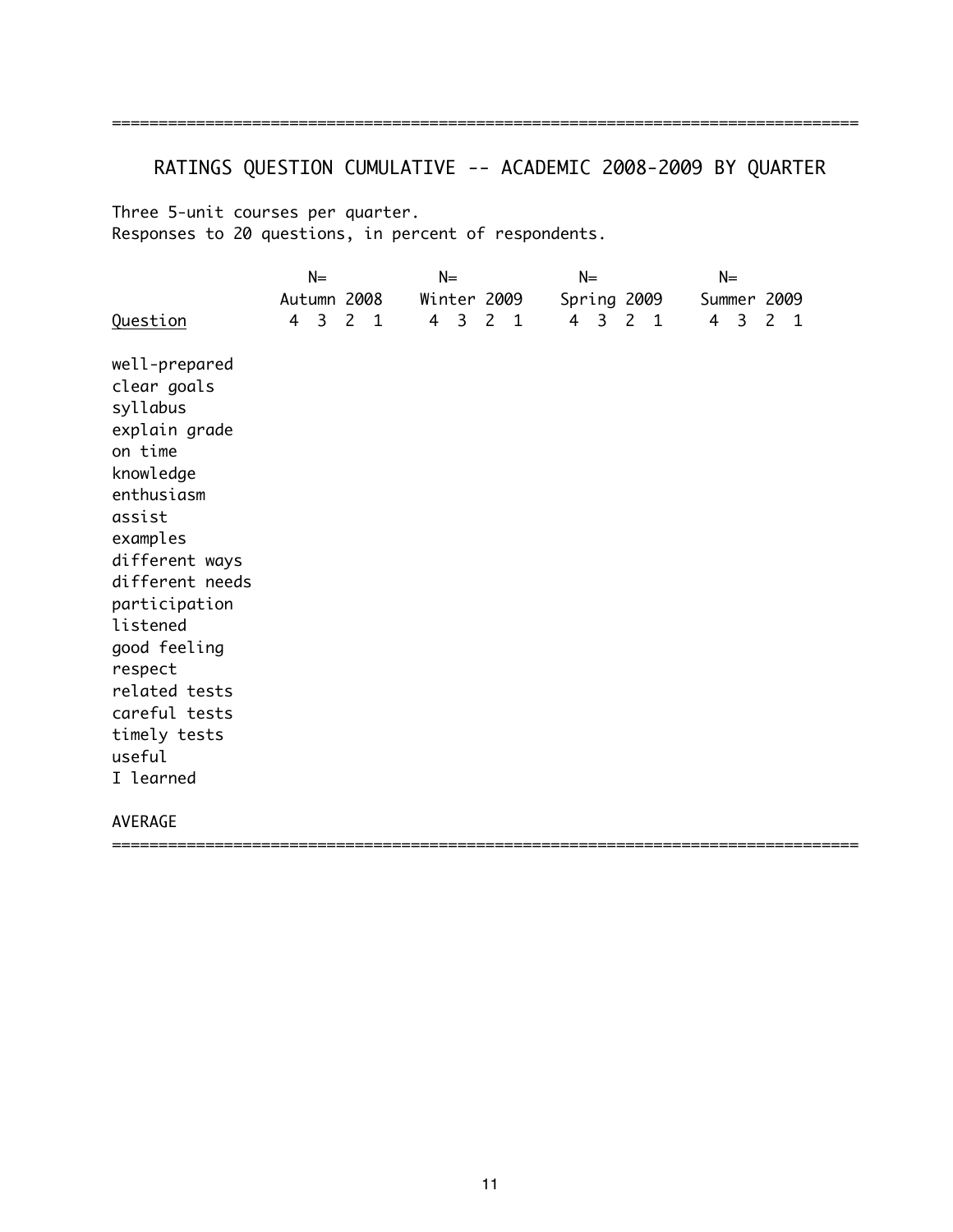# RATINGS QUESTION CUMULATIVE -- ACADEMIC 2008-2009 BY QUARTER

Three 5-unit courses per quarter. Responses to 20 questions, in percent of respondents.

|                                                                                                                                                                                                                                                                                             | $N=$             |                |  | $N=$             |             |     |  | $N=$        |                         |                |  | $N=$        |             |                |  |
|---------------------------------------------------------------------------------------------------------------------------------------------------------------------------------------------------------------------------------------------------------------------------------------------|------------------|----------------|--|------------------|-------------|-----|--|-------------|-------------------------|----------------|--|-------------|-------------|----------------|--|
|                                                                                                                                                                                                                                                                                             | Autumn 2008      |                |  |                  | Winter 2009 |     |  | Spring 2009 |                         |                |  |             | Summer 2009 |                |  |
| Question                                                                                                                                                                                                                                                                                    | $4 \overline{3}$ | 2 <sub>1</sub> |  | $4 \overline{3}$ |             | 2 1 |  | 4           | $\overline{\mathbf{3}}$ | 2 <sub>1</sub> |  | $4 \quad 3$ |             | 2 <sub>1</sub> |  |
| well-prepared<br>clear goals<br>syllabus<br>explain grade<br>on time<br>knowledge<br>enthusiasm<br>assist<br>examples<br>different ways<br>different needs<br>participation<br>listened<br>good feeling<br>respect<br>related tests<br>careful tests<br>timely tests<br>useful<br>I learned |                  |                |  |                  |             |     |  |             |                         |                |  |             |             |                |  |
| AVERAGE                                                                                                                                                                                                                                                                                     |                  |                |  |                  |             |     |  |             |                         |                |  |             |             |                |  |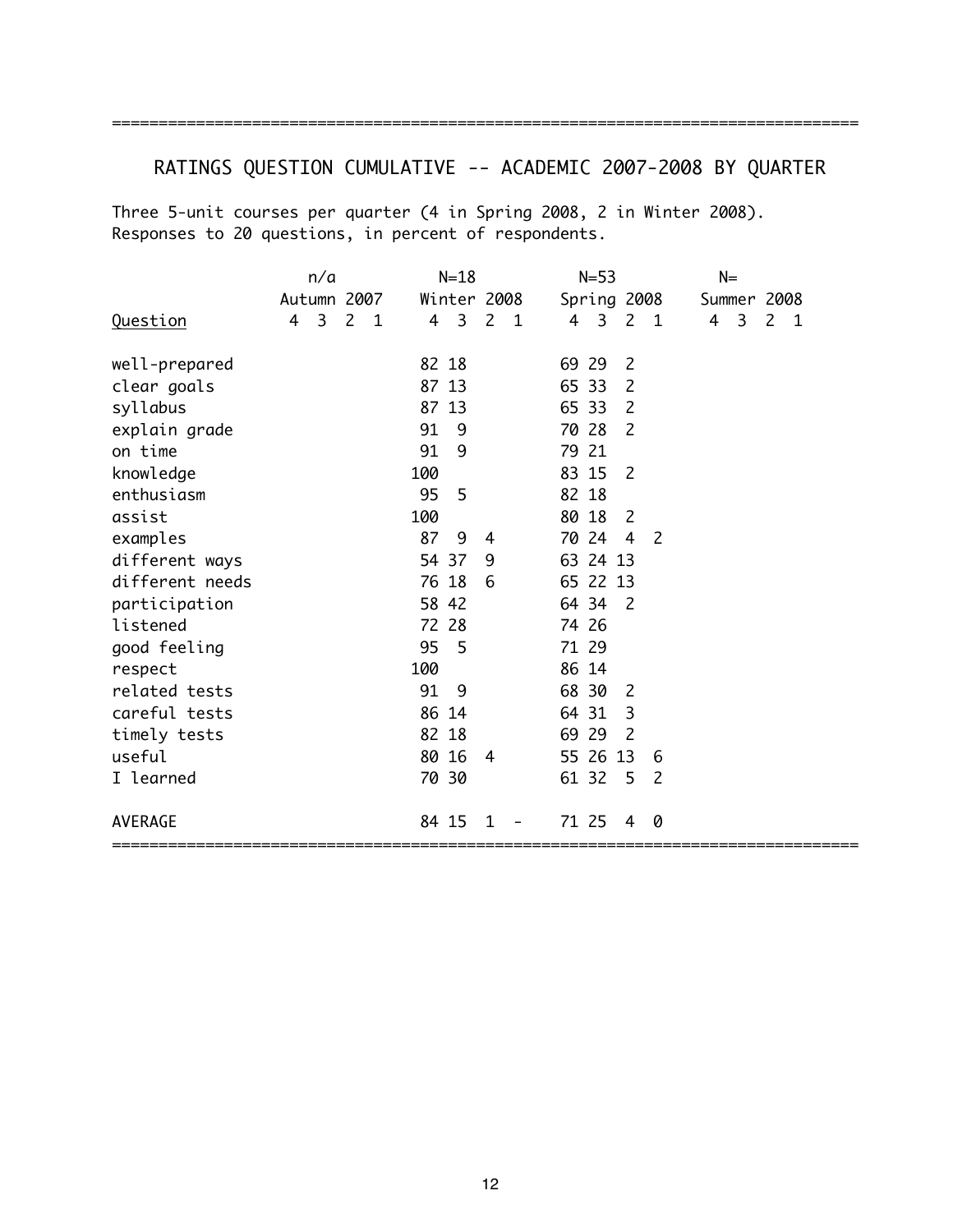# ================================================================================

# RATINGS QUESTION CUMULATIVE -- ACADEMIC 2007-2008 BY QUARTER

Three 5-unit courses per quarter (4 in Spring 2008, 2 in Winter 2008). Responses to 20 questions, in percent of respondents.

|                 | n/a                 |                | $N=18$           |                | $N=53$                                    | $N =$                                                |
|-----------------|---------------------|----------------|------------------|----------------|-------------------------------------------|------------------------------------------------------|
|                 | Autumn 2007         |                | Winter 2008      |                | Spring 2008                               | Summer 2008                                          |
| Question        | $\overline{3}$<br>4 | 2 <sub>1</sub> | $4 \overline{3}$ | 2 <sub>1</sub> | 2 <sub>1</sub><br>4<br>3                  | $4 \overline{3}$<br>$\overline{2}$<br>$\overline{1}$ |
| well-prepared   |                     |                | 82 18            |                | 69 29<br>$\overline{2}$                   |                                                      |
| clear goals     |                     |                | 87 13            |                | 65 33<br>2                                |                                                      |
| syllabus        |                     |                | 87 13            |                | 65 33<br>2                                |                                                      |
| explain grade   |                     |                | 91<br>-9         |                | 70 28<br>$\overline{c}$                   |                                                      |
| on time         |                     |                | 91<br>9          |                | 79 21                                     |                                                      |
| knowledge       |                     |                | 100              |                | 83 15<br>2                                |                                                      |
| enthusiasm      |                     |                | 95<br>5          |                | 82 18                                     |                                                      |
| assist          |                     |                | 100              |                | 80 18<br>- 2                              |                                                      |
| examples        |                     |                | 87<br>9          | 4              | 70 24<br>$\overline{4}$<br>$\overline{2}$ |                                                      |
| different ways  |                     |                | 54 37            | 9              | 63 24 13                                  |                                                      |
| different needs |                     |                | 76 18            | 6              | 65 22 13                                  |                                                      |
| participation   |                     |                | 58 42            |                | 64 34<br>$\overline{2}$                   |                                                      |
| listened        |                     |                | 72 28            |                | 74 26                                     |                                                      |
| good feeling    |                     |                | 95<br>- 5        |                | 71 29                                     |                                                      |
| respect         |                     |                | 100              |                | 86 14                                     |                                                      |
| related tests   |                     |                | 91<br>9          |                | 68 30<br>2                                |                                                      |
| careful tests   |                     |                | 86 14            |                | 64 31<br>3                                |                                                      |
| timely tests    |                     |                | 82 18            |                | 69 29<br>2                                |                                                      |
| useful          |                     |                | 80 16            | $\overline{4}$ | 55 26 13<br>6                             |                                                      |
| I learned       |                     |                | 70 30            |                | 61 32<br>5<br>2                           |                                                      |
| <b>AVERAGE</b>  |                     |                | 84 15            |                | 71 25<br>0<br>4                           |                                                      |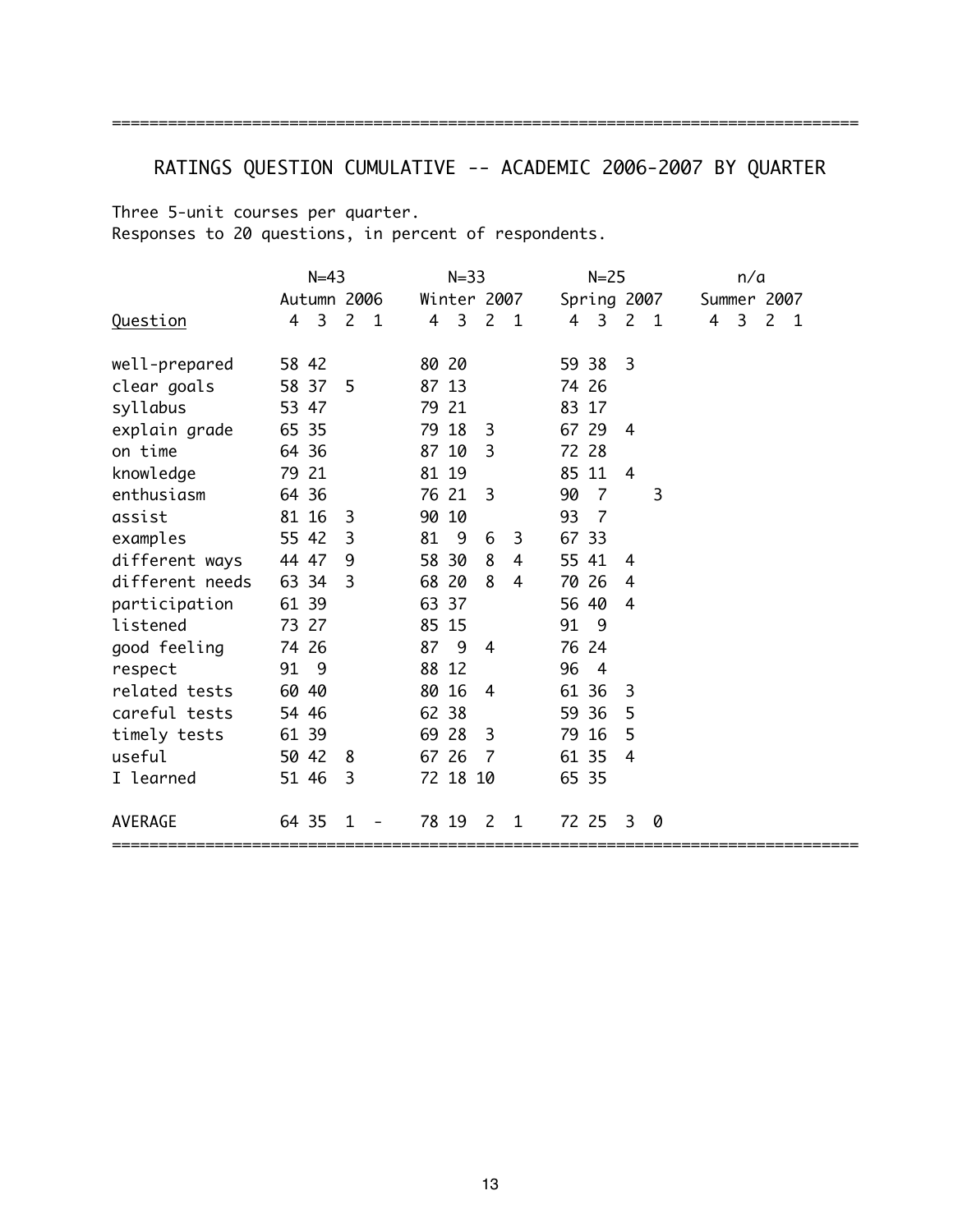# RATINGS QUESTION CUMULATIVE -- ACADEMIC 2006-2007 BY QUARTER

================================================================================

Three 5-unit courses per quarter. Responses to 20 questions, in percent of respondents.

|                 |       | $N=43$                  |                |              |       | $N = 33$            |                |                |       | $N = 25$       |                |     |             | n/a                     |             |  |
|-----------------|-------|-------------------------|----------------|--------------|-------|---------------------|----------------|----------------|-------|----------------|----------------|-----|-------------|-------------------------|-------------|--|
|                 |       | Autumn 2006             |                |              |       | Winter 2007         |                |                |       | Spring 2007    |                |     | Summer 2007 |                         |             |  |
| <u>Question</u> | 4     | $\overline{\mathbf{3}}$ | $\overline{2}$ | $\mathbf{1}$ |       | $4 \quad 3 \quad 2$ |                | $\overline{1}$ |       | 4 3            | $\mathsf{2}$   | - 1 | 4           | $\overline{\mathbf{3}}$ | $2 \quad 1$ |  |
| well-prepared   | 58 42 |                         |                |              | 80 20 |                     |                |                |       | 59 38          | 3              |     |             |                         |             |  |
| clear goals     | 58 37 |                         | -5             |              | 87 13 |                     |                |                |       | 74 26          |                |     |             |                         |             |  |
| syllabus        | 53 47 |                         |                |              | 79 21 |                     |                |                | 83 17 |                |                |     |             |                         |             |  |
| explain grade   | 65 35 |                         |                |              | 79 18 |                     | 3              |                | 67 29 |                | 4              |     |             |                         |             |  |
| on time         | 64 36 |                         |                |              | 87 10 |                     | 3              |                |       | 72 28          |                |     |             |                         |             |  |
| knowledge       | 79 21 |                         |                |              | 81 19 |                     |                |                |       | 85 11          | $\overline{4}$ |     |             |                         |             |  |
| enthusiasm      | 64 36 |                         |                |              | 76 21 |                     | 3              |                | 90    | - 7            |                | 3   |             |                         |             |  |
| assist          | 81 16 |                         | 3              |              | 90 10 |                     |                |                | 93    | - 7            |                |     |             |                         |             |  |
| examples        | 55 42 |                         | 3              |              | 81    | - 9                 | 6              | 3              | 67 33 |                |                |     |             |                         |             |  |
| different ways  | 44 47 |                         | 9              |              | 58 30 |                     | 8              | 4              |       | 55 41          | 4              |     |             |                         |             |  |
| different needs | 63 34 |                         | 3              |              | 68 20 |                     | 8              | 4              |       | 70 26          | 4              |     |             |                         |             |  |
| participation   | 61 39 |                         |                |              | 63 37 |                     |                |                |       | 56 40          | 4              |     |             |                         |             |  |
| listened        | 73 27 |                         |                |              | 85 15 |                     |                |                | 91 9  |                |                |     |             |                         |             |  |
| good feeling    | 74 26 |                         |                |              | 87    | - 9                 | $\overline{4}$ |                |       | 76 24          |                |     |             |                         |             |  |
| respect         | 91 9  |                         |                |              | 88 12 |                     |                |                | 96    | $\overline{4}$ |                |     |             |                         |             |  |
| related tests   | 60 40 |                         |                |              | 80 16 |                     | $\overline{4}$ |                |       | 61 36          | 3              |     |             |                         |             |  |
| careful tests   | 54 46 |                         |                |              | 62 38 |                     |                |                |       | 59 36          | 5              |     |             |                         |             |  |
| timely tests    | 61 39 |                         |                |              | 69 28 |                     | 3              |                |       | 79 16          | 5              |     |             |                         |             |  |
| useful          | 50 42 |                         | 8              |              | 67 26 |                     | 7              |                | 61 35 |                | 4              |     |             |                         |             |  |
| I learned       | 51 46 |                         | 3              |              |       | 72 18 10            |                |                | 65 35 |                |                |     |             |                         |             |  |
| AVERAGE         | 64 35 |                         | 1              |              | 78 19 |                     | 2              | 1              |       | 72 25          | 3              | 0   |             |                         |             |  |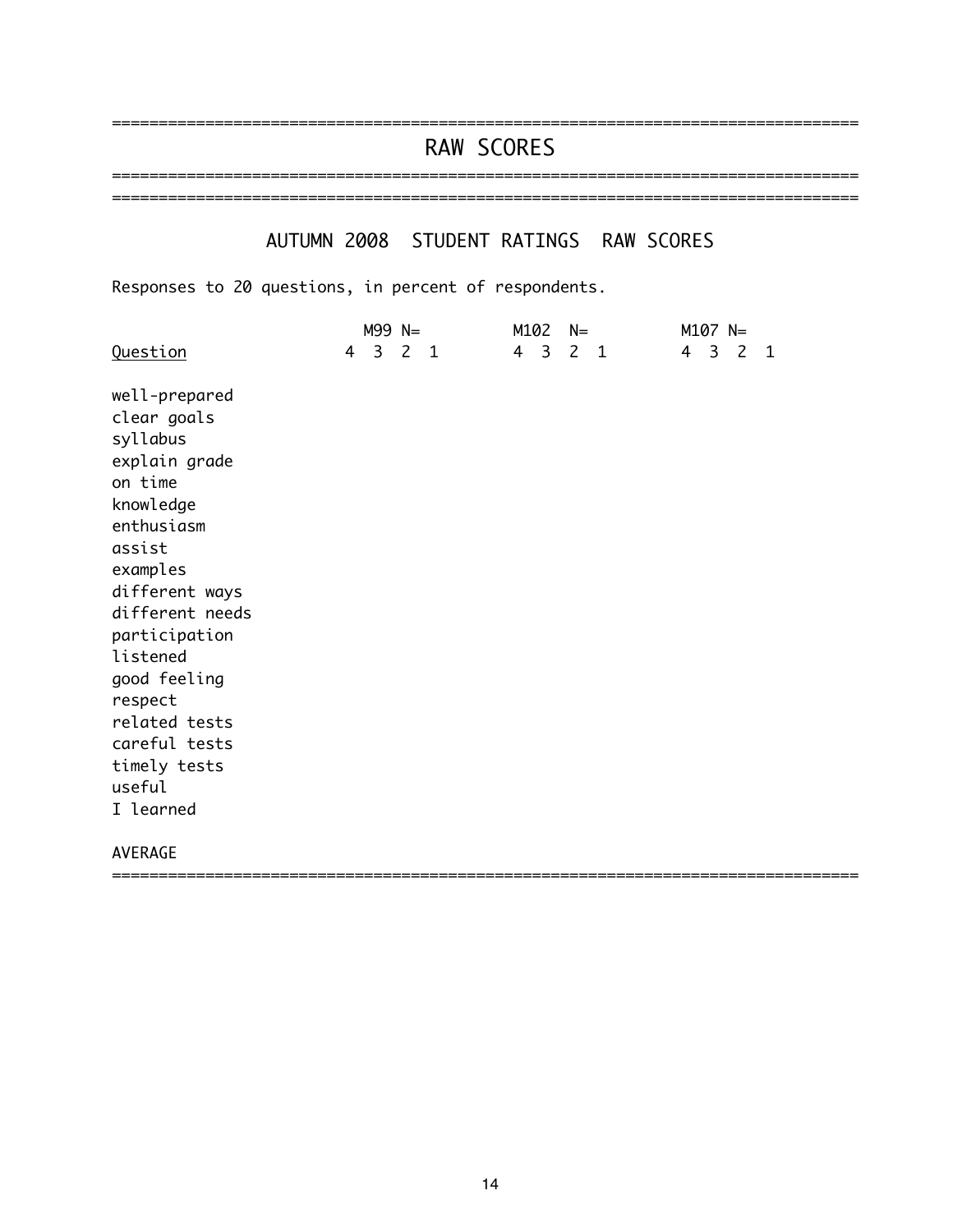# RAW SCORES ================================================================================

================================================================================

### AUTUMN 2008 STUDENT RATINGS RAW SCORES

================================================================================

Responses to 20 questions, in percent of respondents.

|                 | $M99 N=$ | M102<br>$N=$ | $M107 N=$ |
|-----------------|----------|--------------|-----------|
| <b>Question</b> | 4 3 2 1  | 4 3 2 1      | 4 3 2 1   |
| well-prepared   |          |              |           |
| clear goals     |          |              |           |
| syllabus        |          |              |           |
| explain grade   |          |              |           |
| on time         |          |              |           |
| knowledge       |          |              |           |
| enthusiasm      |          |              |           |
| assist          |          |              |           |
| examples        |          |              |           |
| different ways  |          |              |           |
| different needs |          |              |           |
| participation   |          |              |           |
| listened        |          |              |           |
| good feeling    |          |              |           |
| respect         |          |              |           |
| related tests   |          |              |           |
| careful tests   |          |              |           |
| timely tests    |          |              |           |
| useful          |          |              |           |
| I learned       |          |              |           |
| AVERAGE         |          |              |           |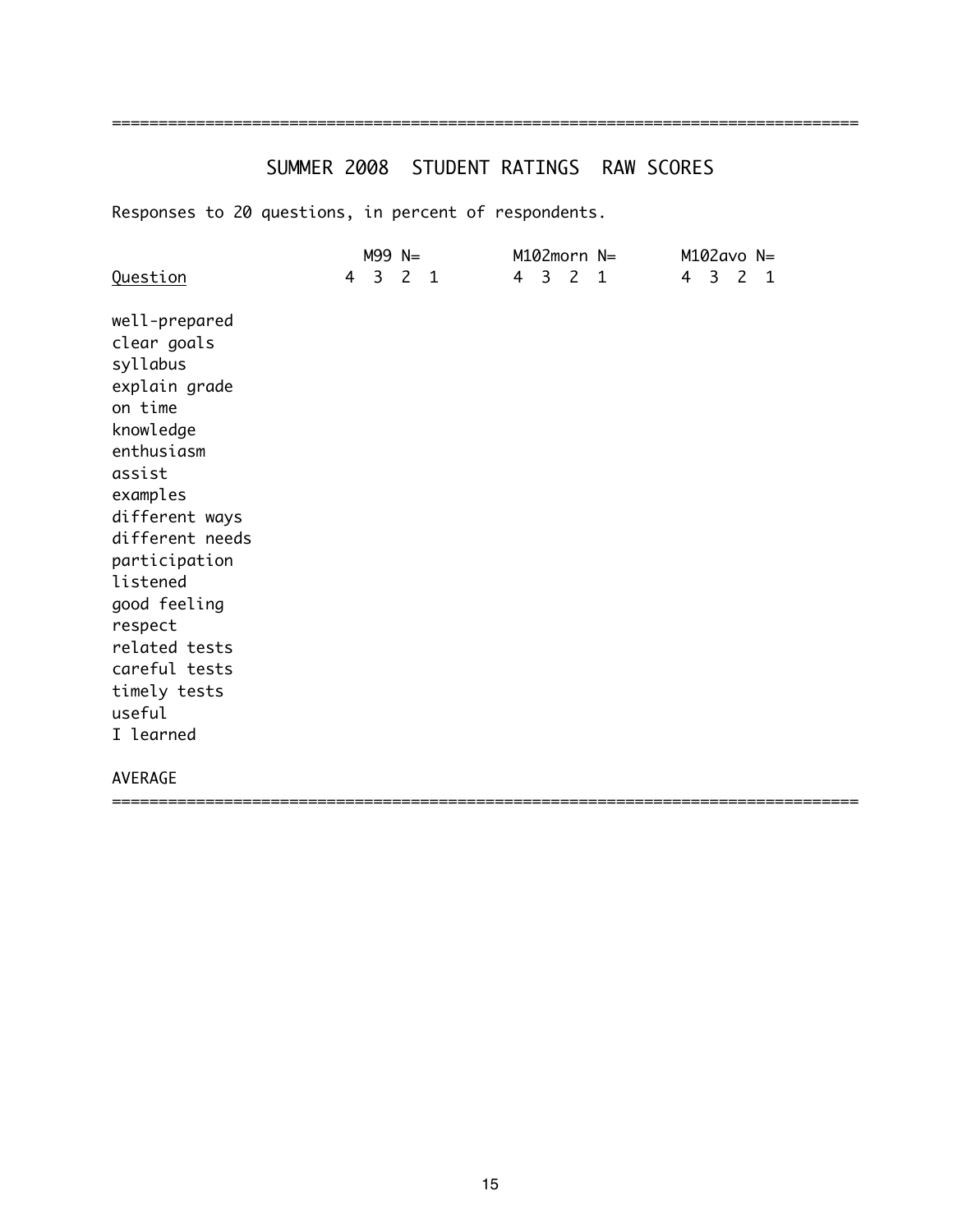## =====================

# SUMMER 2008 STUDENT RATINGS RAW SCORES

| Question                                                                                                                                                                                                                                                                                    | $M99 N=$<br>4 3 2 1 |  |  | M102morn N=<br>4 3 2 1 |                                | $M102$ avo N=<br>4 3 2 1 |  |
|---------------------------------------------------------------------------------------------------------------------------------------------------------------------------------------------------------------------------------------------------------------------------------------------|---------------------|--|--|------------------------|--------------------------------|--------------------------|--|
| well-prepared<br>clear goals<br>syllabus<br>explain grade<br>on time<br>knowledge<br>enthusiasm<br>assist<br>examples<br>different ways<br>different needs<br>participation<br>listened<br>good feeling<br>respect<br>related tests<br>careful tests<br>timely tests<br>useful<br>I learned |                     |  |  |                        |                                |                          |  |
| <b>AVERAGE</b>                                                                                                                                                                                                                                                                              |                     |  |  |                        | ============================== |                          |  |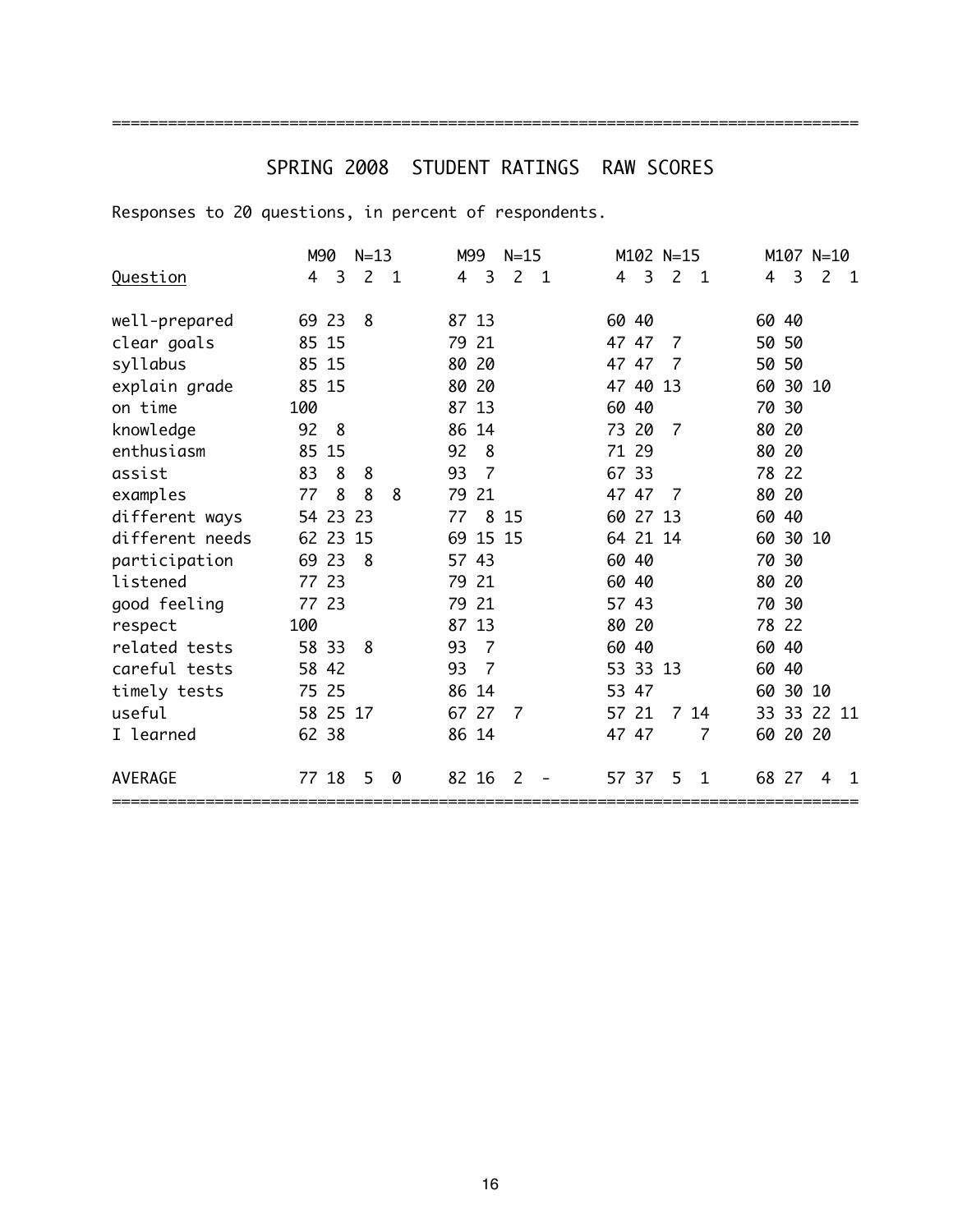# SPRING 2008 STUDENT RATINGS RAW SCORES

================================================================================

|                 | M90      | $N=13$                        | M99<br>$N=15$                            | M102 N=15                     | M107 N=10                     |
|-----------------|----------|-------------------------------|------------------------------------------|-------------------------------|-------------------------------|
| Question        | 3<br>4   | $\overline{2}$<br>$\mathbf 1$ | 3<br>$\overline{c}$<br>$\mathbf{1}$<br>4 | 3<br>$\overline{2}$<br>1<br>4 | 3<br>$\overline{2}$<br>4<br>1 |
|                 |          |                               |                                          |                               |                               |
| well-prepared   | 69 23    | 8                             | 87 13                                    | 60 40                         | 60 40                         |
| clear goals     | 85 15    |                               | 79 21                                    | 47 47<br>7                    | 50 50                         |
| syllabus        | 85 15    |                               | 80<br>20                                 | 47 47<br>7                    | 50 50                         |
| explain grade   | 85 15    |                               | 80<br>20                                 | 47 40<br>13                   | 60 30 10                      |
| on time         | 100      |                               | 87 13                                    | 60 40                         | 70 30                         |
| knowledge       | 92<br>8  |                               | 86<br>14                                 | 73 20<br>$\overline{7}$       | 80<br>-20                     |
| enthusiasm      | 85 15    |                               | 92<br>8                                  | 71 29                         | 80 20                         |
| assist          | 83<br>8  | 8                             | 93<br>$\overline{7}$                     | 67 33                         | 78 22                         |
| examples        | 8<br>77  | 8<br>8                        | 79<br>-21                                | 47 47<br>7                    | 80 20                         |
| different ways  | 54 23 23 |                               | 8<br>15<br>77                            | 60 27 13                      | 60 40                         |
| different needs | 62 23    | 15                            | 69 15 15                                 | 64 21 14                      | 60 30 10                      |
| participation   | 69 23    | 8                             | 57 43                                    | 60 40                         | 70 30                         |
| listened        | 77 23    |                               | 79<br>-21                                | 60 40                         | 80 20                         |
| good feeling    | 77 23    |                               | 21<br>79                                 | 57 43                         | 70 30                         |
| respect         | 100      |                               | 87 13                                    | 80 20                         | 78 22                         |
| related tests   | 58 33    | 8                             | 93<br>7                                  | 60 40                         | 60 40                         |
| careful tests   | 58 42    |                               | 93<br>7                                  | 53 33 13                      | 60 40                         |
| timely tests    | 75 25    |                               | 86 14                                    | 53 47                         | 60 30 10                      |
| useful          | 58 25 17 |                               | 67 27<br>7                               | 57 21<br>$\overline{7}$<br>14 | 33 33 22 11                   |
| I learned       | 62 38    |                               | 86 14                                    | 47 47<br>7                    | 60 20 20                      |
| <b>AVERAGE</b>  | 77 18    | 5<br>0                        | 82 16<br>2                               | 57 37<br>5<br>1               | 68 27<br>4<br>1               |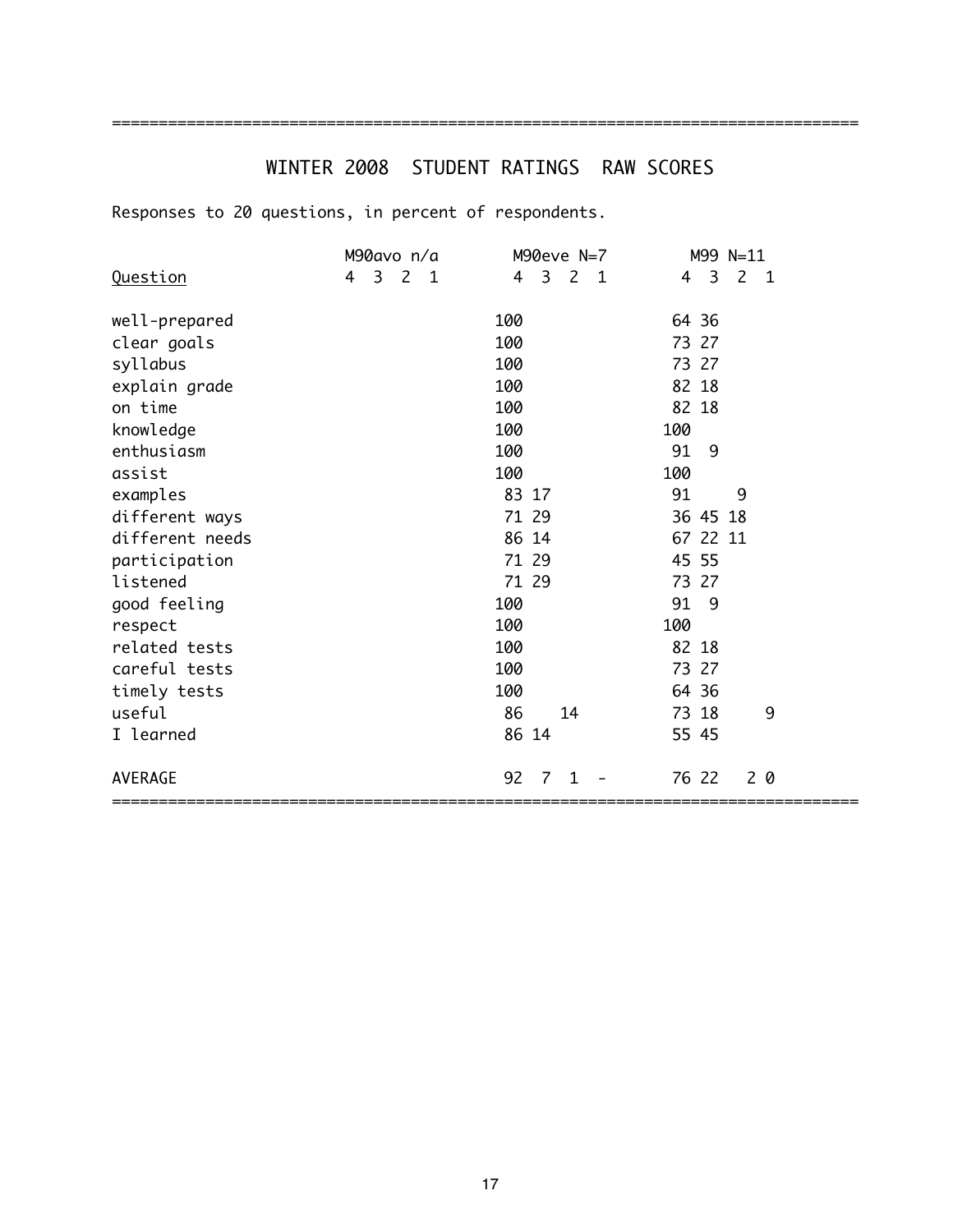# WINTER 2008 STUDENT RATINGS RAW SCORES

================================================================================

|                 | M90avo n/a                               | M90eve N=7                                              | M99 N=11                              |
|-----------------|------------------------------------------|---------------------------------------------------------|---------------------------------------|
| Question        | $\overline{3}$<br>2<br>4<br>$\mathbf{1}$ | $\overline{3}$<br>$\overline{2}$<br>4<br>$\overline{1}$ | 2 <sub>1</sub><br>$\overline{3}$<br>4 |
| well-prepared   |                                          | 100                                                     | 64 36                                 |
| clear goals     |                                          | 100                                                     | 73 27                                 |
| syllabus        |                                          | 100                                                     | 73 27                                 |
| explain grade   |                                          | 100                                                     | 82 18                                 |
| on time         |                                          | 100                                                     | 82 18                                 |
| knowledge       |                                          | 100                                                     | 100                                   |
| enthusiasm      |                                          | 100                                                     | 91<br>9                               |
| assist          |                                          | 100                                                     | 100                                   |
| examples        |                                          | 83 17                                                   | 91<br>9                               |
| different ways  |                                          | 71 29                                                   | 36 45 18                              |
| different needs |                                          | 86 14                                                   | 67 22 11                              |
| participation   |                                          | 71 29                                                   | 45 55                                 |
| listened        |                                          | 71 29                                                   | 73 27                                 |
| good feeling    |                                          | 100                                                     | 91<br>- 9                             |
| respect         |                                          | 100                                                     | 100                                   |
| related tests   |                                          | 100                                                     | 82 18                                 |
| careful tests   |                                          | 100                                                     | 73 27                                 |
| timely tests    |                                          | 100                                                     | 64 36                                 |
| useful          |                                          | 86<br>14                                                | 9<br>73 18                            |
| I learned       |                                          | 86 14                                                   | 55 45                                 |
| <b>AVERAGE</b>  |                                          | 92<br>7<br>1                                            | 20<br>76 22                           |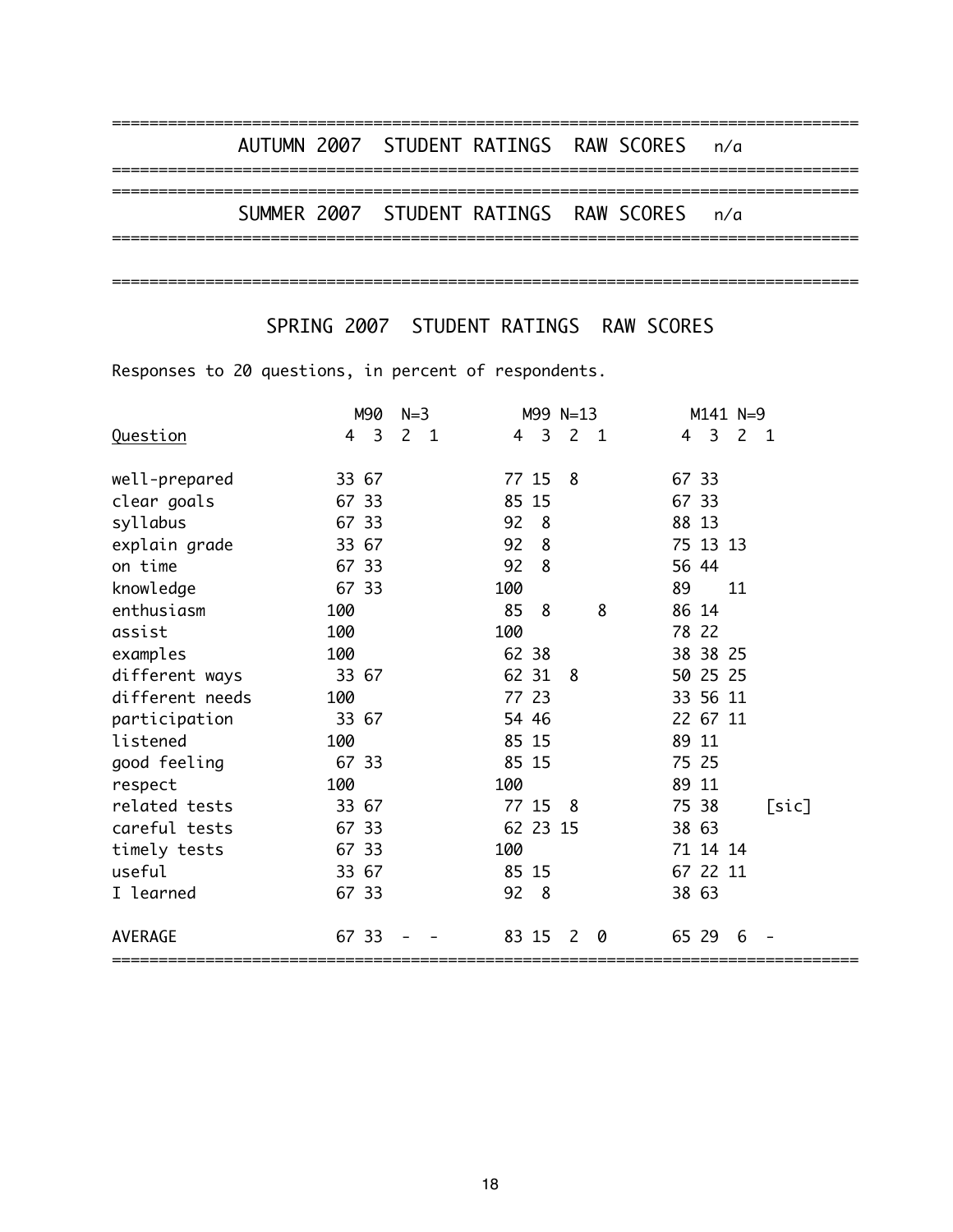|  |  | AUTUMN 2007 STUDENT RATINGS RAW SCORES n/a |  |  |
|--|--|--------------------------------------------|--|--|
|  |  | SUMMER 2007 STUDENT RATINGS RAW SCORES n/a |  |  |
|  |  |                                            |  |  |

SPRING 2007 STUDENT RATINGS RAW SCORES

|                 | M90    | $N=3$                            |          | M99 N=13       |   |       | M141 N=9                                  |                |
|-----------------|--------|----------------------------------|----------|----------------|---|-------|-------------------------------------------|----------------|
| Question        | 3<br>4 | $\overline{2}$<br>$\overline{1}$ | 3<br>4   | 2 <sub>1</sub> |   | 4     | $\overline{\mathbf{3}}$<br>$\overline{2}$ | $\overline{1}$ |
| well-prepared   | 33 67  |                                  | 77 15    | 8              |   | 67 33 |                                           |                |
| clear goals     | 67 33  |                                  | 85 15    |                |   | 67 33 |                                           |                |
| syllabus        | 67 33  |                                  | 92<br>8  |                |   | 88 13 |                                           |                |
| explain grade   | 33 67  |                                  | 92<br>8  |                |   |       | 75 13 13                                  |                |
| on time         | 67 33  |                                  | 92<br>8  |                |   | 56 44 |                                           |                |
| knowledge       | 67 33  |                                  | 100      |                |   | 89    | 11                                        |                |
| enthusiasm      | 100    |                                  | 85<br>8  |                | 8 | 86 14 |                                           |                |
| assist          | 100    |                                  | 100      |                |   | 78 22 |                                           |                |
| examples        | 100    |                                  | 62 38    |                |   |       | 38 38 25                                  |                |
| different ways  | 33 67  |                                  | 62 31    | 8              |   |       | 50 25 25                                  |                |
| different needs | 100    |                                  | 77 23    |                |   |       | 33 56 11                                  |                |
| participation   | 33 67  |                                  | 54 46    |                |   |       | 22 67 11                                  |                |
| listened        | 100    |                                  | 85 15    |                |   | 89 11 |                                           |                |
| good feeling    | 67 33  |                                  | 85 15    |                |   | 75 25 |                                           |                |
| respect         | 100    |                                  | 100      |                |   | 89 11 |                                           |                |
| related tests   | 33 67  |                                  | 77 15 8  |                |   | 75 38 |                                           | [sic]          |
| careful tests   | 67 33  |                                  | 62 23 15 |                |   | 38 63 |                                           |                |
| timely tests    | 67 33  |                                  | 100      |                |   |       | 71 14 14                                  |                |
| useful          | 33 67  |                                  | 85 15    |                |   |       | 67 22 11                                  |                |
| I learned       | 67 33  |                                  | 92<br>8  |                |   | 38 63 |                                           |                |
| <b>AVERAGE</b>  | 67 33  |                                  | 83 15    | 2              | 0 | 65 29 | 6                                         |                |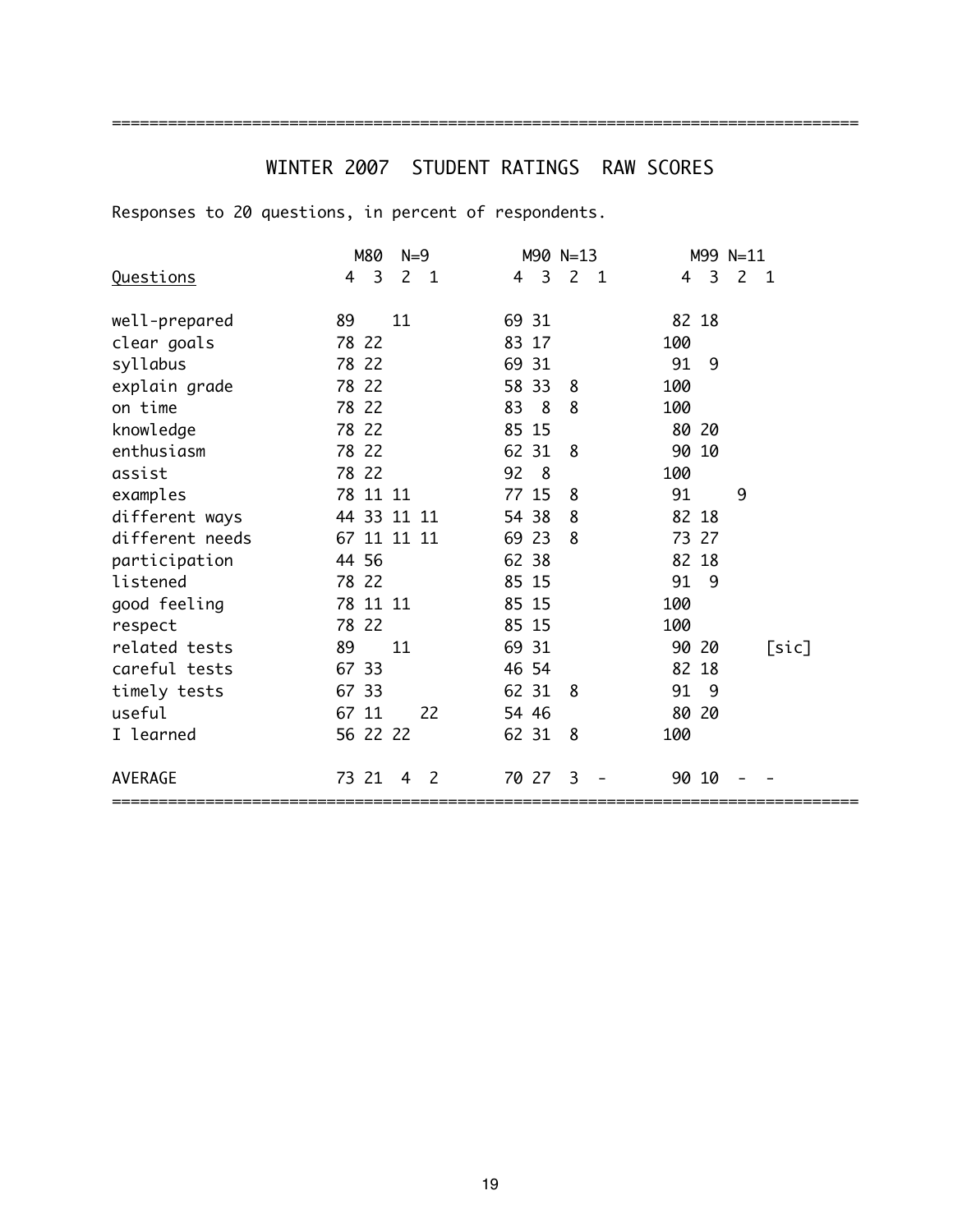# WINTER 2007 STUDENT RATINGS RAW SCORES

================================================================================

|                  | M80         | $N=9$          |                     | M90 N=13       |       |   | M99 N=11       |                |
|------------------|-------------|----------------|---------------------|----------------|-------|---|----------------|----------------|
| <b>Questions</b> | 3<br>4      | 2 <sub>1</sub> | $\overline{3}$<br>4 | 2 <sub>1</sub> | 4     | 3 | $\overline{2}$ | $\overline{1}$ |
| well-prepared    | 89<br>11    |                | 69 31               |                | 82 18 |   |                |                |
| clear goals      | 78 22       |                | 83 17               |                | 100   |   |                |                |
| syllabus         | 78 22       |                | 69 31               |                | 91    | 9 |                |                |
| explain grade    | 78 22       |                | 58 33               | 8              | 100   |   |                |                |
| on time          | 78 22       |                | 83<br>8             | 8              | 100   |   |                |                |
| knowledge        | 78 22       |                | 85 15               |                | 80 20 |   |                |                |
| enthusiasm       | 78 22       |                | 62 31               | 8              | 90 10 |   |                |                |
| assist           | 78 22       |                | 92<br>- 8           |                | 100   |   |                |                |
| examples         | 78 11 11    |                | 77 15               | 8              | 91    |   | 9              |                |
| different ways   | 44 33 11 11 |                | 54 38               | 8              | 82 18 |   |                |                |
| different needs  | 67 11 11 11 |                | 69 23               | 8              | 73 27 |   |                |                |
| participation    | 44 56       |                | 62 38               |                | 82 18 |   |                |                |
| listened         | 78 22       |                | 85 15               |                | 91 9  |   |                |                |
| good feeling     | 78 11 11    |                | 85 15               |                | 100   |   |                |                |
| respect          | 78 22       |                | 85 15               |                | 100   |   |                |                |
| related tests    | 89<br>11    |                | 69 31               |                | 90 20 |   |                | [sic]          |
| careful tests    | 67 33       |                | 46 54               |                | 82 18 |   |                |                |
| timely tests     | 67 33       |                | 62 31               | 8              | 91 9  |   |                |                |
| useful           | 67 11       | 22             | 54 46               |                | 80 20 |   |                |                |
| I learned        | 56 22 22    |                | 62 31               | 8              | 100   |   |                |                |
| <b>AVERAGE</b>   | 73 21       | 2<br>4         | 70 27               | 3              | 90 10 |   |                |                |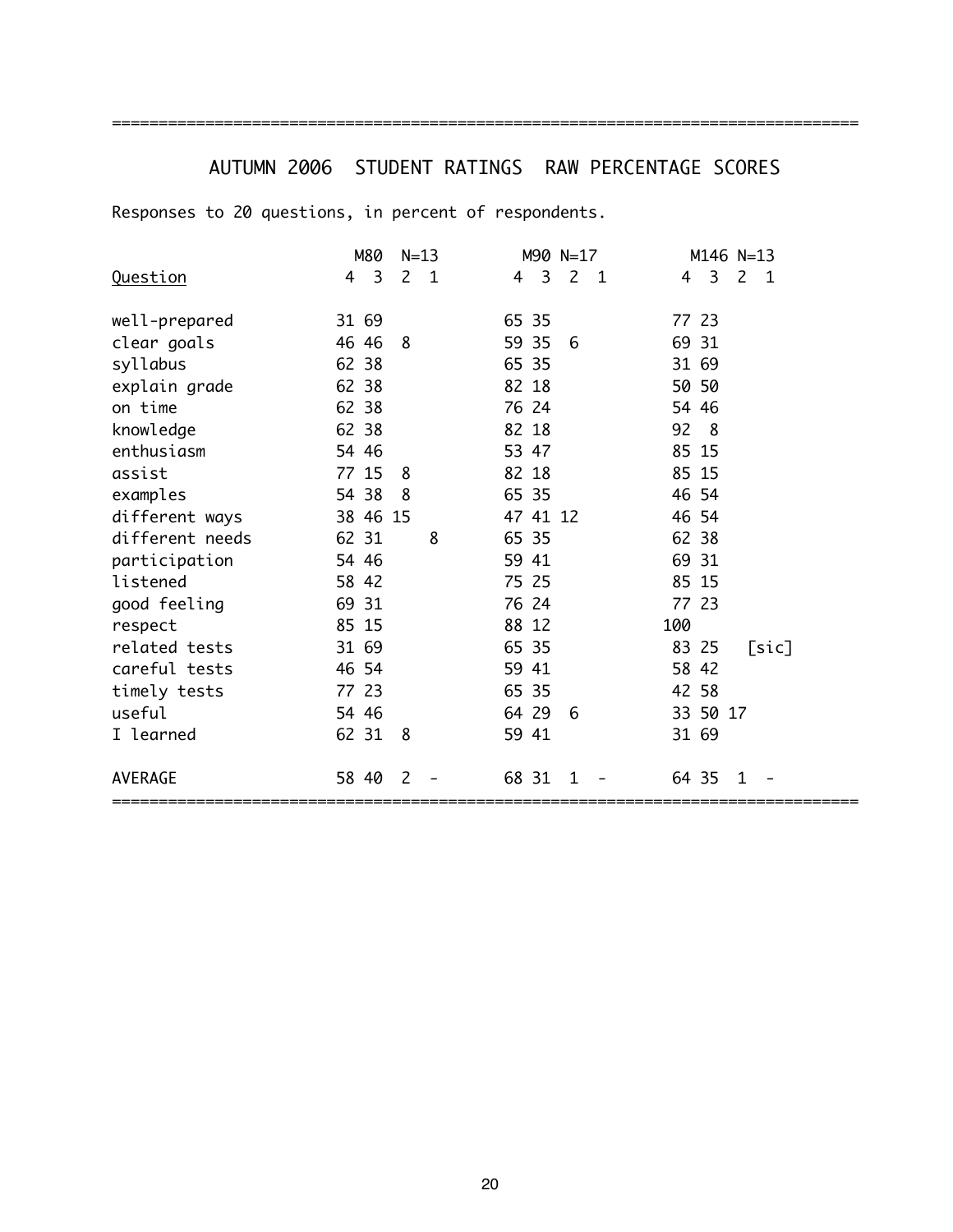# AUTUMN 2006 STUDENT RATINGS RAW PERCENTAGE SCORES

================================================================================

|                 | M80      | $N=13$                         | M90 N=17                 | M146 N=13                                |
|-----------------|----------|--------------------------------|--------------------------|------------------------------------------|
| Question        | 3<br>4   | $\overline{2}$<br>$\mathbf{1}$ | 2 <sub>1</sub><br>3<br>4 | 3<br>$\overline{2}$<br>4<br>$\mathbf{1}$ |
|                 |          |                                |                          |                                          |
| well-prepared   | 31 69    |                                | 65 35                    | 77 23                                    |
| clear goals     | 46 46    | 8                              | 59 35<br>6               | 69 31                                    |
| syllabus        | 62 38    |                                | 65 35                    | 31 69                                    |
| explain grade   | 62 38    |                                | 82 18                    | 50 50                                    |
| on time         | 62 38    |                                | 76 24                    | 54 46                                    |
| knowledge       | 62 38    |                                | 82 18                    | 92 8                                     |
| enthusiasm      | 54 46    |                                | 53 47                    | 85 15                                    |
| assist          | 77 15    | 8                              | 82 18                    | 85 15                                    |
| examples        | 54 38    | 8                              | 65 35                    | 46 54                                    |
| different ways  | 38 46 15 |                                | 47 41 12                 | 46 54                                    |
| different needs | 62 31    | 8                              | 65 35                    | 62 38                                    |
| participation   | 54 46    |                                | 59 41                    | 69 31                                    |
| listened        | 58 42    |                                | 75 25                    | 85 15                                    |
| good feeling    | 69 31    |                                | 76 24                    | 77 23                                    |
| respect         | 85 15    |                                | 88 12                    | 100                                      |
| related tests   | 31 69    |                                | 65 35                    | 83 25<br>[sic]                           |
| careful tests   | 46 54    |                                | 59 41                    | 58 42                                    |
| timely tests    | 77 23    |                                | 65 35                    | 42 58                                    |
| useful          | 54 46    |                                | 64 29<br>6               | 33 50 17                                 |
| I learned       | 62 31    | 8                              | 59 41                    | 31 69                                    |
| <b>AVERAGE</b>  | 58 40    | $\mathcal{L}$                  | 68 31<br>1               | 64 35<br>1                               |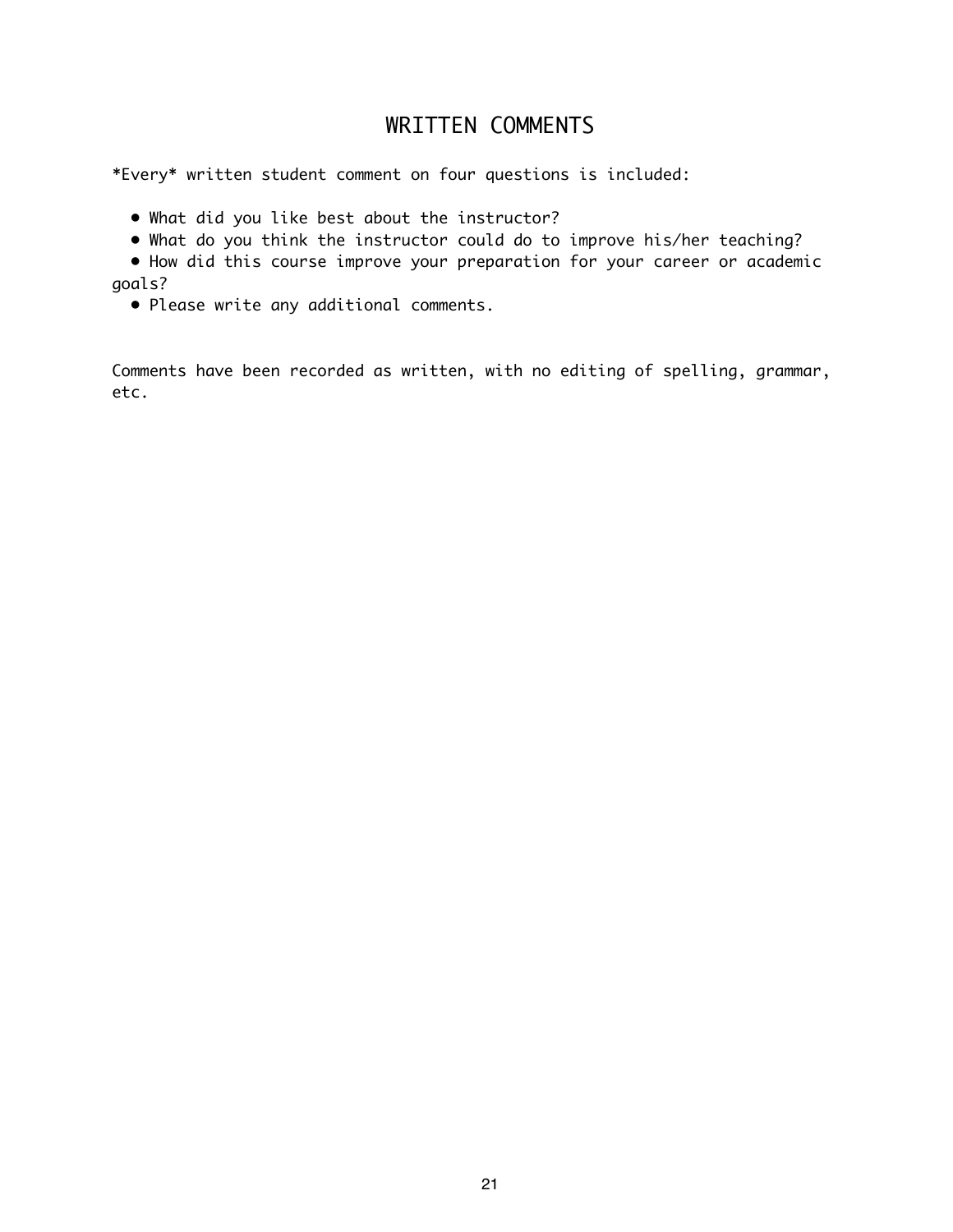# WRITTEN COMMENTS

\*Every\* written student comment on four questions is included:

- What did you like best about the instructor?
- What do you think the instructor could do to improve his/her teaching?

 • How did this course improve your preparation for your career or academic goals?

• Please write any additional comments.

Comments have been recorded as written, with no editing of spelling, grammar, etc.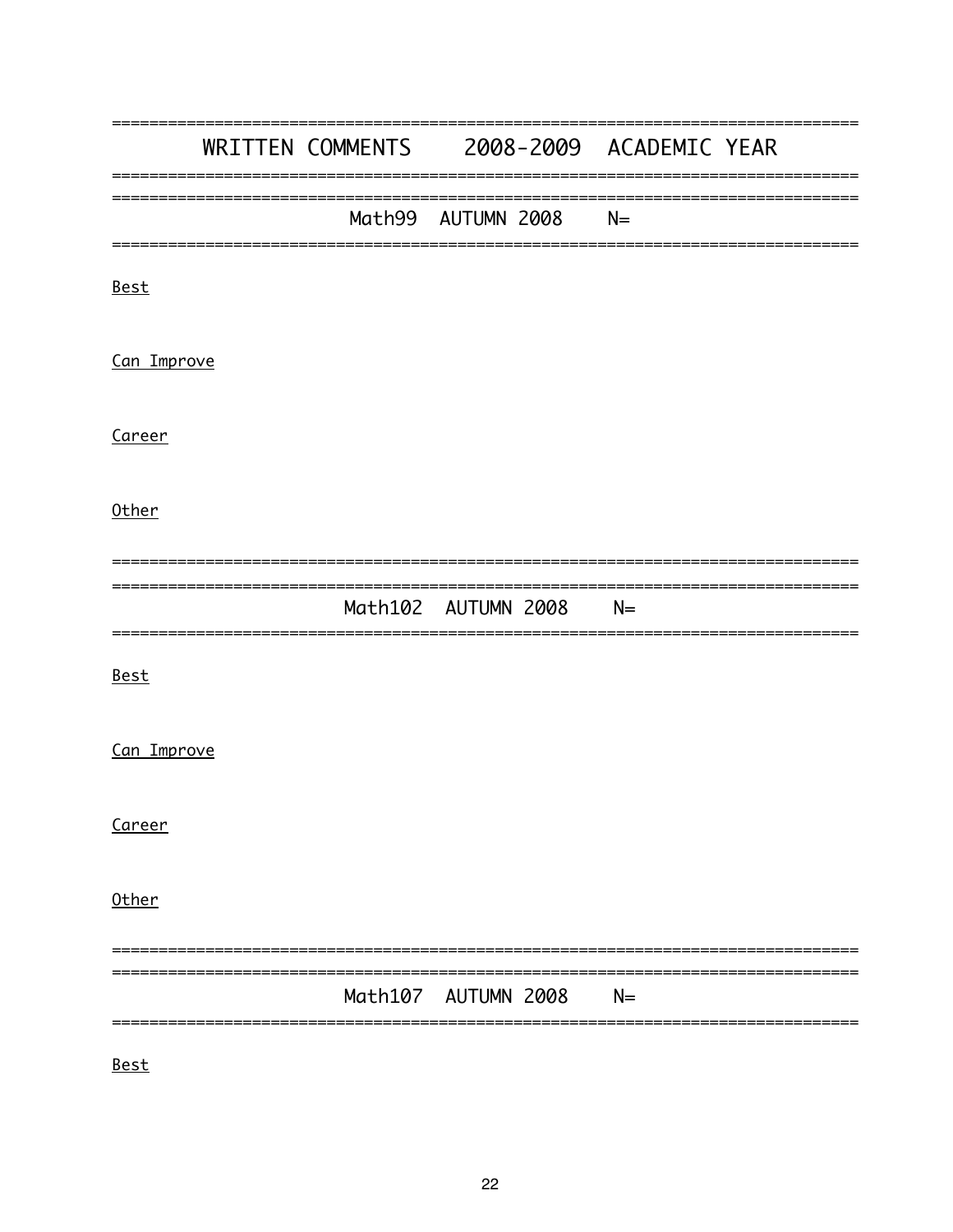|             |  |                     | WRITTEN COMMENTS 2008-2009 ACADEMIC YEAR |
|-------------|--|---------------------|------------------------------------------|
|             |  | Math99 AUTUMN 2008  | $N=$                                     |
| <u>Best</u> |  |                     |                                          |
| Can Improve |  |                     |                                          |
| Career      |  |                     |                                          |
| Other       |  |                     |                                          |
|             |  | Math102 AUTUMN 2008 | $N=$                                     |
| <u>Best</u> |  |                     |                                          |
| Can Improve |  |                     |                                          |
| Career      |  |                     |                                          |
| Other       |  |                     |                                          |
|             |  | Math107 AUTUMN 2008 | $N=$                                     |
|             |  |                     |                                          |

<u>Best</u>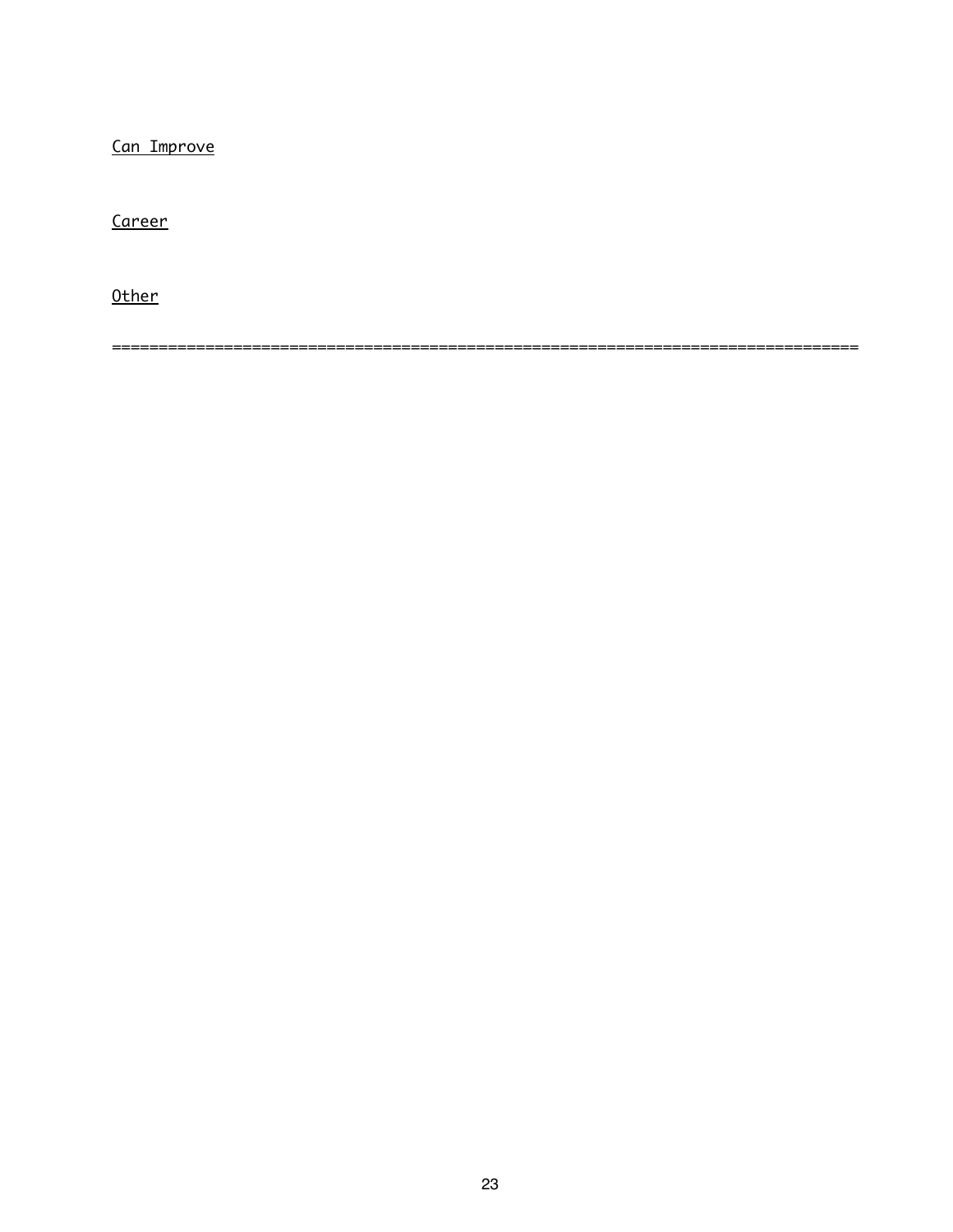Can Improve

Career

Other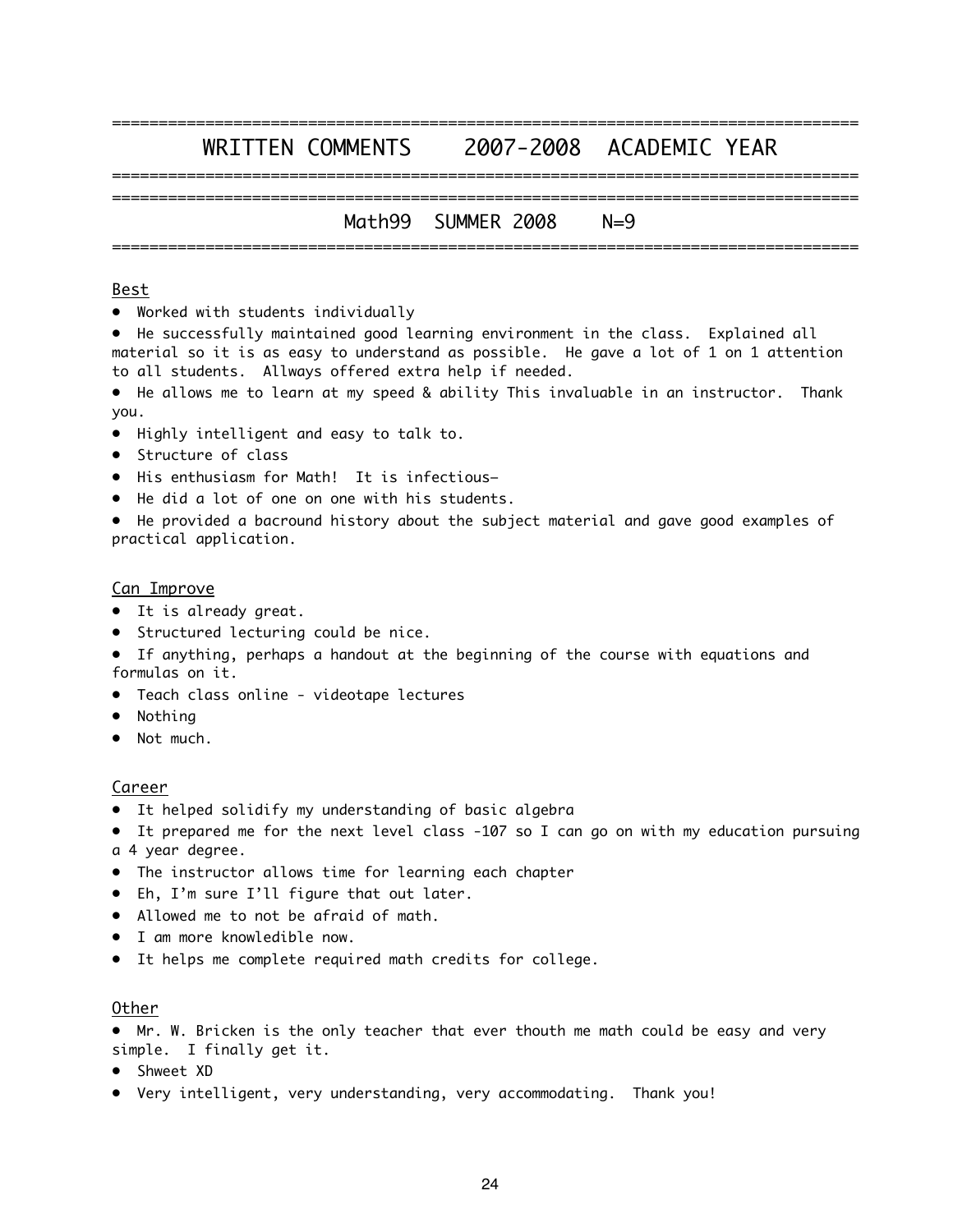### ================================================================================ WRITTEN COMMENTS 2007-2008 ACADEMIC YEAR ================================================================================

### ================================================================================ Math99 SUMMER 2008 N=9 ================================================================================

#### Best

• Worked with students individually

• He successfully maintained good learning environment in the class. Explained all material so it is as easy to understand as possible. He gave a lot of 1 on 1 attention to all students. Allways offered extra help if needed.

• He allows me to learn at my speed & ability This invaluable in an instructor. Thank you.

- Highly intelligent and easy to talk to.
- Structure of class
- His enthusiasm for Math! It is infectious–
- He did a lot of one on one with his students.

• He provided a bacround history about the subject material and gave good examples of practical application.

#### Can Improve

- It is already great.
- Structured lecturing could be nice.
- If anything, perhaps a handout at the beginning of the course with equations and formulas on it.
- Teach class online videotape lectures
- Nothing
- Not much.

#### Career

- It helped solidify my understanding of basic algebra
- It prepared me for the next level class -107 so I can go on with my education pursuing a 4 year degree.
- The instructor allows time for learning each chapter
- Eh, I'm sure I'll figure that out later.
- Allowed me to not be afraid of math.
- I am more knowledible now.
- It helps me complete required math credits for college.

#### Other

- Mr. W. Bricken is the only teacher that ever thouth me math could be easy and very simple. I finally get it.
- Shweet XD
- Very intelligent, very understanding, very accommodating. Thank you!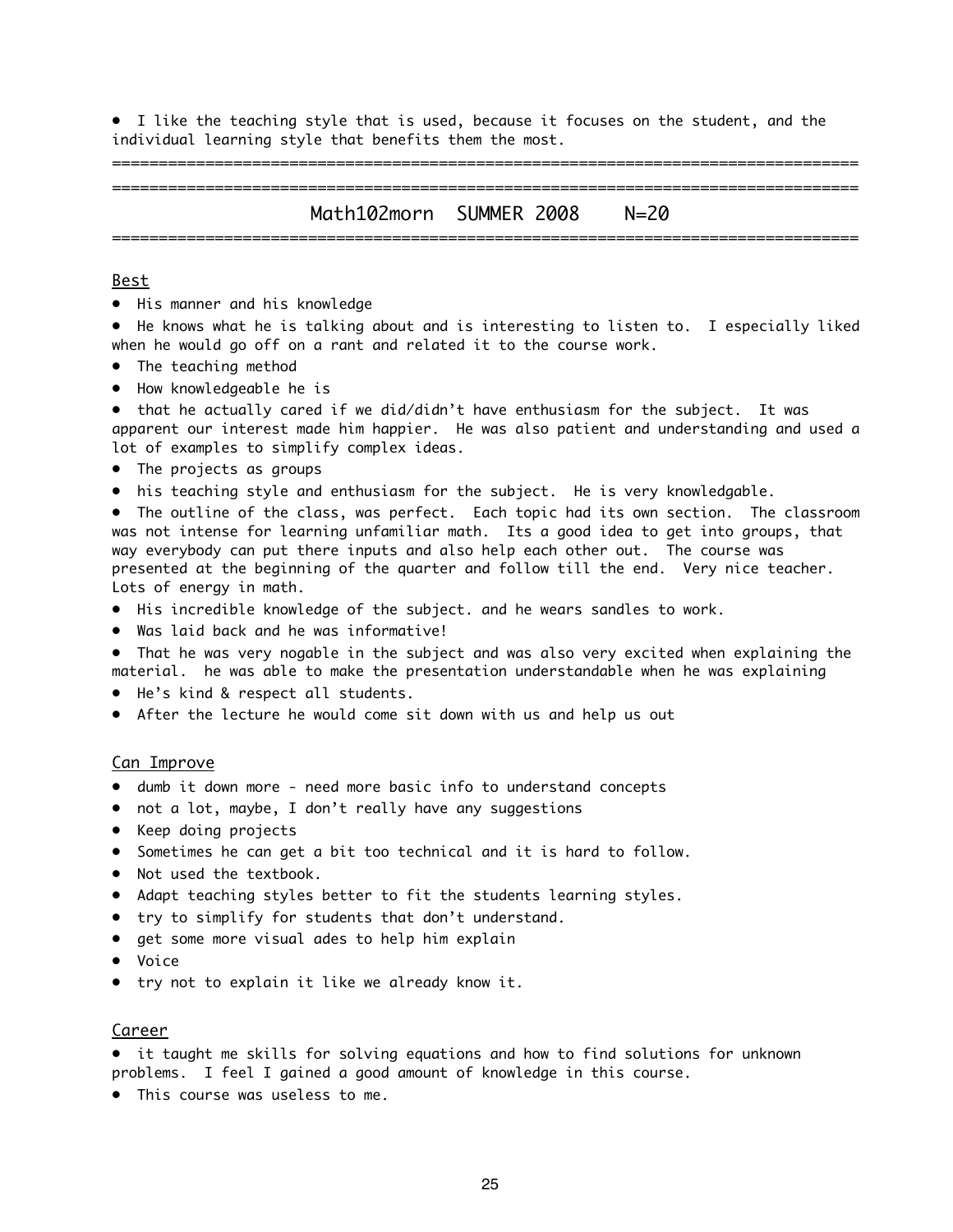• I like the teaching style that is used, because it focuses on the student, and the individual learning style that benefits them the most.

================================================================================

Math102morn SUMMER 2008 N=20 ================================================================================

================================================================================

#### Best

• His manner and his knowledge

• He knows what he is talking about and is interesting to listen to. I especially liked when he would go off on a rant and related it to the course work.

- The teaching method
- How knowledgeable he is

• that he actually cared if we did/didn't have enthusiasm for the subject. It was apparent our interest made him happier. He was also patient and understanding and used a lot of examples to simplify complex ideas.

- The projects as groups
- his teaching style and enthusiasm for the subject. He is very knowledgable.

• The outline of the class, was perfect. Each topic had its own section. The classroom was not intense for learning unfamiliar math. Its a good idea to get into groups, that way everybody can put there inputs and also help each other out. The course was presented at the beginning of the quarter and follow till the end. Very nice teacher. Lots of energy in math.

- His incredible knowledge of the subject. and he wears sandles to work.
- Was laid back and he was informative!
- That he was very nogable in the subject and was also very excited when explaining the material. he was able to make the presentation understandable when he was explaining
- He's kind & respect all students.
- After the lecture he would come sit down with us and help us out

#### Can Improve

- dumb it down more need more basic info to understand concepts
- not a lot, maybe, I don't really have any suggestions
- Keep doing projects
- Sometimes he can get a bit too technical and it is hard to follow.
- Not used the textbook.
- Adapt teaching styles better to fit the students learning styles.
- try to simplify for students that don't understand.
- get some more visual ades to help him explain
- Voice
- try not to explain it like we already know it.

#### Career

- it taught me skills for solving equations and how to find solutions for unknown problems. I feel I gained a good amount of knowledge in this course.
- This course was useless to me.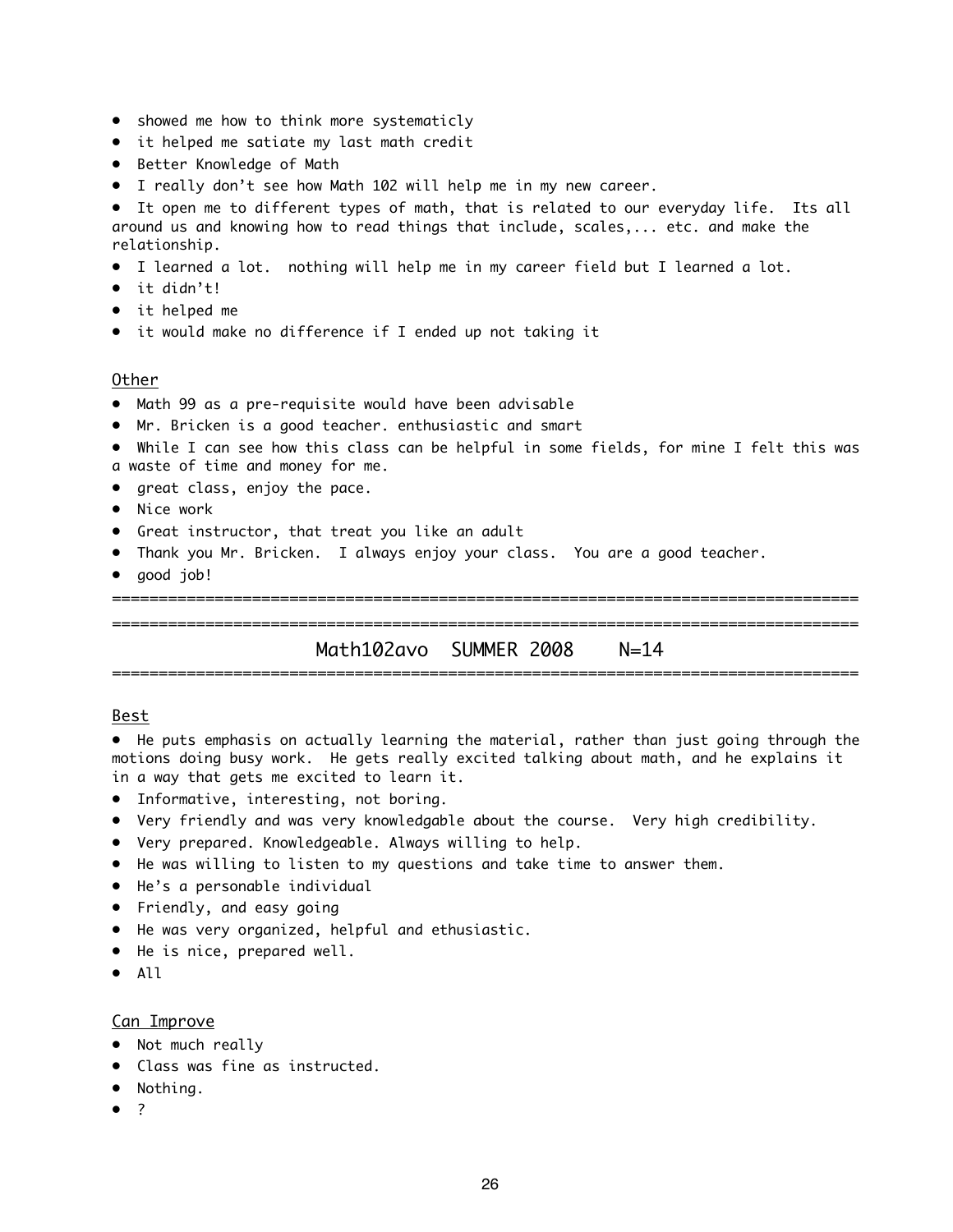- showed me how to think more systematicly
- it helped me satiate my last math credit
- Better Knowledge of Math
- I really don't see how Math 102 will help me in my new career.

• It open me to different types of math, that is related to our everyday life. Its all around us and knowing how to read things that include, scales,... etc. and make the relationship.

- I learned a lot. nothing will help me in my career field but I learned a lot.
- it didn't!
- it helped me
- it would make no difference if I ended up not taking it

#### Other

- Math 99 as a pre-requisite would have been advisable
- Mr. Bricken is a good teacher. enthusiastic and smart
- While I can see how this class can be helpful in some fields, for mine I felt this was a waste of time and money for me.
- great class, enjoy the pace.
- Nice work
- Great instructor, that treat you like an adult
- Thank you Mr. Bricken. I always enjoy your class. You are a good teacher.
- good job!

================================================================================

### ================================================================================ Math102avo SUMMER 2008 N=14

================================================================================

#### Best

• He puts emphasis on actually learning the material, rather than just going through the motions doing busy work. He gets really excited talking about math, and he explains it in a way that gets me excited to learn it.

- Informative, interesting, not boring.
- Very friendly and was very knowledgable about the course. Very high credibility.
- Very prepared. Knowledgeable. Always willing to help.
- He was willing to listen to my questions and take time to answer them.
- He's a personable individual
- Friendly, and easy going
- He was very organized, helpful and ethusiastic.
- He is nice, prepared well.
- All

#### Can Improve

- Not much really
- Class was fine as instructed.
- Nothing.
- ?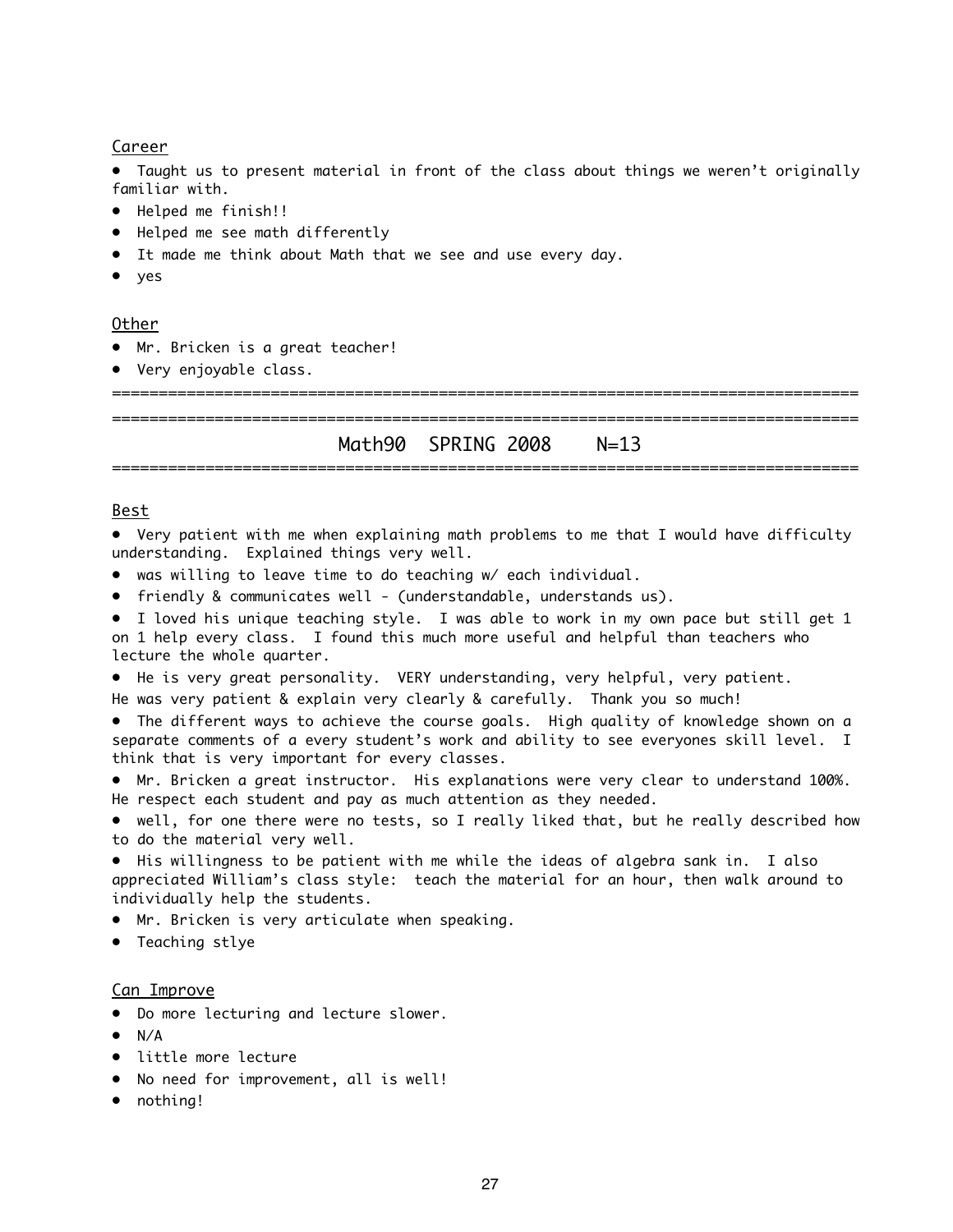#### Career

• Taught us to present material in front of the class about things we weren't originally familiar with.

- Helped me finish!!
- Helped me see math differently
- It made me think about Math that we see and use every day.
- yes

#### Other

- Mr. Bricken is a great teacher!
- Very enjoyable class.

================================================================================

================================================================================ Math90 SPRING 2008 N=13 ================================================================================

#### Best

• Very patient with me when explaining math problems to me that I would have difficulty understanding. Explained things very well.

- was willing to leave time to do teaching w/ each individual.
- friendly & communicates well (understandable, understands us).
- I loved his unique teaching style. I was able to work in my own pace but still get 1 on 1 help every class. I found this much more useful and helpful than teachers who lecture the whole quarter.
- He is very great personality. VERY understanding, very helpful, very patient.

He was very patient & explain very clearly & carefully. Thank you so much!

• The different ways to achieve the course goals. High quality of knowledge shown on a separate comments of a every student's work and ability to see everyones skill level. I think that is very important for every classes.

• Mr. Bricken a great instructor. His explanations were very clear to understand 100%. He respect each student and pay as much attention as they needed.

• well, for one there were no tests, so I really liked that, but he really described how to do the material very well.

• His willingness to be patient with me while the ideas of algebra sank in. I also appreciated William's class style: teach the material for an hour, then walk around to individually help the students.

- Mr. Bricken is very articulate when speaking.
- Teaching stlye

#### Can Improve

- Do more lecturing and lecture slower.
- $\bullet$  N/A
- little more lecture
- No need for improvement, all is well!
- nothing!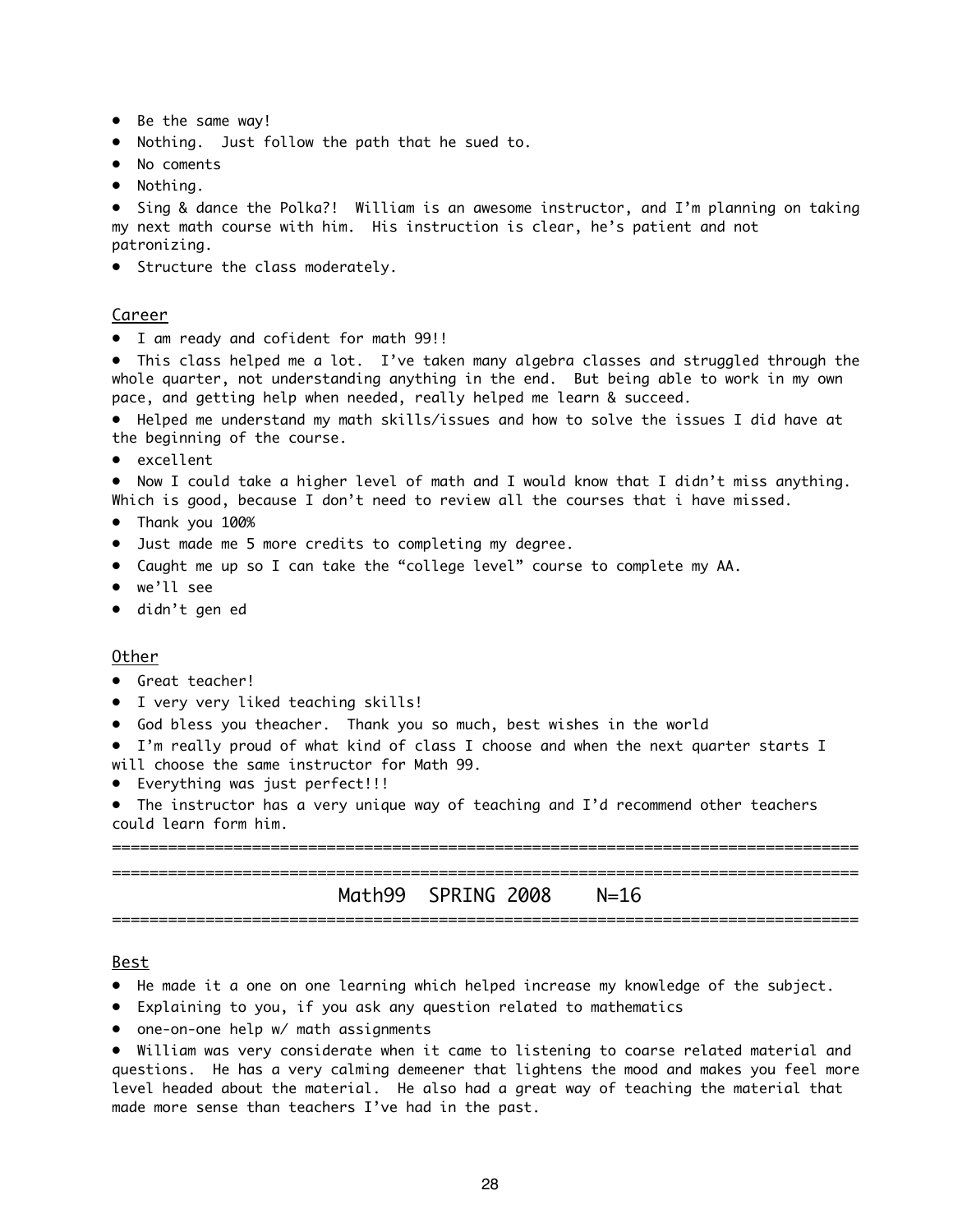- Be the same way!
- Nothing. Just follow the path that he sued to.
- No coments
- Nothing.

• Sing & dance the Polka?! William is an awesome instructor, and I'm planning on taking my next math course with him. His instruction is clear, he's patient and not patronizing.

• Structure the class moderately.

#### Career

• I am ready and cofident for math 99!!

• This class helped me a lot. I've taken many algebra classes and struggled through the whole quarter, not understanding anything in the end. But being able to work in my own pace, and getting help when needed, really helped me learn & succeed.

• Helped me understand my math skills/issues and how to solve the issues I did have at the beginning of the course.

• excellent

• Now I could take a higher level of math and I would know that I didn't miss anything. Which is good, because I don't need to review all the courses that i have missed.

- Thank you 100%
- Just made me 5 more credits to completing my degree.
- Caught me up so I can take the "college level" course to complete my AA.
- we'll see
- didn't gen ed

#### Other

- Great teacher!
- I very very liked teaching skills!
- God bless you theacher. Thank you so much, best wishes in the world

• I'm really proud of what kind of class I choose and when the next quarter starts I will choose the same instructor for Math 99.

• Everything was just perfect!!!

• The instructor has a very unique way of teaching and I'd recommend other teachers could learn form him.

================================================================================ ================================================================================

### Math99 SPRING 2008 N=16 ================================================================================

#### Best

- He made it a one on one learning which helped increase my knowledge of the subject.
- Explaining to you, if you ask any question related to mathematics
- one-on-one help w/ math assignments

• William was very considerate when it came to listening to coarse related material and questions. He has a very calming demeener that lightens the mood and makes you feel more level headed about the material. He also had a great way of teaching the material that made more sense than teachers I've had in the past.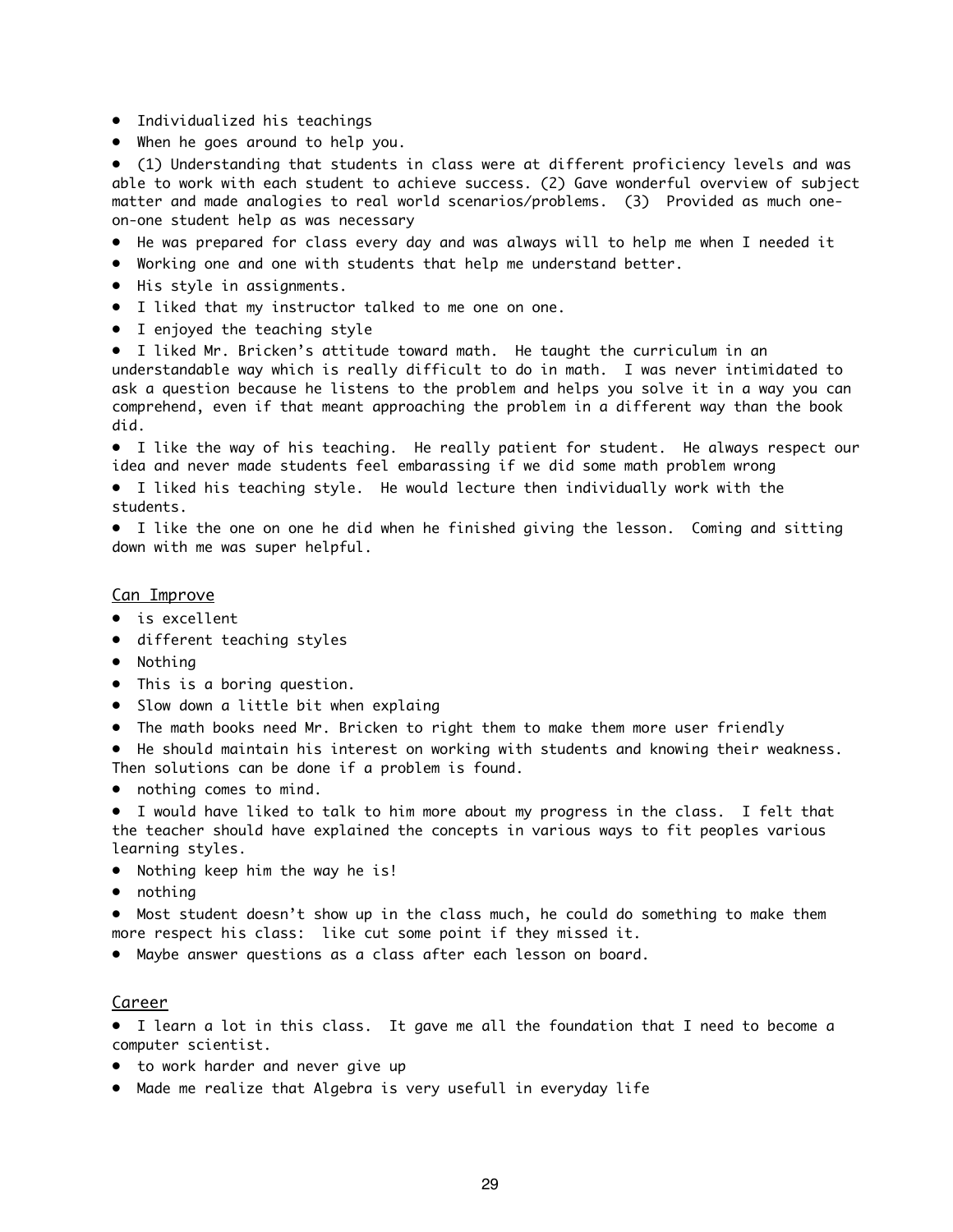- Individualized his teachings
- When he goes around to help you.

• (1) Understanding that students in class were at different proficiency levels and was able to work with each student to achieve success. (2) Gave wonderful overview of subject matter and made analogies to real world scenarios/problems. (3) Provided as much oneon-one student help as was necessary

- He was prepared for class every day and was always will to help me when I needed it
- Working one and one with students that help me understand better.
- His style in assignments.
- I liked that my instructor talked to me one on one.
- I enjoyed the teaching style

• I liked Mr. Bricken's attitude toward math. He taught the curriculum in an understandable way which is really difficult to do in math. I was never intimidated to ask a question because he listens to the problem and helps you solve it in a way you can comprehend, even if that meant approaching the problem in a different way than the book did.

• I like the way of his teaching. He really patient for student. He always respect our idea and never made students feel embarassing if we did some math problem wrong

• I liked his teaching style. He would lecture then individually work with the students.

• I like the one on one he did when he finished giving the lesson. Coming and sitting down with me was super helpful.

#### Can Improve

- is excellent
- different teaching styles
- Nothing
- This is a boring question.
- Slow down a little bit when explaing
- The math books need Mr. Bricken to right them to make them more user friendly

• He should maintain his interest on working with students and knowing their weakness. Then solutions can be done if a problem is found.

• nothing comes to mind.

• I would have liked to talk to him more about my progress in the class. I felt that the teacher should have explained the concepts in various ways to fit peoples various learning styles.

- Nothing keep him the way he is!
- nothing

• Most student doesn't show up in the class much, he could do something to make them more respect his class: like cut some point if they missed it.

• Maybe answer questions as a class after each lesson on board.

#### **Career**

• I learn a lot in this class. It gave me all the foundation that I need to become a computer scientist.

- to work harder and never give up
- Made me realize that Algebra is very usefull in everyday life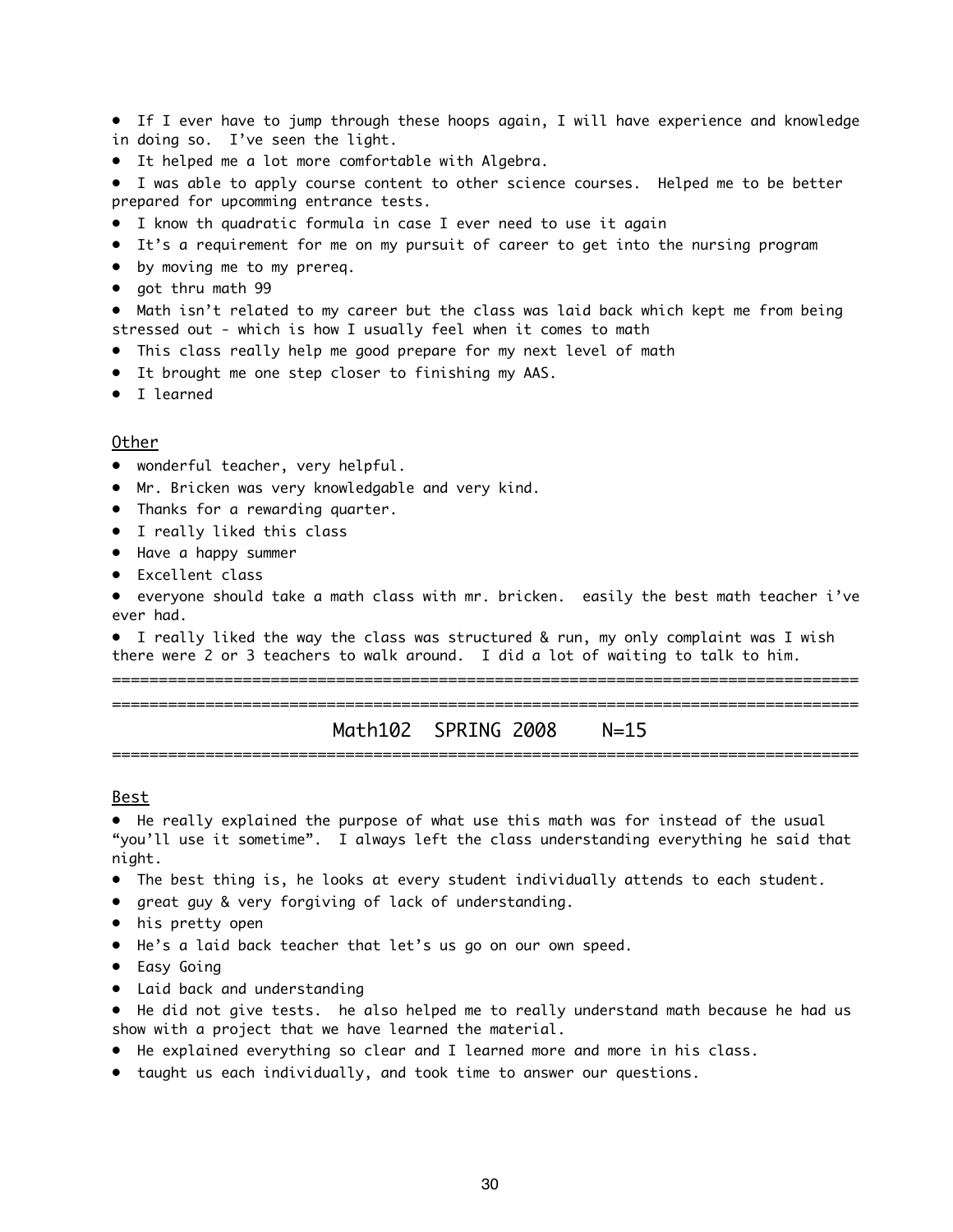• If I ever have to jump through these hoops again, I will have experience and knowledge in doing so. I've seen the light.

• It helped me a lot more comfortable with Algebra.

• I was able to apply course content to other science courses. Helped me to be better prepared for upcomming entrance tests.

- I know th quadratic formula in case I ever need to use it again
- It's a requirement for me on my pursuit of career to get into the nursing program
- by moving me to my prereq.
- got thru math 99

• Math isn't related to my career but the class was laid back which kept me from being stressed out - which is how I usually feel when it comes to math

- This class really help me good prepare for my next level of math
- It brought me one step closer to finishing my AAS.
- I learned

#### Other

- wonderful teacher, very helpful.
- Mr. Bricken was very knowledgable and very kind.
- Thanks for a rewarding quarter.
- I really liked this class
- Have a happy summer
- Excellent class

• everyone should take a math class with mr. bricken. easily the best math teacher i've ever had.

• I really liked the way the class was structured & run, my only complaint was I wish there were 2 or 3 teachers to walk around. I did a lot of waiting to talk to him.

================================================================================ ================================================================================

Math102 SPRING 2008 N=15 ================================================================================

#### Best

• He really explained the purpose of what use this math was for instead of the usual "you'll use it sometime". I always left the class understanding everything he said that night.

- The best thing is, he looks at every student individually attends to each student.
- great guy & very forgiving of lack of understanding.
- his pretty open
- He's a laid back teacher that let's us go on our own speed.
- Easy Going
- Laid back and understanding

• He did not give tests. he also helped me to really understand math because he had us show with a project that we have learned the material.

- He explained everything so clear and I learned more and more in his class.
- taught us each individually, and took time to answer our questions.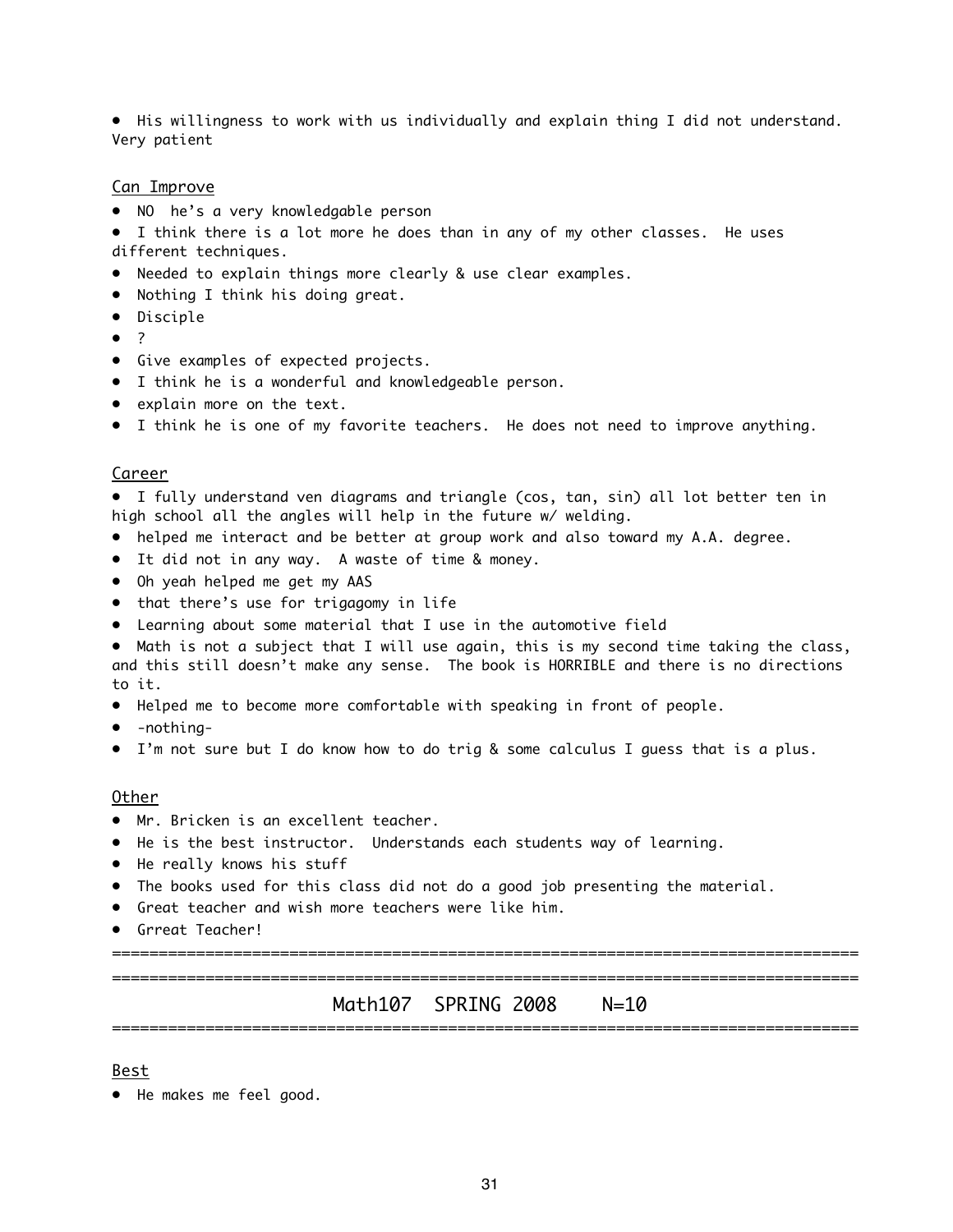• His willingness to work with us individually and explain thing I did not understand. Very patient

#### Can Improve

- NO he's a very knowledgable person
- I think there is a lot more he does than in any of my other classes. He uses different techniques.
- Needed to explain things more clearly & use clear examples.
- Nothing I think his doing great.
- Disciple
- ?
- Give examples of expected projects.
- I think he is a wonderful and knowledgeable person.
- explain more on the text.
- I think he is one of my favorite teachers. He does not need to improve anything.

#### Career

• I fully understand ven diagrams and triangle (cos, tan, sin) all lot better ten in high school all the angles will help in the future w/ welding.

- helped me interact and be better at group work and also toward my A.A. degree.
- It did not in any way. A waste of time & money.
- Oh yeah helped me get my AAS
- that there's use for trigagomy in life
- Learning about some material that I use in the automotive field

• Math is not a subject that I will use again, this is my second time taking the class, and this still doesn't make any sense. The book is HORRIBLE and there is no directions to it.

- Helped me to become more comfortable with speaking in front of people.
- -nothing-
- I'm not sure but I do know how to do trig & some calculus I guess that is a plus.

#### Other

- Mr. Bricken is an excellent teacher.
- He is the best instructor. Understands each students way of learning.
- He really knows his stuff
- The books used for this class did not do a good job presenting the material.
- Great teacher and wish more teachers were like him.
- Grreat Teacher!

================================================================================

================================================================================ Math107 SPRING 2008 N=10 ================================================================================

#### Best

• He makes me feel good.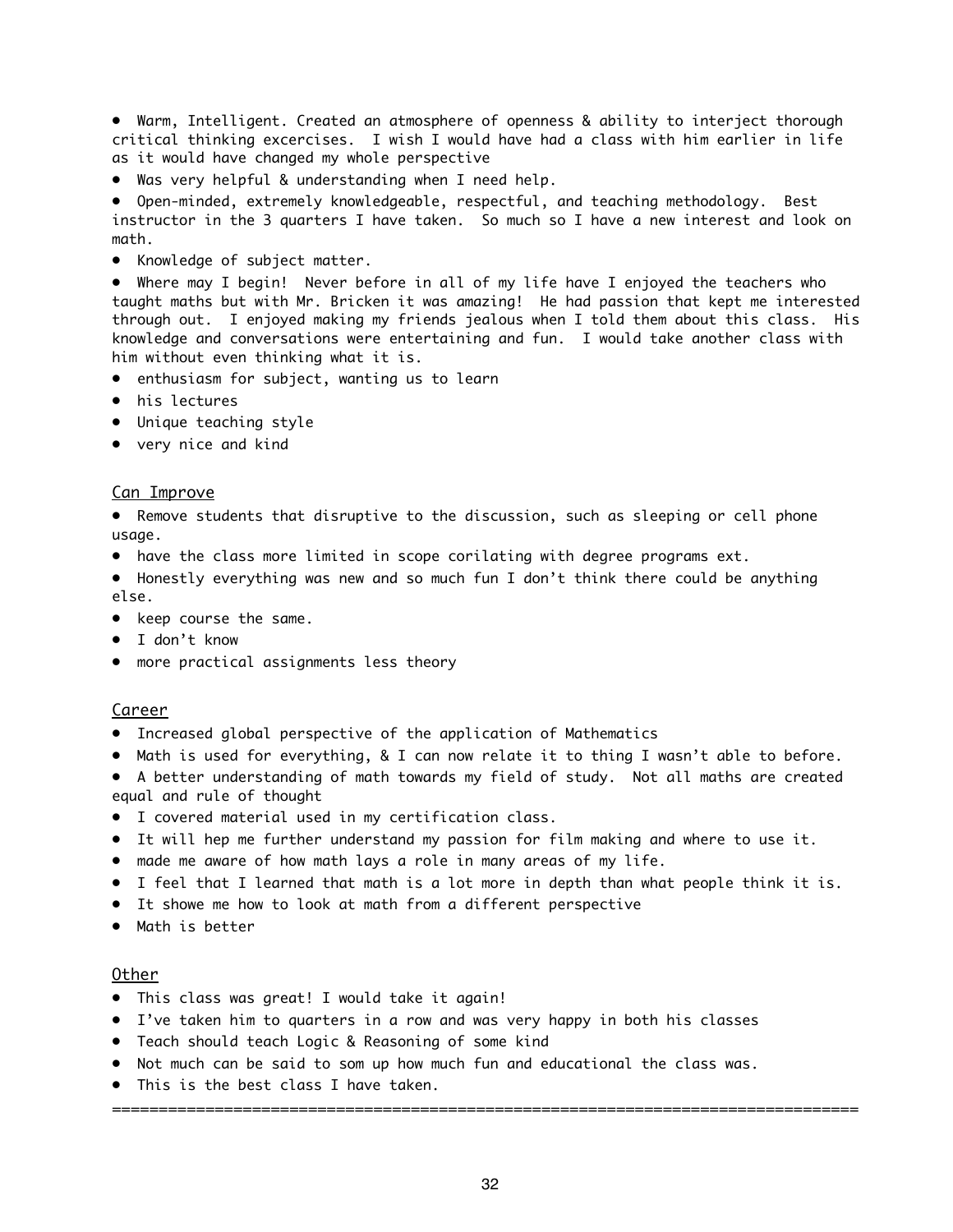• Warm, Intelligent. Created an atmosphere of openness & ability to interject thorough critical thinking excercises. I wish I would have had a class with him earlier in life as it would have changed my whole perspective

• Was very helpful & understanding when I need help.

• Open-minded, extremely knowledgeable, respectful, and teaching methodology. Best instructor in the 3 quarters I have taken. So much so I have a new interest and look on math.

• Knowledge of subject matter.

• Where may I begin! Never before in all of my life have I enjoyed the teachers who taught maths but with Mr. Bricken it was amazing! He had passion that kept me interested through out. I enjoyed making my friends jealous when I told them about this class. His knowledge and conversations were entertaining and fun. I would take another class with him without even thinking what it is.

- enthusiasm for subject, wanting us to learn
- his lectures
- Unique teaching style
- very nice and kind

#### Can Improve

• Remove students that disruptive to the discussion, such as sleeping or cell phone usage.

- have the class more limited in scope corilating with degree programs ext.
- Honestly everything was new and so much fun I don't think there could be anything else.
- keep course the same.
- I don't know
- more practical assignments less theory

#### Career

- Increased global perspective of the application of Mathematics
- Math is used for everything, & I can now relate it to thing I wasn't able to before.
- A better understanding of math towards my field of study. Not all maths are created equal and rule of thought
- I covered material used in my certification class.
- It will hep me further understand my passion for film making and where to use it.
- made me aware of how math lays a role in many areas of my life.
- I feel that I learned that math is a lot more in depth than what people think it is.
- It showe me how to look at math from a different perspective
- Math is better

#### Other

- This class was great! I would take it again!
- I've taken him to quarters in a row and was very happy in both his classes
- Teach should teach Logic & Reasoning of some kind
- Not much can be said to som up how much fun and educational the class was.
- This is the best class I have taken.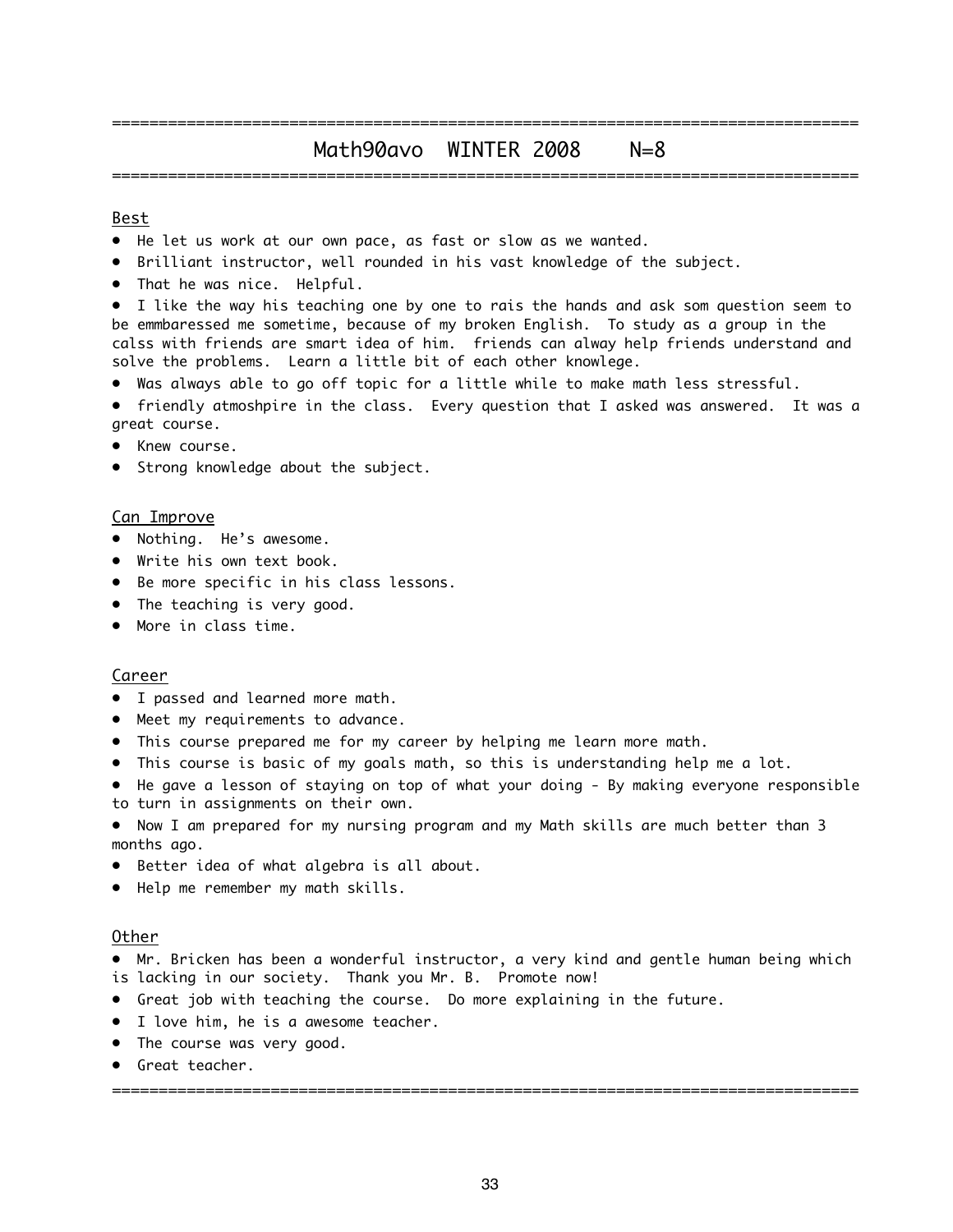### ================================================================================ Math90avo WINTER 2008 N=8 ================================================================================

#### Best

- He let us work at our own pace, as fast or slow as we wanted.
- Brilliant instructor, well rounded in his vast knowledge of the subject.
- That he was nice. Helpful.
- I like the way his teaching one by one to rais the hands and ask som question seem to be emmbaressed me sometime, because of my broken English. To study as a group in the calss with friends are smart idea of him. friends can alway help friends understand and solve the problems. Learn a little bit of each other knowlege.
- Was always able to go off topic for a little while to make math less stressful.
- friendly atmoshpire in the class. Every question that I asked was answered. It was a great course.
- Knew course.
- Strong knowledge about the subject.

#### Can Improve

- Nothing. He's awesome.
- Write his own text book.
- Be more specific in his class lessons.
- The teaching is very good.
- More in class time.

#### Career

- I passed and learned more math.
- Meet my requirements to advance.
- This course prepared me for my career by helping me learn more math.
- This course is basic of my goals math, so this is understanding help me a lot.
- He gave a lesson of staying on top of what your doing By making everyone responsible to turn in assignments on their own.
- Now I am prepared for my nursing program and my Math skills are much better than 3 months ago.
- Better idea of what algebra is all about.
- Help me remember my math skills.

#### Other

• Mr. Bricken has been a wonderful instructor, a very kind and gentle human being which is lacking in our society. Thank you Mr. B. Promote now!

- Great job with teaching the course. Do more explaining in the future.
- I love him, he is a awesome teacher.
- The course was very good.
- Great teacher.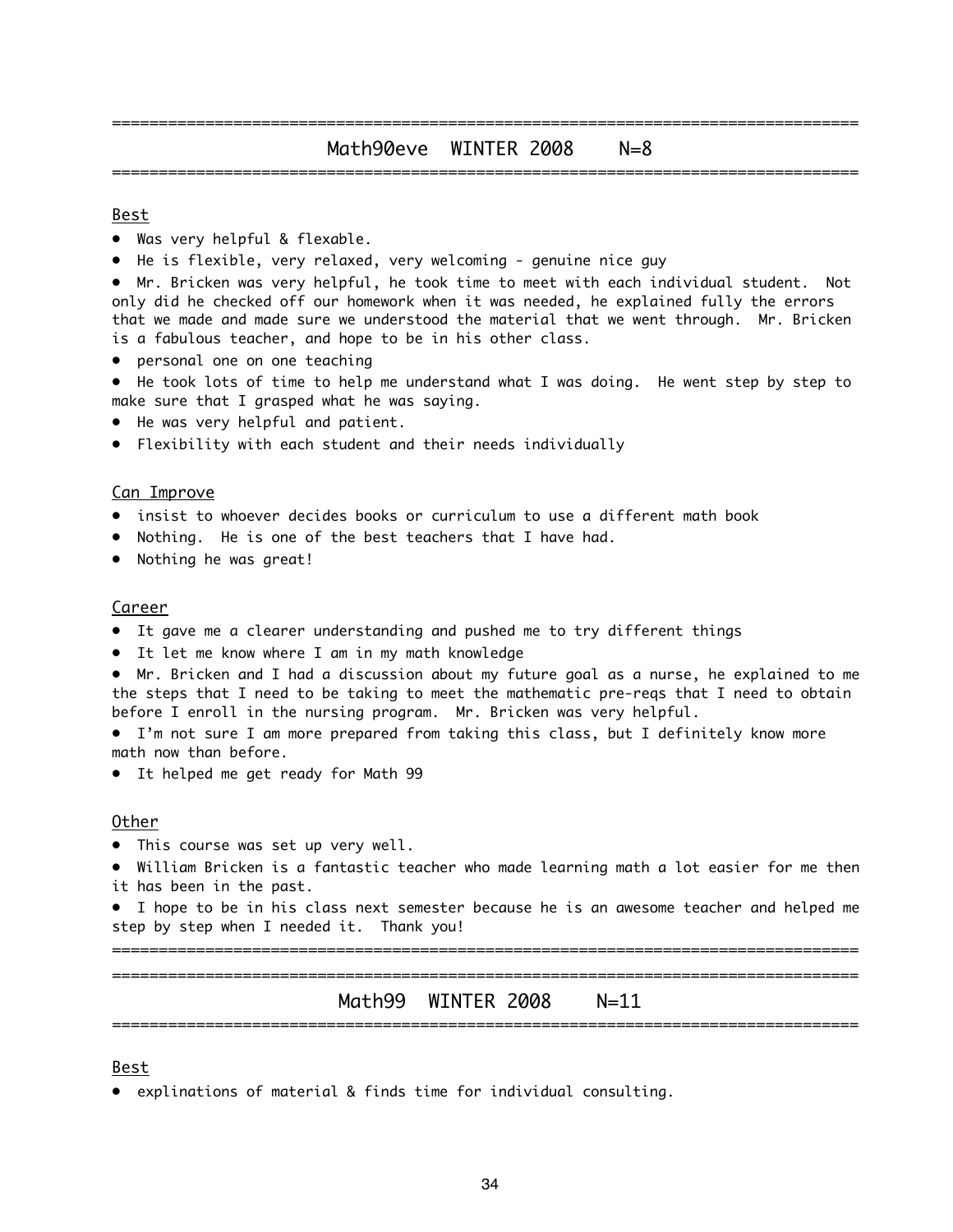### ================================================================================ Math90eve WINTER 2008 N=8 ================================================================================

#### Best

- Was very helpful & flexable.
- He is flexible, very relaxed, very welcoming genuine nice guy

• Mr. Bricken was very helpful, he took time to meet with each individual student. Not only did he checked off our homework when it was needed, he explained fully the errors that we made and made sure we understood the material that we went through. Mr. Bricken is a fabulous teacher, and hope to be in his other class.

• personal one on one teaching

• He took lots of time to help me understand what I was doing. He went step by step to make sure that I grasped what he was saying.

- He was very helpful and patient.
- Flexibility with each student and their needs individually

#### Can Improve

- insist to whoever decides books or curriculum to use a different math book
- Nothing. He is one of the best teachers that I have had.
- Nothing he was great!

#### Career

- It gave me a clearer understanding and pushed me to try different things
- It let me know where I am in my math knowledge

• Mr. Bricken and I had a discussion about my future goal as a nurse, he explained to me the steps that I need to be taking to meet the mathematic pre-reqs that I need to obtain before I enroll in the nursing program. Mr. Bricken was very helpful.

• I'm not sure I am more prepared from taking this class, but I definitely know more math now than before.

• It helped me get ready for Math 99

#### Other

• This course was set up very well.

• William Bricken is a fantastic teacher who made learning math a lot easier for me then it has been in the past.

• I hope to be in his class next semester because he is an awesome teacher and helped me step by step when I needed it. Thank you!

================================================================================

================================================================================ Math99 WINTER 2008 N=11 ================================================================================

#### Best

• explinations of material & finds time for individual consulting.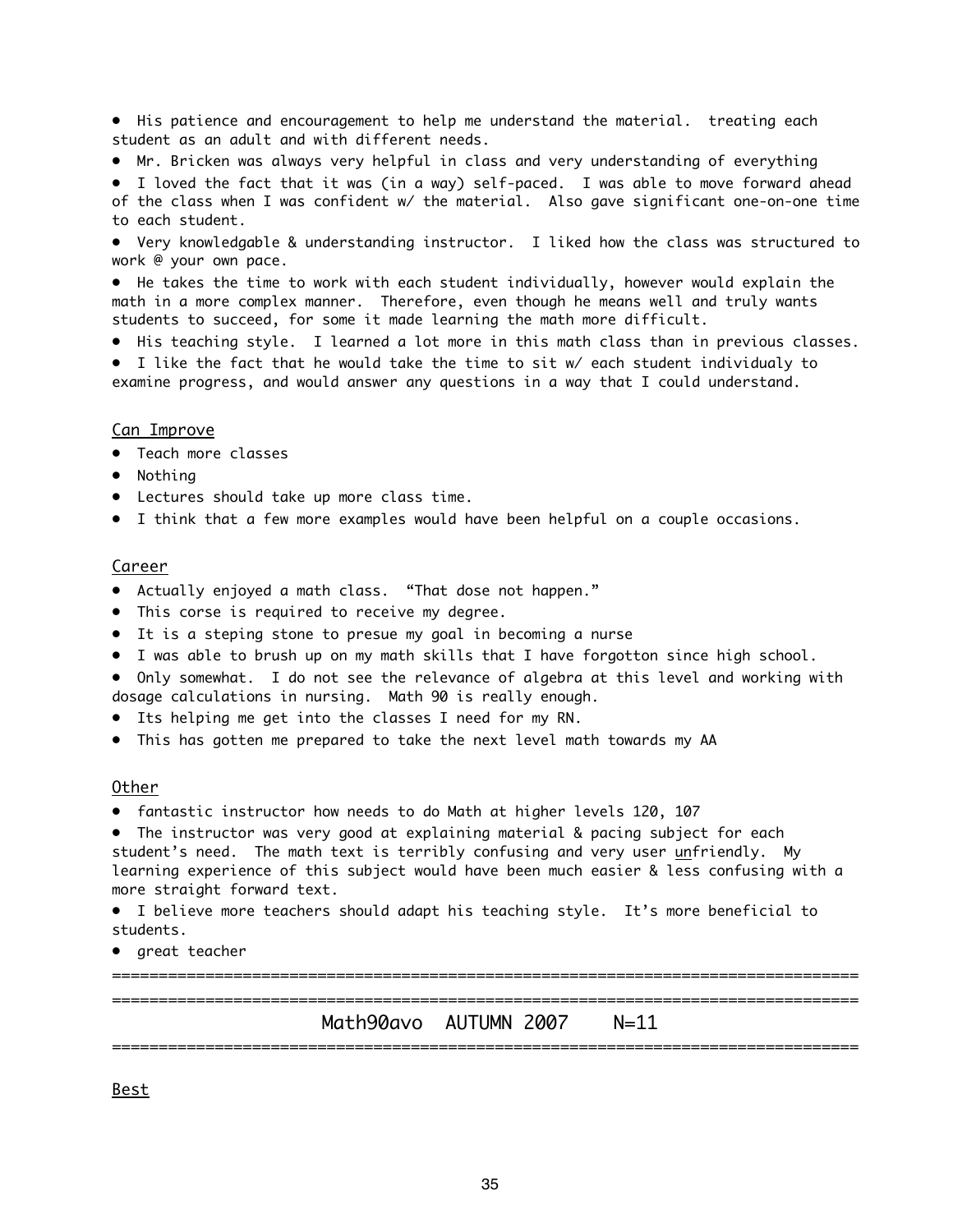• His patience and encouragement to help me understand the material. treating each student as an adult and with different needs.

• Mr. Bricken was always very helpful in class and very understanding of everything

• I loved the fact that it was (in a way) self-paced. I was able to move forward ahead of the class when I was confident w/ the material. Also gave significant one-on-one time to each student.

• Very knowledgable & understanding instructor. I liked how the class was structured to work @ your own pace.

• He takes the time to work with each student individually, however would explain the math in a more complex manner. Therefore, even though he means well and truly wants students to succeed, for some it made learning the math more difficult.

• His teaching style. I learned a lot more in this math class than in previous classes.

• I like the fact that he would take the time to sit w/ each student individualy to examine progress, and would answer any questions in a way that I could understand.

#### Can Improve

- Teach more classes
- Nothing
- Lectures should take up more class time.
- I think that a few more examples would have been helpful on a couple occasions.

#### Career

- Actually enjoyed a math class. "That dose not happen."
- This corse is required to receive my degree.
- It is a steping stone to presue my goal in becoming a nurse
- I was able to brush up on my math skills that I have forgotton since high school.

• Only somewhat. I do not see the relevance of algebra at this level and working with dosage calculations in nursing. Math 90 is really enough.

- Its helping me get into the classes I need for my RN.
- This has gotten me prepared to take the next level math towards my AA

#### Other

• fantastic instructor how needs to do Math at higher levels 120, 107

• The instructor was very good at explaining material & pacing subject for each student's need. The math text is terribly confusing and very user unfriendly. My learning experience of this subject would have been much easier & less confusing with a more straight forward text.

• I believe more teachers should adapt his teaching style. It's more beneficial to students.

• great teacher

================================================================================

================================================================================ Math90avo AUTUMN 2007 N=11 ================================================================================

Best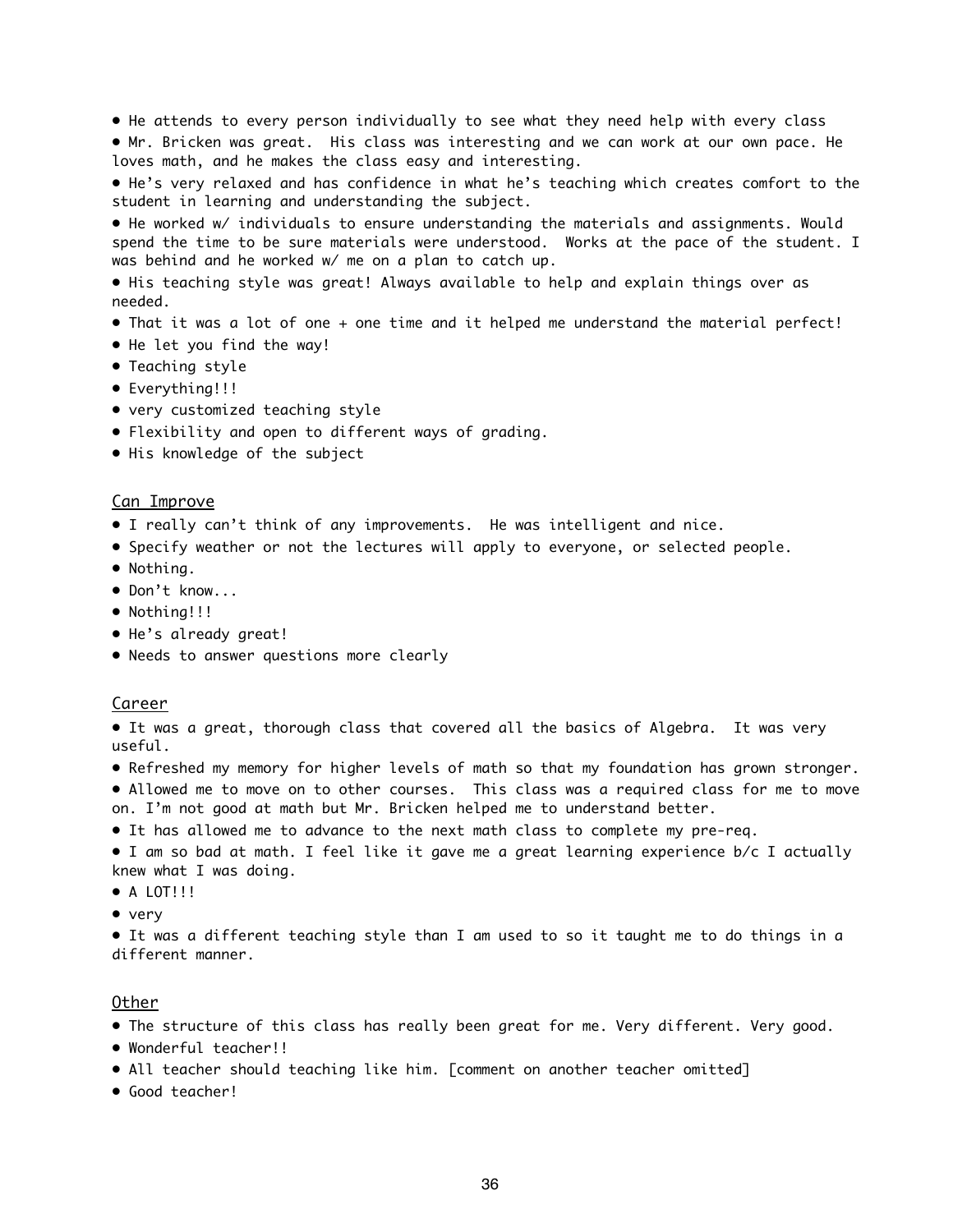- He attends to every person individually to see what they need help with every class
- Mr. Bricken was great. His class was interesting and we can work at our own pace. He loves math, and he makes the class easy and interesting.
- He's very relaxed and has confidence in what he's teaching which creates comfort to the student in learning and understanding the subject.

• He worked w/ individuals to ensure understanding the materials and assignments. Would spend the time to be sure materials were understood. Works at the pace of the student. I was behind and he worked w/ me on a plan to catch up.

• His teaching style was great! Always available to help and explain things over as needed.

- That it was a lot of one + one time and it helped me understand the material perfect!
- He let you find the way!
- Teaching style
- Everything!!!
- very customized teaching style
- Flexibility and open to different ways of grading.
- His knowledge of the subject

#### Can Improve

- I really can't think of any improvements. He was intelligent and nice.
- Specify weather or not the lectures will apply to everyone, or selected people.
- Nothing.
- Don't know...
- Nothina!!!
- He's already great!
- Needs to answer questions more clearly

#### Career

• It was a great, thorough class that covered all the basics of Algebra. It was very useful.

• Refreshed my memory for higher levels of math so that my foundation has grown stronger.

• Allowed me to move on to other courses. This class was a required class for me to move on. I'm not good at math but Mr. Bricken helped me to understand better.

- It has allowed me to advance to the next math class to complete my pre-req.
- I am so bad at math. I feel like it gave me a great learning experience b/c I actually knew what I was doing.
- A LOT!!!
- very

• It was a different teaching style than I am used to so it taught me to do things in a different manner.

#### Other

- The structure of this class has really been great for me. Very different. Very good.
- Wonderful teacher!!
- All teacher should teaching like him. [comment on another teacher omitted]
- Good teacher!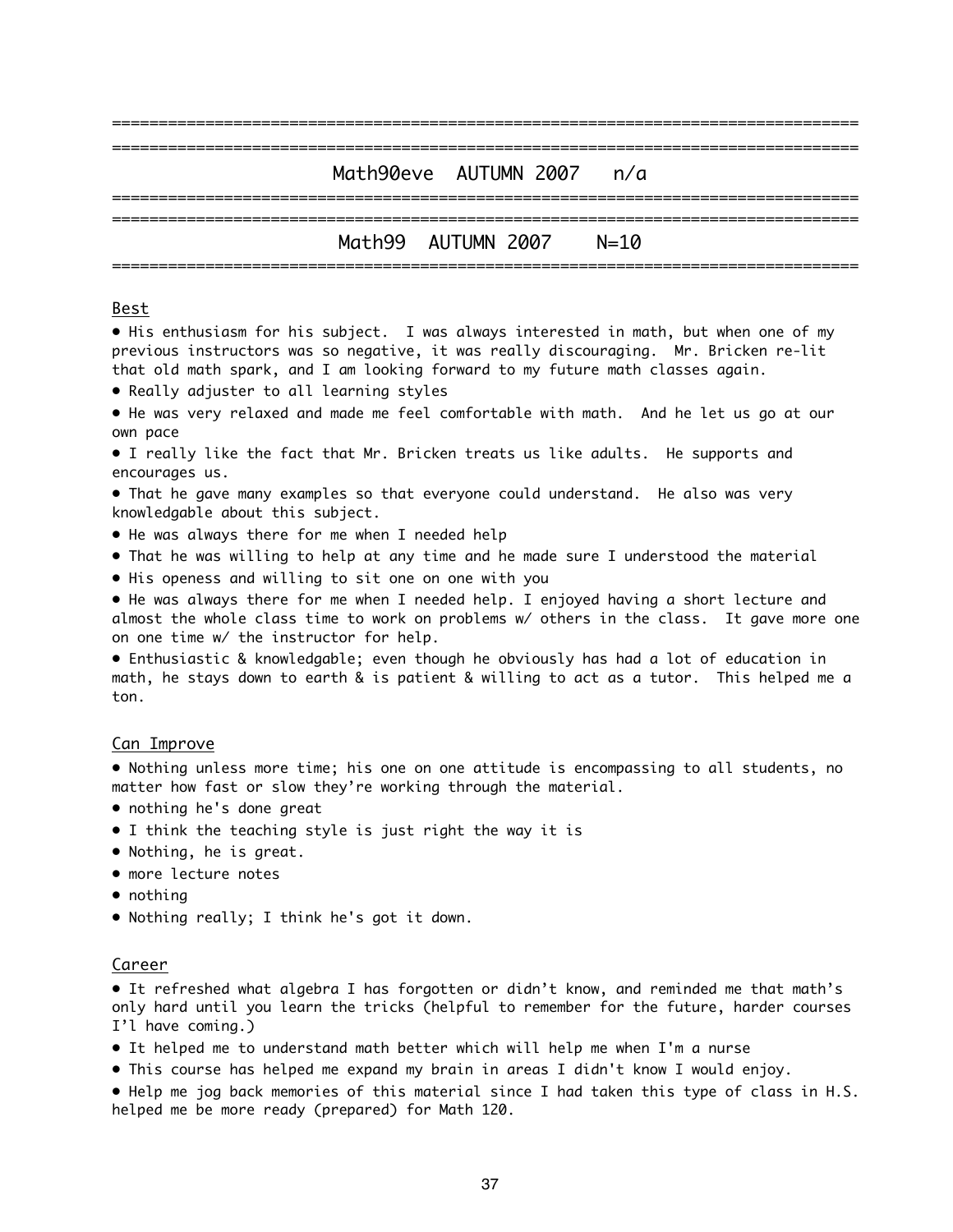| Math90eve AUTUMN 2007 n/a |  |
|---------------------------|--|
|                           |  |
| Math99 AUTUMN 2007 N=10   |  |

#### Best

• His enthusiasm for his subject. I was always interested in math, but when one of my previous instructors was so negative, it was really discouraging. Mr. Bricken re-lit that old math spark, and I am looking forward to my future math classes again.

- Really adjuster to all learning styles
- He was very relaxed and made me feel comfortable with math. And he let us go at our own pace
- I really like the fact that Mr. Bricken treats us like adults. He supports and encourages us.
- That he gave many examples so that everyone could understand. He also was very knowledgable about this subject.
- He was always there for me when I needed help
- That he was willing to help at any time and he made sure I understood the material
- His openess and willing to sit one on one with you

• He was always there for me when I needed help. I enjoyed having a short lecture and almost the whole class time to work on problems w/ others in the class. It gave more one on one time w/ the instructor for help.

• Enthusiastic & knowledgable; even though he obviously has had a lot of education in math, he stays down to earth & is patient & willing to act as a tutor. This helped me a ton.

#### Can Improve

• Nothing unless more time; his one on one attitude is encompassing to all students, no matter how fast or slow they're working through the material.

- nothing he's done great
- I think the teaching style is just right the way it is
- Nothing, he is great.
- more lecture notes
- nothing
- Nothing really; I think he's got it down.

#### Career

• It refreshed what algebra I has forgotten or didn't know, and reminded me that math's only hard until you learn the tricks (helpful to remember for the future, harder courses I'l have coming.)

- It helped me to understand math better which will help me when I'm a nurse
- This course has helped me expand my brain in areas I didn't know I would enjoy.
- Help me jog back memories of this material since I had taken this type of class in H.S. helped me be more ready (prepared) for Math 120.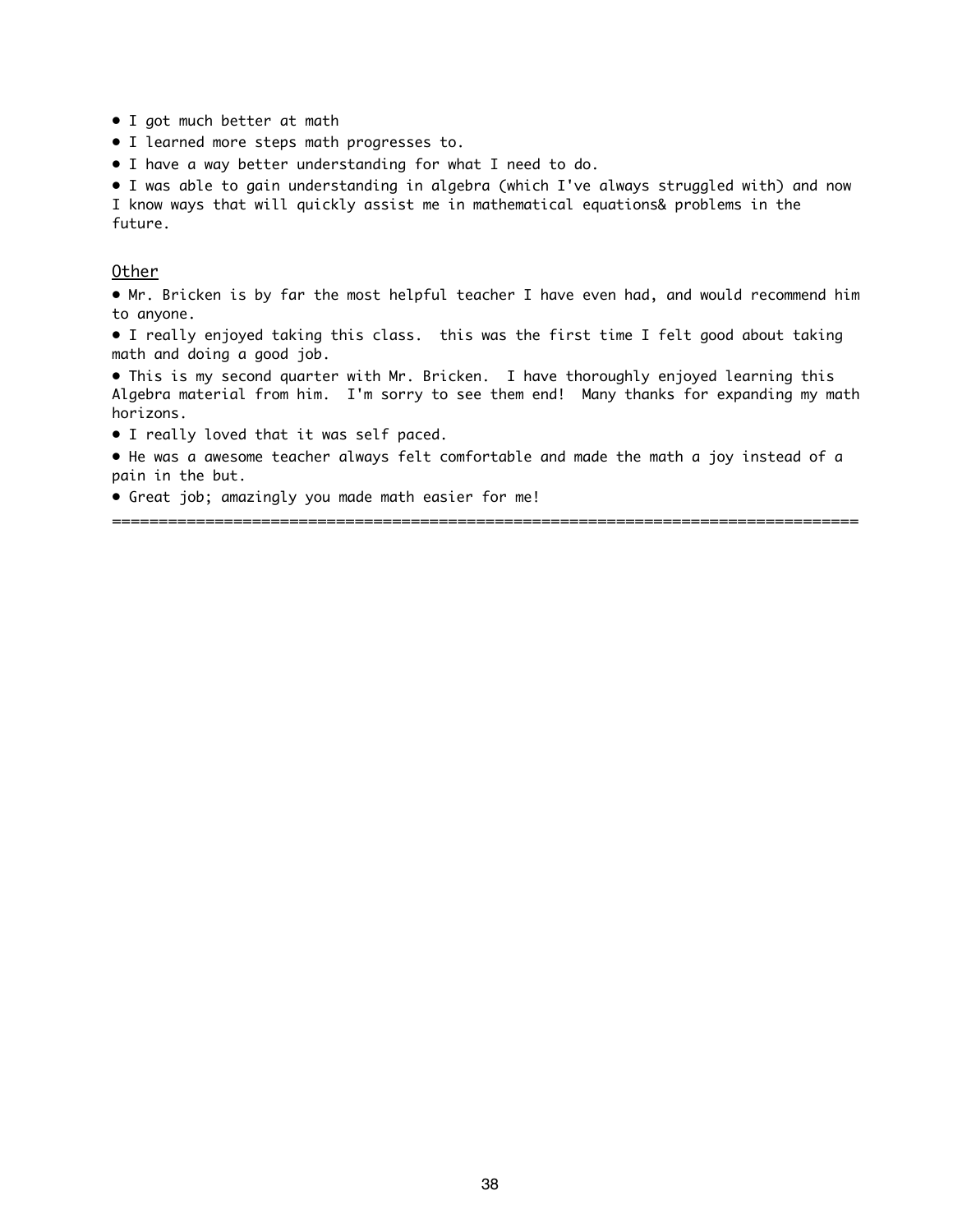- I got much better at math
- I learned more steps math progresses to.
- I have a way better understanding for what I need to do.

• I was able to gain understanding in algebra (which I've always struggled with) and now I know ways that will quickly assist me in mathematical equations& problems in the future.

#### Other

• Mr. Bricken is by far the most helpful teacher I have even had, and would recommend him to anyone.

• I really enjoyed taking this class. this was the first time I felt good about taking math and doing a good job.

• This is my second quarter with Mr. Bricken. I have thoroughly enjoyed learning this Algebra material from him. I'm sorry to see them end! Many thanks for expanding my math horizons.

- I really loved that it was self paced.
- He was a awesome teacher always felt comfortable and made the math a joy instead of a pain in the but.

================================================================================

• Great job; amazingly you made math easier for me!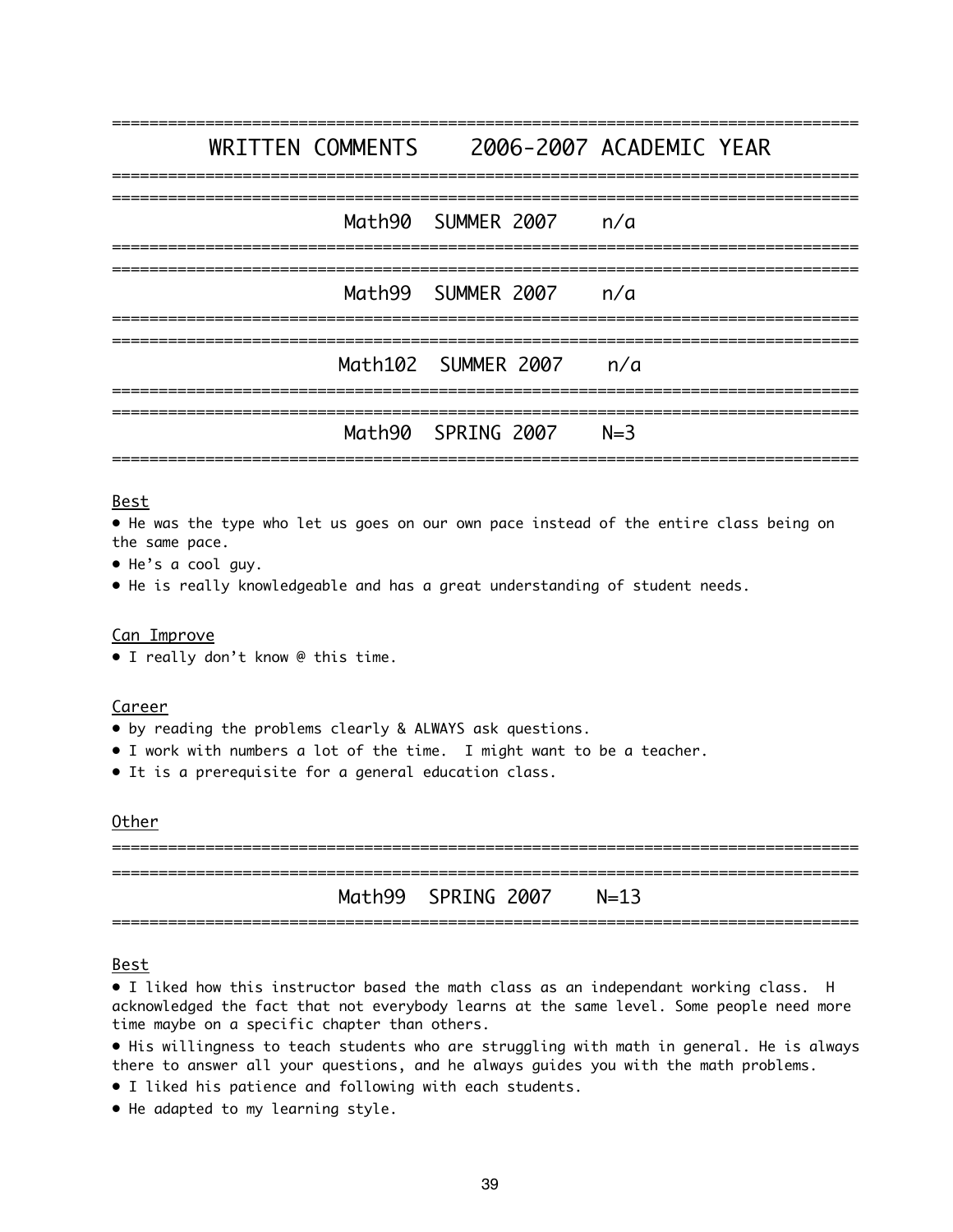================================================================================ WRITTEN COMMENTS 2006-2007 ACADEMIC YEAR ================================================================================ ================================================================================ Math90 SUMMER 2007 n/a ================================================================================ ================================================================================ Math99 SUMMER 2007 n/a ================================================================================ ================================================================================ Math102 SUMMER 2007 n/a ================================================================================ ================================================================================ Math90 SPRING 2007 N=3 ================================================================================

#### Best

• He was the type who let us goes on our own pace instead of the entire class being on the same pace.

- He's a cool guy.
- He is really knowledgeable and has a great understanding of student needs.

#### Can Improve

• I really don't know @ this time.

#### Career

- by reading the problems clearly & ALWAYS ask questions.
- I work with numbers a lot of the time. I might want to be a teacher.
- It is a prerequisite for a general education class.

#### Other

================================================================================ ================================================================================ Math99 SPRING 2007 N=13 ================================================================================

#### Best

• I liked how this instructor based the math class as an independant working class. H acknowledged the fact that not everybody learns at the same level. Some people need more time maybe on a specific chapter than others.

• His willingness to teach students who are struggling with math in general. He is always there to answer all your questions, and he always guides you with the math problems.

- I liked his patience and following with each students.
- He adapted to my learning style.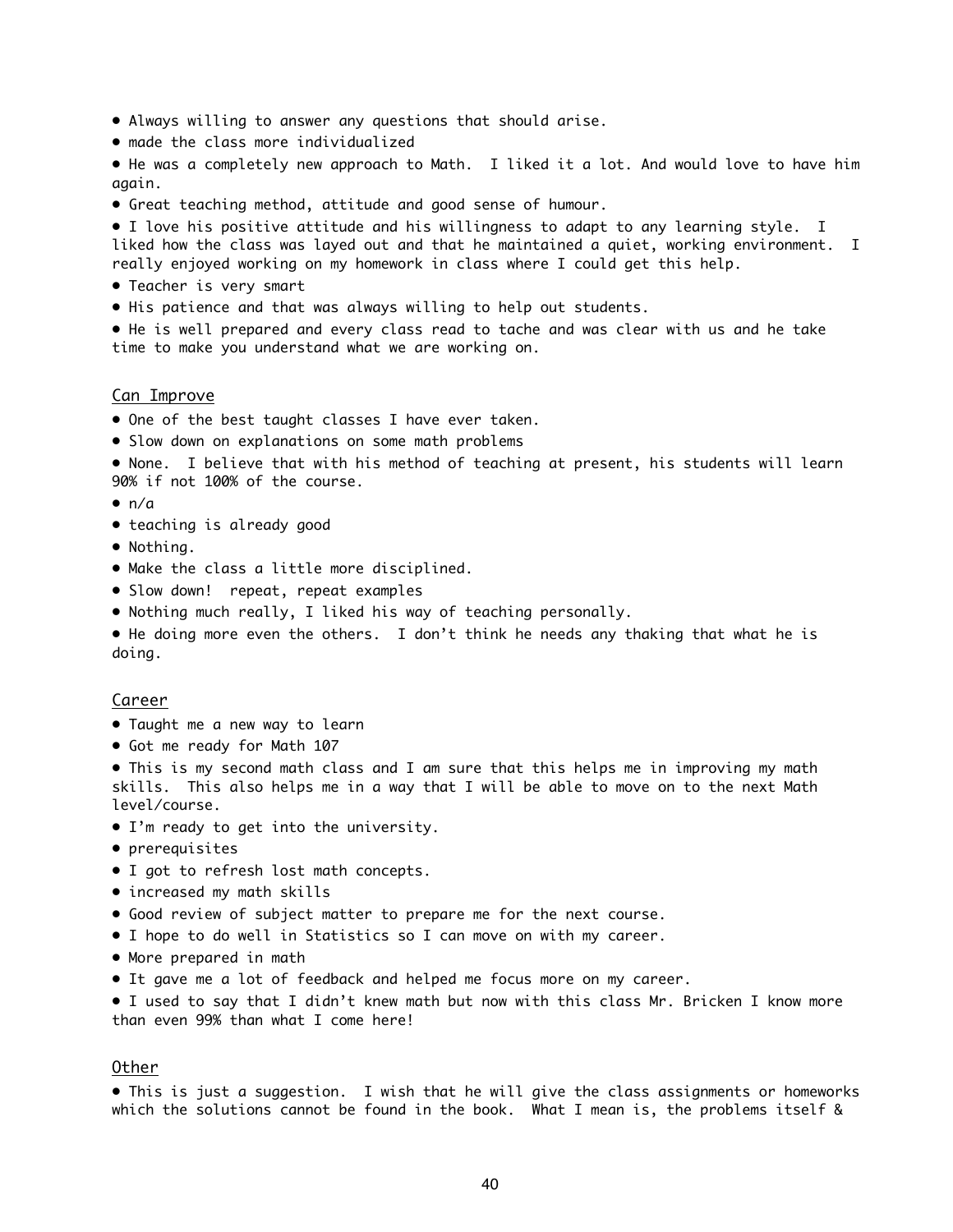- Always willing to answer any questions that should arise.
- made the class more individualized

• He was a completely new approach to Math. I liked it a lot. And would love to have him again.

• Great teaching method, attitude and good sense of humour.

• I love his positive attitude and his willingness to adapt to any learning style. I liked how the class was layed out and that he maintained a quiet, working environment. I really enjoyed working on my homework in class where I could get this help.

- Teacher is very smart
- His patience and that was always willing to help out students.

• He is well prepared and every class read to tache and was clear with us and he take time to make you understand what we are working on.

#### Can Improve

- One of the best taught classes I have ever taken.
- Slow down on explanations on some math problems
- None. I believe that with his method of teaching at present, his students will learn 90% if not 100% of the course.
- $\bullet$  n/a
- teaching is already good
- Nothing.
- Make the class a little more disciplined.
- Slow down! repeat, repeat examples
- Nothing much really, I liked his way of teaching personally.

• He doing more even the others. I don't think he needs any thaking that what he is doing.

#### Career

- Taught me a new way to learn
- Got me ready for Math 107

• This is my second math class and I am sure that this helps me in improving my math skills. This also helps me in a way that I will be able to move on to the next Math level/course.

- I'm ready to get into the university.
- prerequisites
- I got to refresh lost math concepts.
- increased my math skills
- Good review of subject matter to prepare me for the next course.
- I hope to do well in Statistics so I can move on with my career.
- More prepared in math
- It gave me a lot of feedback and helped me focus more on my career.

• I used to say that I didn't knew math but now with this class Mr. Bricken I know more than even 99% than what I come here!

#### Other

• This is just a suggestion. I wish that he will give the class assignments or homeworks which the solutions cannot be found in the book. What I mean is, the problems itself &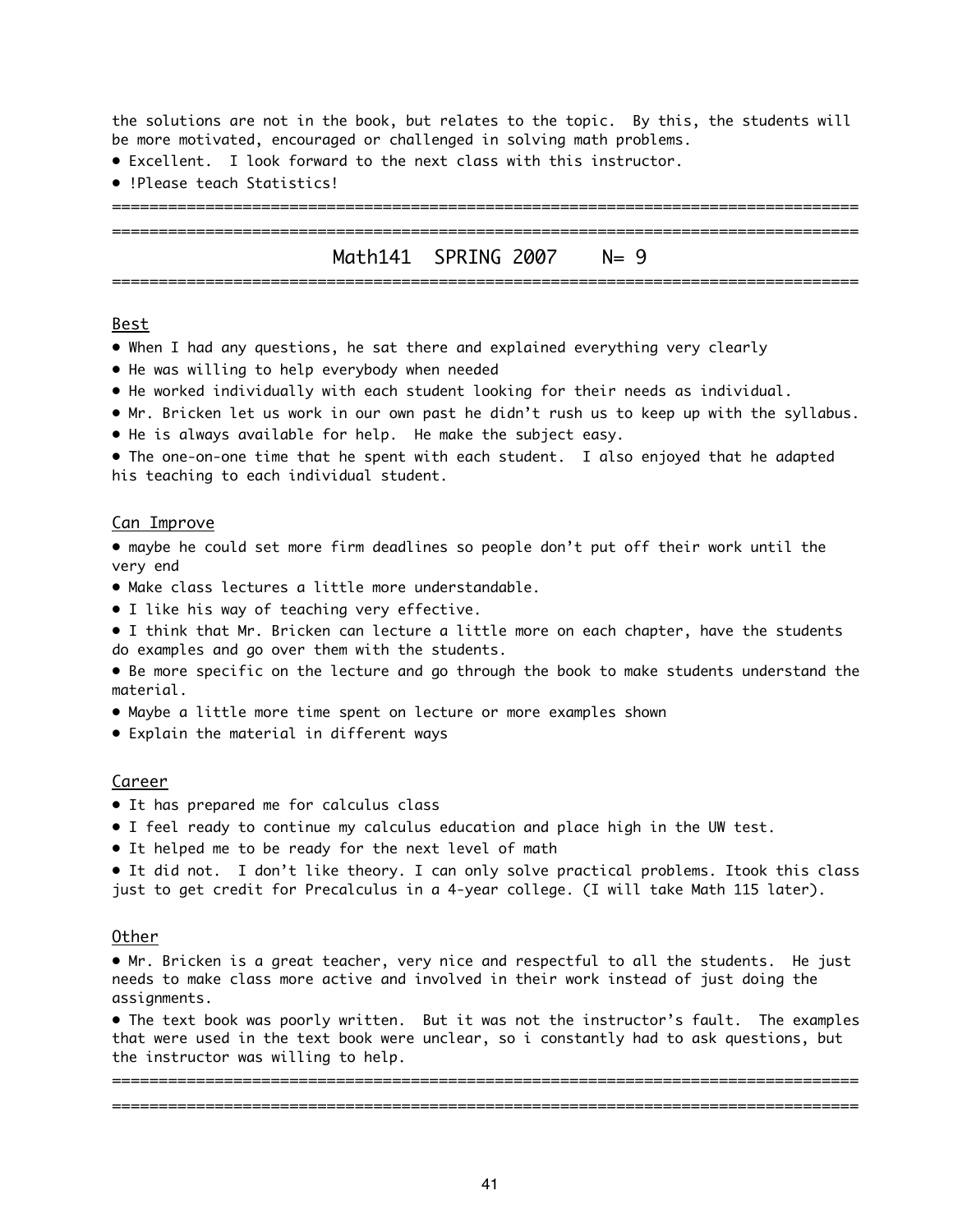the solutions are not in the book, but relates to the topic. By this, the students will be more motivated, encouraged or challenged in solving math problems.

- Excellent. I look forward to the next class with this instructor.
- !Please teach Statistics!

### ================================================================================ Math141 SPRING 2007 N= 9 ================================================================================

================================================================================

#### Best

- When I had any questions, he sat there and explained everything very clearly
- He was willing to help everybody when needed
- He worked individually with each student looking for their needs as individual.
- Mr. Bricken let us work in our own past he didn't rush us to keep up with the syllabus.
- He is always available for help. He make the subject easy.

• The one-on-one time that he spent with each student. I also enjoyed that he adapted his teaching to each individual student.

#### Can Improve

• maybe he could set more firm deadlines so people don't put off their work until the very end

- Make class lectures a little more understandable.
- I like his way of teaching very effective.
- I think that Mr. Bricken can lecture a little more on each chapter, have the students do examples and go over them with the students.
- Be more specific on the lecture and go through the book to make students understand the material.
- Maybe a little more time spent on lecture or more examples shown
- Explain the material in different ways

#### Career

- It has prepared me for calculus class
- I feel ready to continue my calculus education and place high in the UW test.
- It helped me to be ready for the next level of math

• It did not. I don't like theory. I can only solve practical problems. Itook this class just to get credit for Precalculus in a 4-year college. (I will take Math 115 later).

#### Other

• Mr. Bricken is a great teacher, very nice and respectful to all the students. He just needs to make class more active and involved in their work instead of just doing the assignments.

• The text book was poorly written. But it was not the instructor's fault. The examples that were used in the text book were unclear, so i constantly had to ask questions, but the instructor was willing to help.

================================================================================ ================================================================================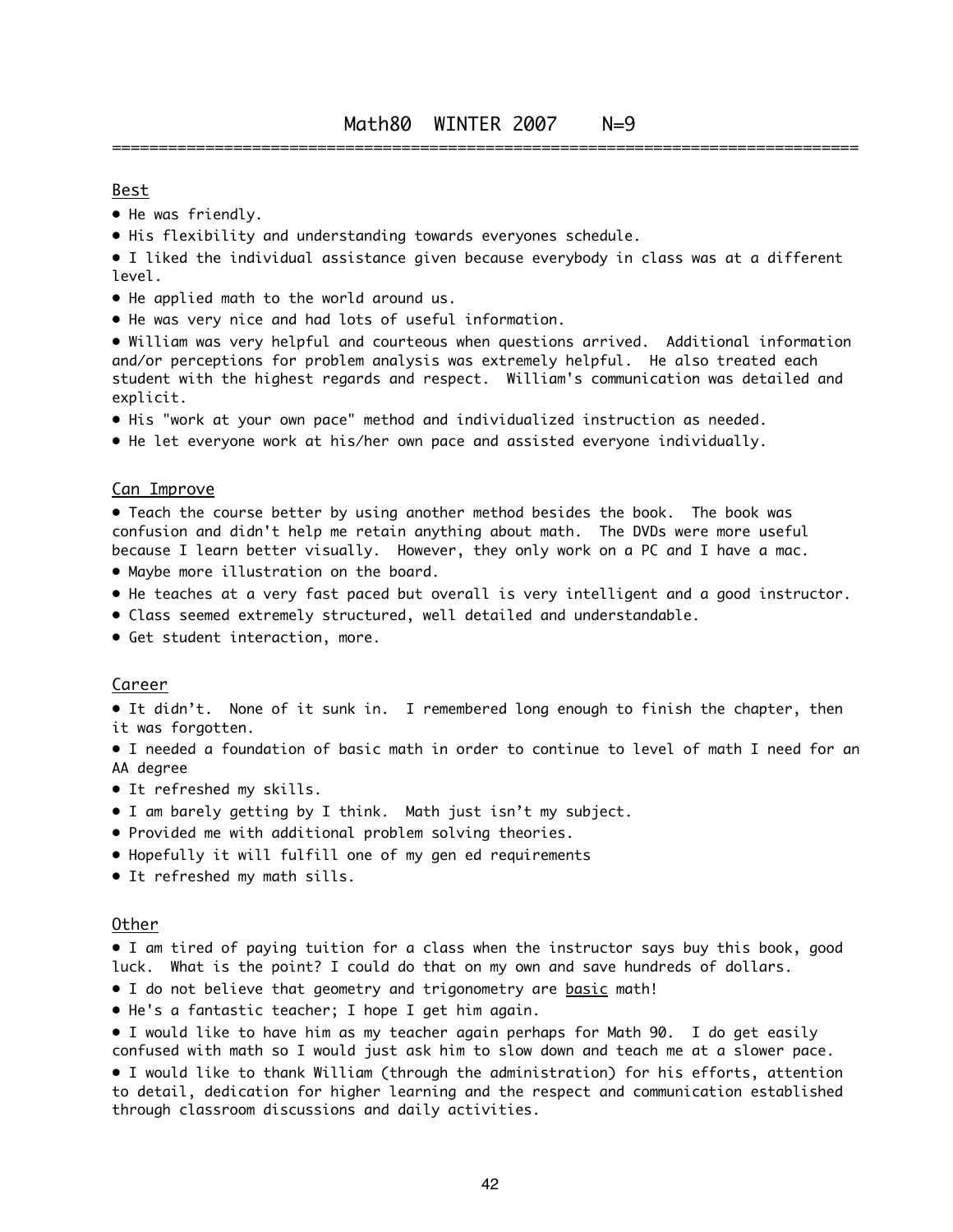#### Best

- He was friendly.
- His flexibility and understanding towards everyones schedule.
- I liked the individual assistance given because everybody in class was at a different level.
- He applied math to the world around us.
- He was very nice and had lots of useful information.

• William was very helpful and courteous when questions arrived. Additional information and/or perceptions for problem analysis was extremely helpful. He also treated each student with the highest regards and respect. William's communication was detailed and explicit.

- His "work at your own pace" method and individualized instruction as needed.
- He let everyone work at his/her own pace and assisted everyone individually.

#### Can Improve

• Teach the course better by using another method besides the book. The book was confusion and didn't help me retain anything about math. The DVDs were more useful because I learn better visually. However, they only work on a PC and I have a mac.

- Maybe more illustration on the board.
- He teaches at a very fast paced but overall is very intelligent and a good instructor.
- Class seemed extremely structured, well detailed and understandable.
- Get student interaction, more.

#### Career

• It didn't. None of it sunk in. I remembered long enough to finish the chapter, then it was forgotten.

• I needed a foundation of basic math in order to continue to level of math I need for an AA degree

- It refreshed my skills.
- I am barely getting by I think. Math just isn't my subject.
- Provided me with additional problem solving theories.
- Hopefully it will fulfill one of my gen ed requirements
- It refreshed my math sills.

#### Other

• I am tired of paying tuition for a class when the instructor says buy this book, good luck. What is the point? I could do that on my own and save hundreds of dollars.

- I do not believe that geometry and trigonometry are basic math!
- He's a fantastic teacher; I hope I get him again.
- I would like to have him as my teacher again perhaps for Math 90. I do get easily confused with math so I would just ask him to slow down and teach me at a slower pace.

• I would like to thank William (through the administration) for his efforts, attention to detail, dedication for higher learning and the respect and communication established through classroom discussions and daily activities.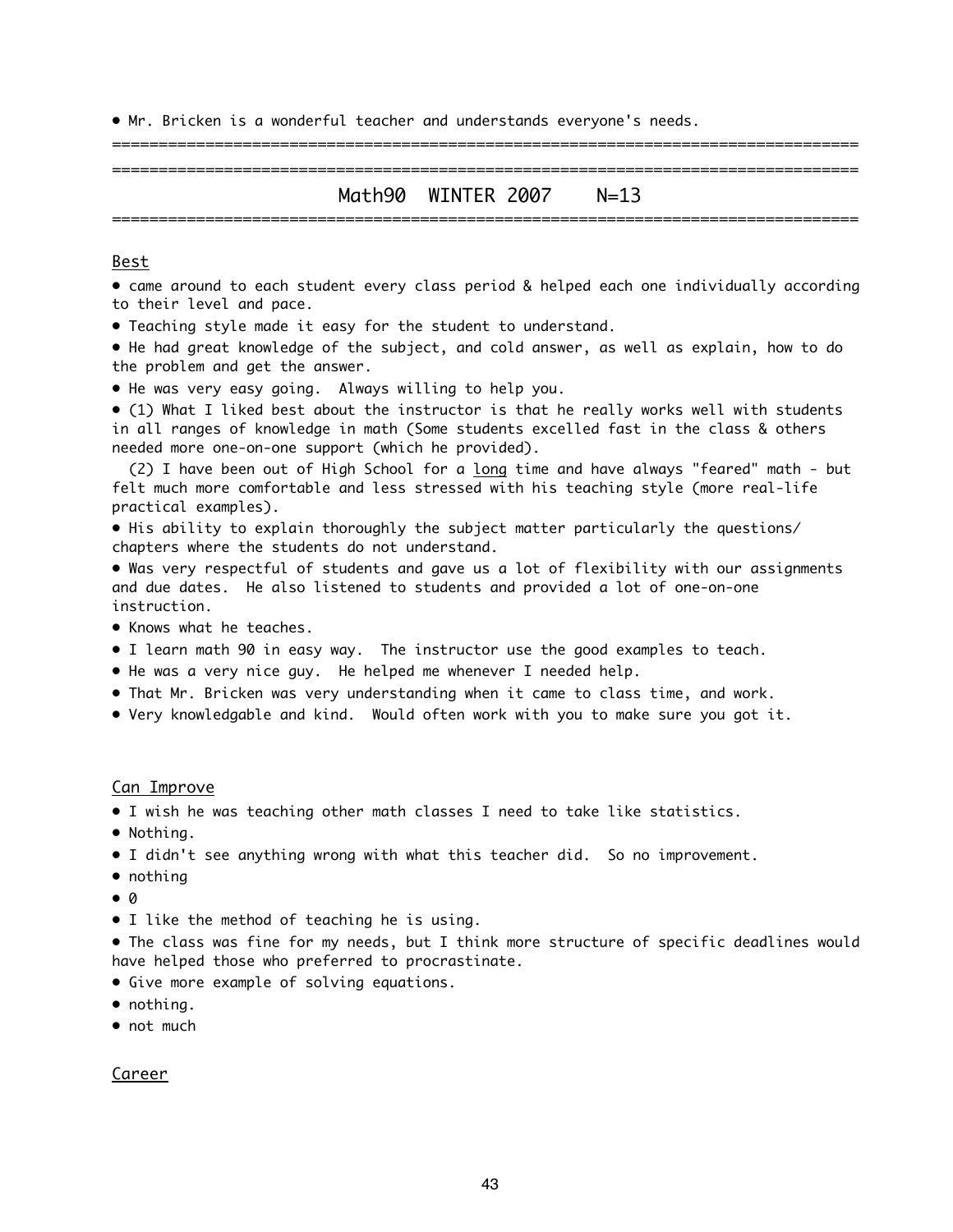• Mr. Bricken is a wonderful teacher and understands everyone's needs.

### ================================================================================ Math90 WINTER 2007 N=13 ================================================================================

================================================================================

#### Best

• came around to each student every class period & helped each one individually according to their level and pace.

• Teaching style made it easy for the student to understand.

• He had great knowledge of the subject, and cold answer, as well as explain, how to do the problem and get the answer.

• He was very easy going. Always willing to help you.

• (1) What I liked best about the instructor is that he really works well with students in all ranges of knowledge in math (Some students excelled fast in the class & others needed more one-on-one support (which he provided).

(2) I have been out of High School for a long time and have always "feared" math - but felt much more comfortable and less stressed with his teaching style (more real-life practical examples).

• His ability to explain thoroughly the subject matter particularly the questions/ chapters where the students do not understand.

• Was very respectful of students and gave us a lot of flexibility with our assignments and due dates. He also listened to students and provided a lot of one-on-one instruction.

- Knows what he teaches.
- I learn math 90 in easy way. The instructor use the good examples to teach.
- He was a very nice guy. He helped me whenever I needed help.
- That Mr. Bricken was very understanding when it came to class time, and work.
- Very knowledgable and kind. Would often work with you to make sure you got it.

#### Can Improve

- I wish he was teaching other math classes I need to take like statistics.
- Nothing.
- I didn't see anything wrong with what this teacher did. So no improvement.
- nothing
- 0
- I like the method of teaching he is using.

• The class was fine for my needs, but I think more structure of specific deadlines would have helped those who preferred to procrastinate.

- Give more example of solving equations.
- nothing.
- not much

#### Career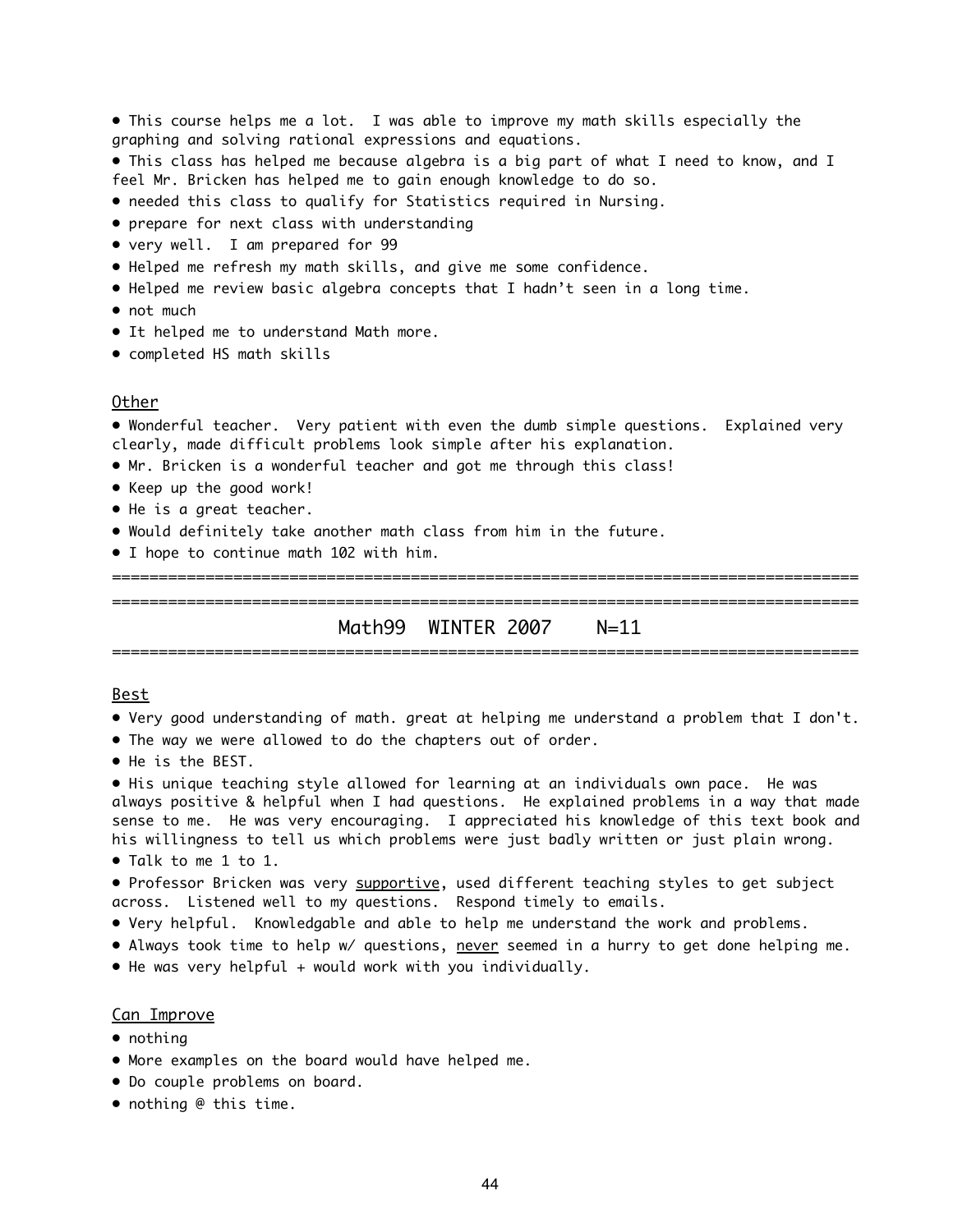• This course helps me a lot. I was able to improve my math skills especially the graphing and solving rational expressions and equations.

• This class has helped me because algebra is a big part of what I need to know, and I feel Mr. Bricken has helped me to gain enough knowledge to do so.

- needed this class to qualify for Statistics required in Nursing.
- prepare for next class with understanding
- very well. I am prepared for 99
- Helped me refresh my math skills, and give me some confidence.
- Helped me review basic algebra concepts that I hadn't seen in a long time.
- not much
- It helped me to understand Math more.
- completed HS math skills

#### Other

• Wonderful teacher. Very patient with even the dumb simple questions. Explained very clearly, made difficult problems look simple after his explanation.

- Mr. Bricken is a wonderful teacher and got me through this class!
- Keep up the good work!
- He is a great teacher.
- Would definitely take another math class from him in the future.
- I hope to continue math 102 with him.

================================================================================ Math99 WINTER 2007 N=11 ================================================================================

================================================================================

#### Best

- Very good understanding of math. great at helping me understand a problem that I don't.
- The way we were allowed to do the chapters out of order.
- He is the BEST.

• His unique teaching style allowed for learning at an individuals own pace. He was always positive & helpful when I had questions. He explained problems in a way that made sense to me. He was very encouraging. I appreciated his knowledge of this text book and his willingness to tell us which problems were just badly written or just plain wrong.

• Talk to me 1 to 1.

• Professor Bricken was very supportive, used different teaching styles to get subject across. Listened well to my questions. Respond timely to emails.

• Very helpful. Knowledgable and able to help me understand the work and problems.

• Always took time to help w/ questions, never seemed in a hurry to get done helping me.

• He was very helpful + would work with you individually.

#### Can Improve

- nothing
- More examples on the board would have helped me.
- Do couple problems on board.
- nothing @ this time.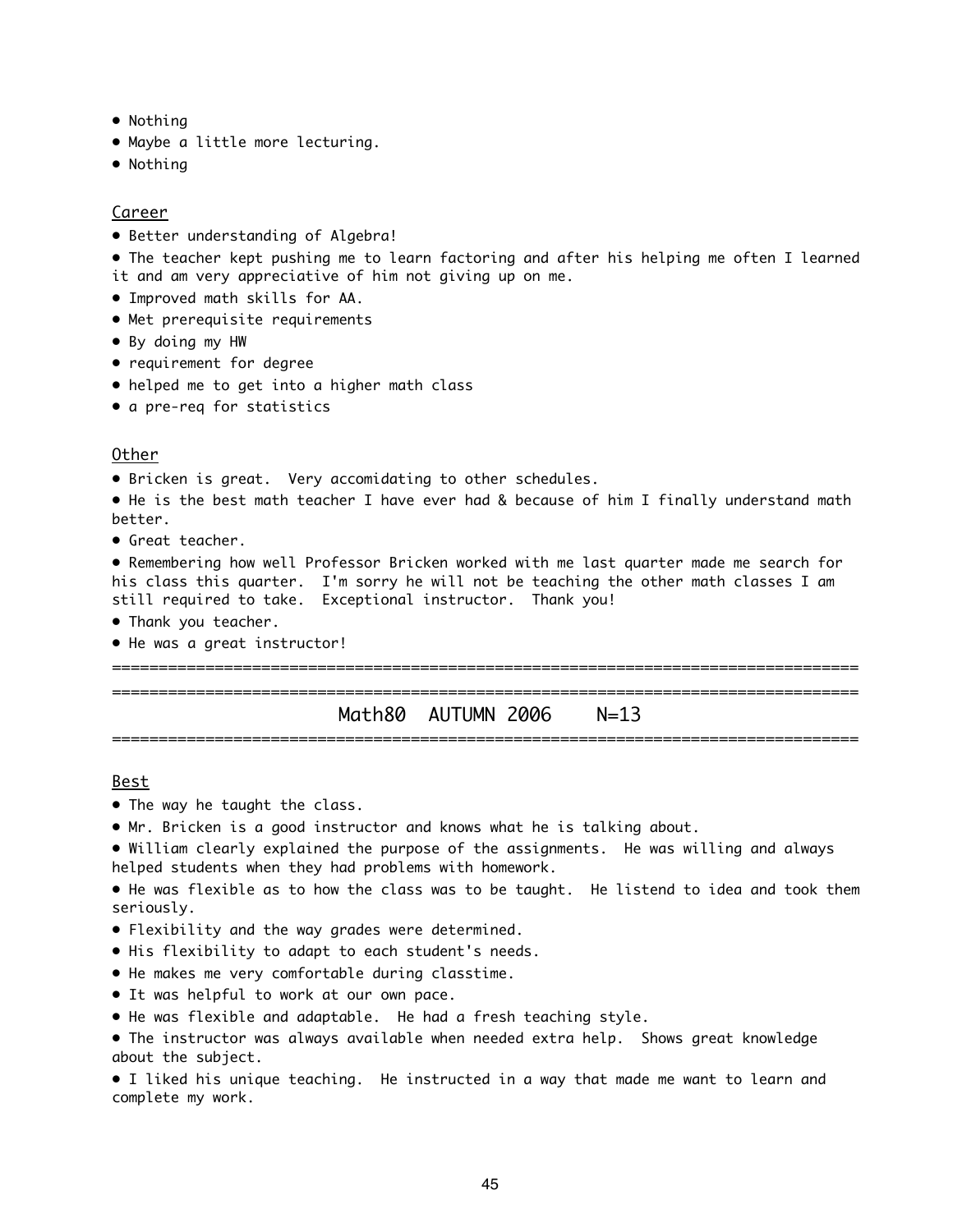- Nothing
- Maybe a little more lecturing.
- Nothing

#### Career

• Better understanding of Algebra!

• The teacher kept pushing me to learn factoring and after his helping me often I learned it and am very appreciative of him not giving up on me.

- Improved math skills for AA.
- Met prerequisite requirements
- By doing my HW
- requirement for degree
- helped me to get into a higher math class
- a pre-req for statistics

#### Other

• Bricken is great. Very accomidating to other schedules.

• He is the best math teacher I have ever had & because of him I finally understand math better.

• Great teacher.

• Remembering how well Professor Bricken worked with me last quarter made me search for his class this quarter. I'm sorry he will not be teaching the other math classes I am still required to take. Exceptional instructor. Thank you!

- Thank you teacher.
- He was a great instructor!

================================================================================

### ================================================================================ Math80 AUTUMN 2006 N=13 ================================================================================

#### Best

- The way he taught the class.
- Mr. Bricken is a good instructor and knows what he is talking about.
- William clearly explained the purpose of the assignments. He was willing and always helped students when they had problems with homework.

• He was flexible as to how the class was to be taught. He listend to idea and took them seriously.

- Flexibility and the way grades were determined.
- His flexibility to adapt to each student's needs.
- He makes me very comfortable during classtime.
- It was helpful to work at our own pace.
- He was flexible and adaptable. He had a fresh teaching style.
- The instructor was always available when needed extra help. Shows great knowledge about the subject.

• I liked his unique teaching. He instructed in a way that made me want to learn and complete my work.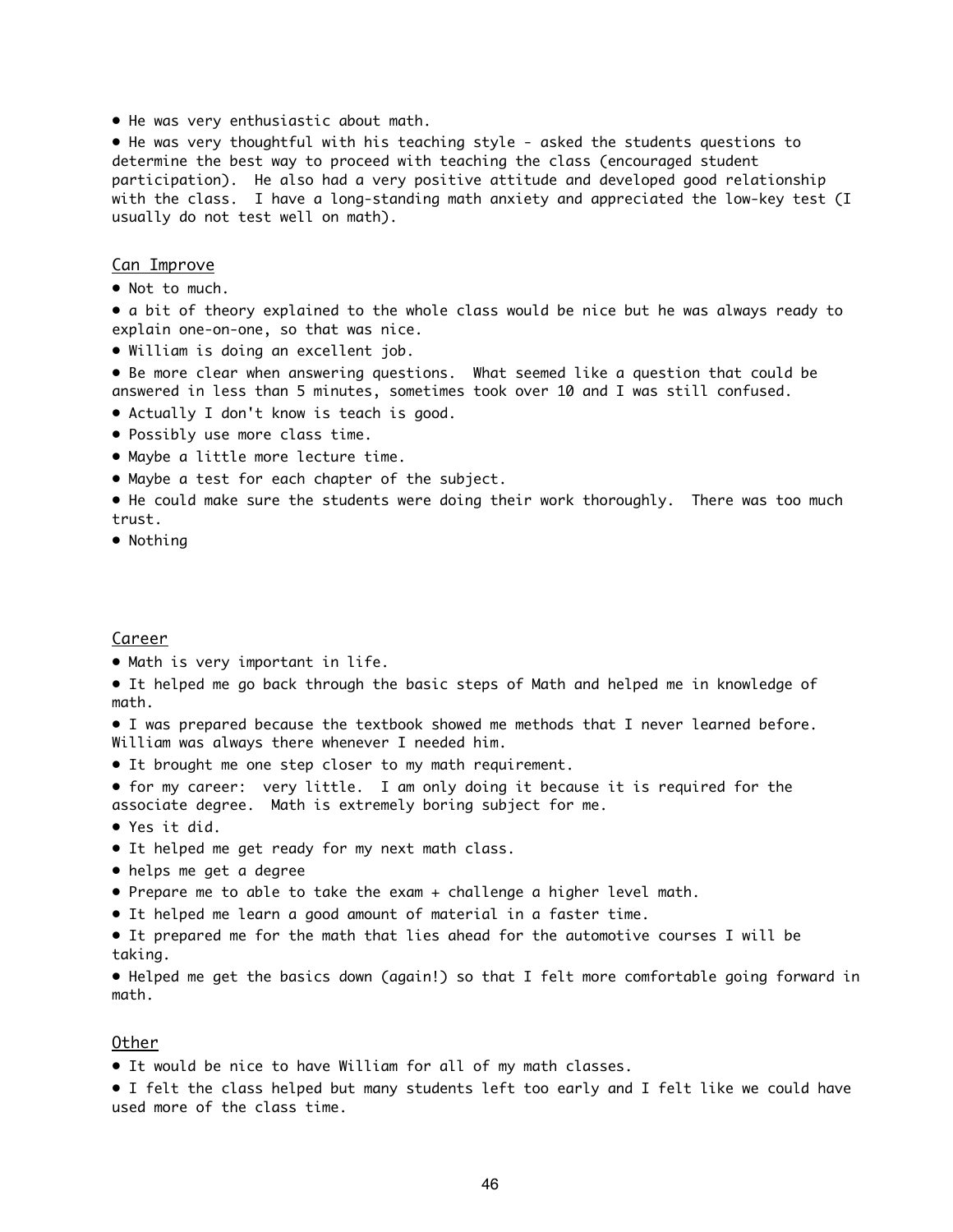• He was very enthusiastic about math.

• He was very thoughtful with his teaching style - asked the students questions to determine the best way to proceed with teaching the class (encouraged student participation). He also had a very positive attitude and developed good relationship with the class. I have a long-standing math anxiety and appreciated the low-key test (I usually do not test well on math).

#### Can Improve

• Not to much.

• a bit of theory explained to the whole class would be nice but he was always ready to explain one-on-one, so that was nice.

• William is doing an excellent job.

• Be more clear when answering questions. What seemed like a question that could be answered in less than 5 minutes, sometimes took over 10 and I was still confused.

- Actually I don't know is teach is good.
- Possibly use more class time.
- Maybe a little more lecture time.
- Maybe a test for each chapter of the subject.
- He could make sure the students were doing their work thoroughly. There was too much trust.
- Nothing

#### Career

- Math is very important in life.
- It helped me go back through the basic steps of Math and helped me in knowledge of math.
- I was prepared because the textbook showed me methods that I never learned before. William was always there whenever I needed him.
- It brought me one step closer to my math requirement.

• for my career: very little. I am only doing it because it is required for the associate degree. Math is extremely boring subject for me.

- Yes it did.
- It helped me get ready for my next math class.
- helps me get a degree
- Prepare me to able to take the exam + challenge a higher level math.
- It helped me learn a good amount of material in a faster time.
- It prepared me for the math that lies ahead for the automotive courses I will be taking.

• Helped me get the basics down (again!) so that I felt more comfortable going forward in math.

#### Other

• It would be nice to have William for all of my math classes.

• I felt the class helped but many students left too early and I felt like we could have used more of the class time.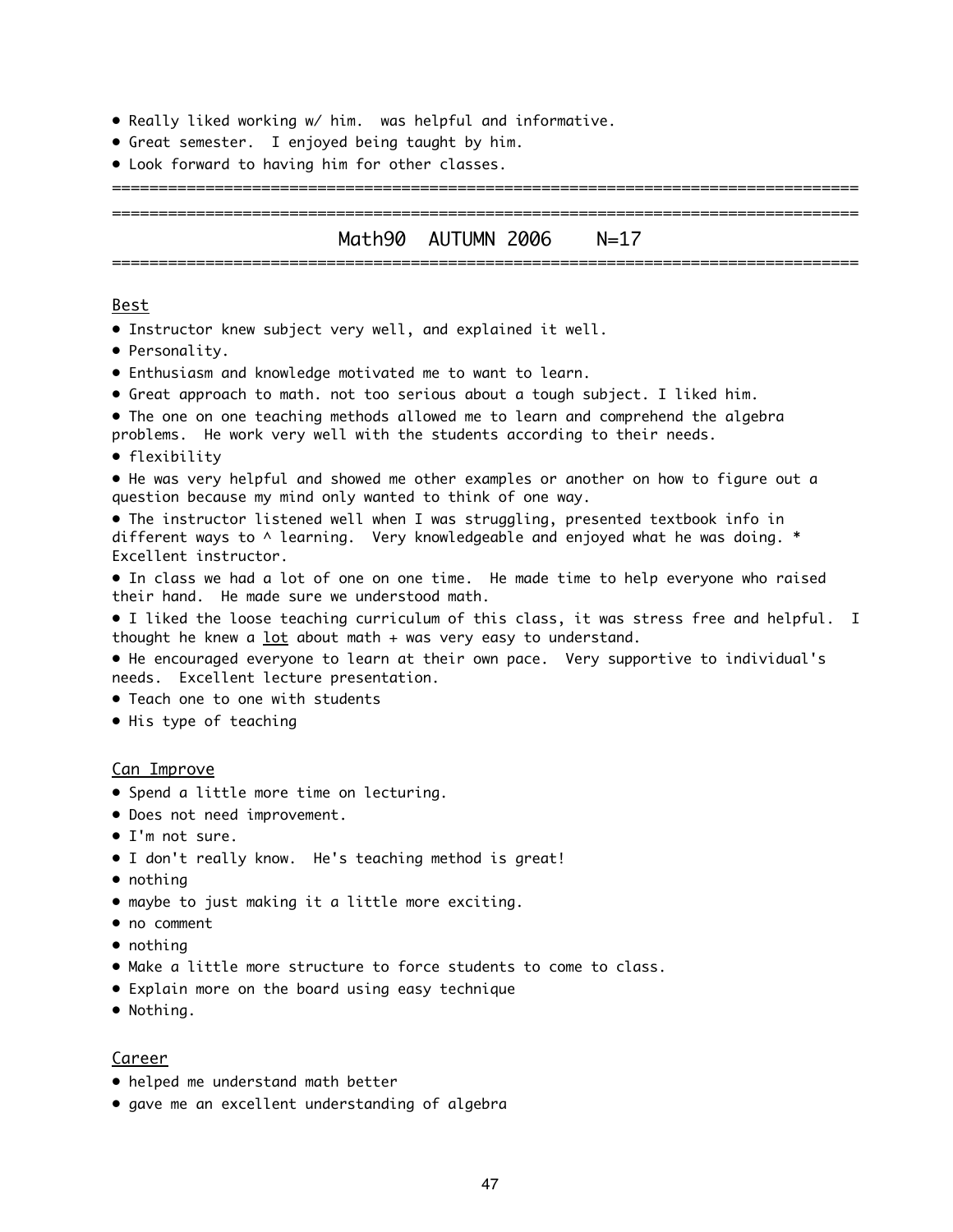- Really liked working w/ him. was helpful and informative.
- Great semester. I enjoyed being taught by him.
- Look forward to having him for other classes.

### ================================================================================ Math90 AUTUMN 2006 N=17 ================================================================================

================================================================================

#### Best

- Instructor knew subject very well, and explained it well.
- Personality.
- Enthusiasm and knowledge motivated me to want to learn.
- Great approach to math. not too serious about a tough subject. I liked him.
- The one on one teaching methods allowed me to learn and comprehend the algebra
- problems. He work very well with the students according to their needs.
- flexibility

• He was very helpful and showed me other examples or another on how to figure out a question because my mind only wanted to think of one way.

• The instructor listened well when I was struggling, presented textbook info in different ways to  $\land$  learning. Very knowledgeable and enjoyed what he was doing.  $*$ Excellent instructor.

• In class we had a lot of one on one time. He made time to help everyone who raised their hand. He made sure we understood math.

• I liked the loose teaching curriculum of this class, it was stress free and helpful. I thought he knew a  $lot$  about math + was very easy to understand.

• He encouraged everyone to learn at their own pace. Very supportive to individual's needs. Excellent lecture presentation.

- Teach one to one with students
- His type of teaching

#### Can Improve

- Spend a little more time on lecturing.
- Does not need improvement.
- I'm not sure.
- I don't really know. He's teaching method is great!
- nothing
- maybe to just making it a little more exciting.
- no comment
- nothing
- Make a little more structure to force students to come to class.
- Explain more on the board using easy technique
- Nothing.

#### Career

- helped me understand math better
- gave me an excellent understanding of algebra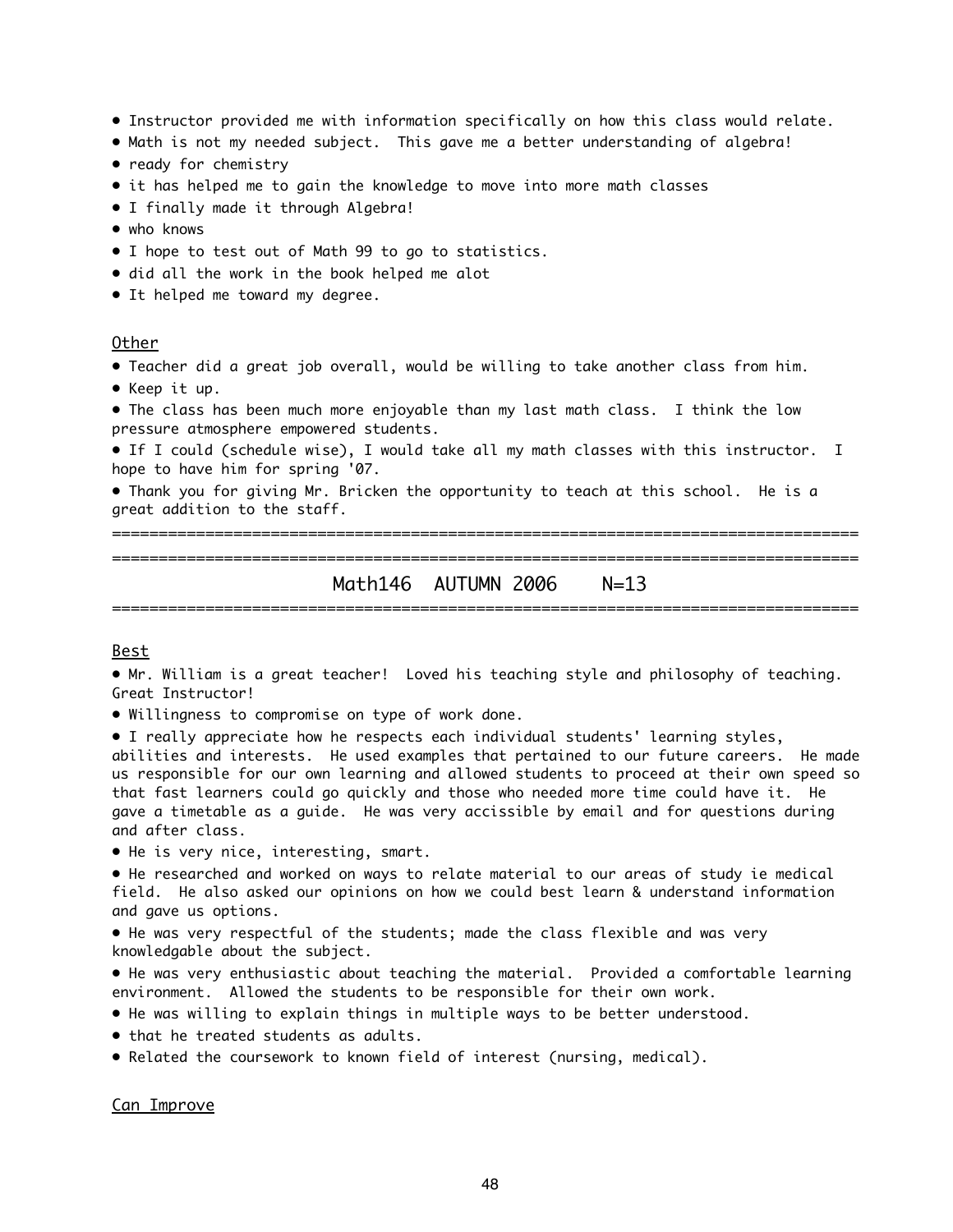- Instructor provided me with information specifically on how this class would relate.
- Math is not my needed subject. This gave me a better understanding of algebra!
- ready for chemistry
- it has helped me to gain the knowledge to move into more math classes
- I finally made it through Algebra!
- who knows
- I hope to test out of Math 99 to go to statistics.
- did all the work in the book helped me alot
- It helped me toward my degree.

#### Other

- Teacher did a great job overall, would be willing to take another class from him.
- Keep it up.

• The class has been much more enjoyable than my last math class. I think the low pressure atmosphere empowered students.

• If I could (schedule wise), I would take all my math classes with this instructor. I hope to have him for spring '07.

• Thank you for giving Mr. Bricken the opportunity to teach at this school. He is a great addition to the staff.

================================================================================ ================================================================================

Math146 AUTUMN 2006 N=13 ================================================================================

#### Best

• Mr. William is a great teacher! Loved his teaching style and philosophy of teaching. Great Instructor!

• Willingness to compromise on type of work done.

• I really appreciate how he respects each individual students' learning styles,

abilities and interests. He used examples that pertained to our future careers. He made us responsible for our own learning and allowed students to proceed at their own speed so that fast learners could go quickly and those who needed more time could have it. He gave a timetable as a guide. He was very accissible by email and for questions during and after class.

• He is very nice, interesting, smart.

• He researched and worked on ways to relate material to our areas of study ie medical field. He also asked our opinions on how we could best learn & understand information and gave us options.

• He was very respectful of the students; made the class flexible and was very knowledgable about the subject.

• He was very enthusiastic about teaching the material. Provided a comfortable learning environment. Allowed the students to be responsible for their own work.

- He was willing to explain things in multiple ways to be better understood.
- that he treated students as adults.
- Related the coursework to known field of interest (nursing, medical).

Can Improve